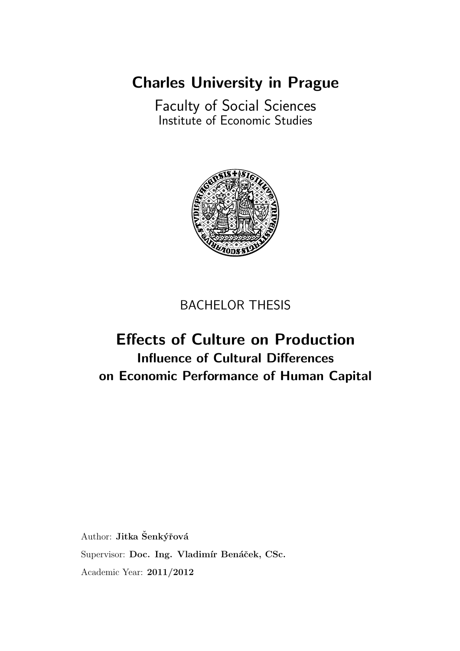[Charles University in Prague](http://www.cuni.cz/UKENG-1.html)

[Faculty of Social Sciences](http://fsveng.fsv.cuni.cz/FSVENG-1.html) [Institute of Economic Studies](http://ies.fsv.cuni.cz/index.php?module=board&action=board&lng=en_GB)



### BACHELOR THESIS

# Effects of Culture on Production Influence of Cultural Differences on Economic Performance of Human Capital

Author: Jitka Šenkýřová Supervisor: Doc. Ing. Vladimír Benáček, CSc. Academic Year: 2011/2012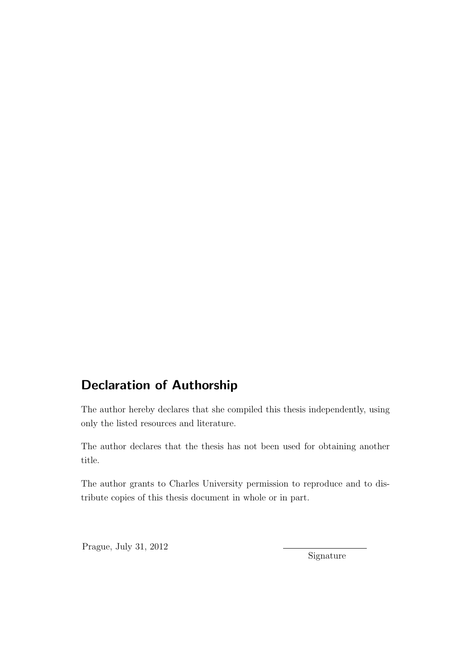## Declaration of Authorship

The author hereby declares that she compiled this thesis independently, using only the listed resources and literature.

The author declares that the thesis has not been used for obtaining another title.

The author grants to Charles University permission to reproduce and to distribute copies of this thesis document in whole or in part.

Prague, July 31, 2012

Signature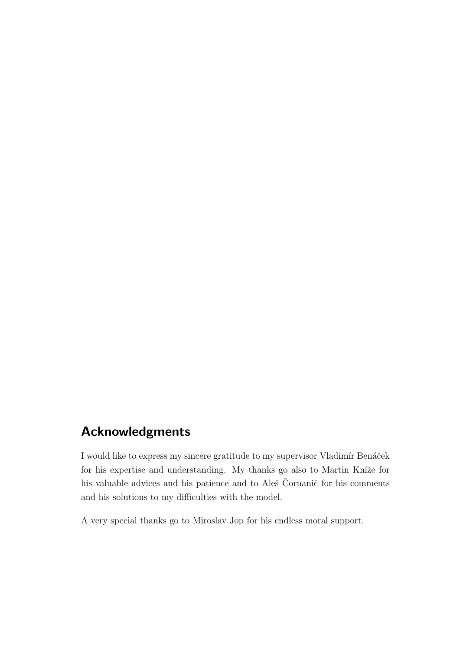## Acknowledgments

I would like to express my sincere gratitude to my supervisor Vladimír Benáček for his expertise and understanding. My thanks go also to Martin Kníže for his valuable advices and his patience and to Aleš Čornanič for his comments and his solutions to my difficulties with the model.

A very special thanks go to Miroslav Jop for his endless moral support.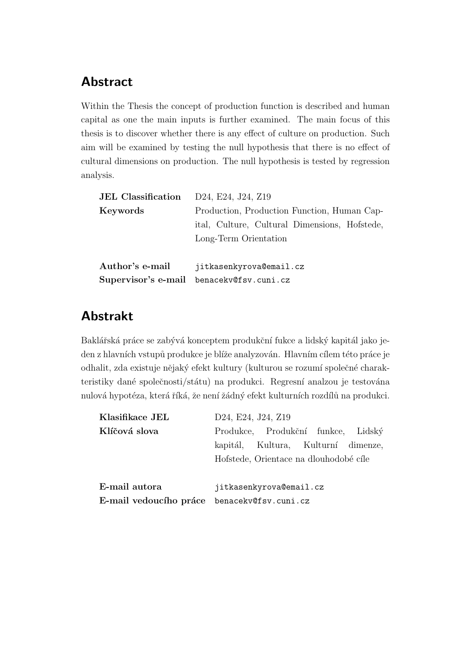### Abstract

Within the Thesis the concept of production function is described and human capital as one the main inputs is further examined. The main focus of this thesis is to discover whether there is any effect of culture on production. Such aim will be examined by testing the null hypothesis that there is no effect of cultural dimensions on production. The null hypothesis is tested by regression analysis.

| <b>JEL Classification</b> | D24, E24, J24, Z19                            |  |  |  |  |
|---------------------------|-----------------------------------------------|--|--|--|--|
| Keywords                  | Production, Production Function, Human Cap-   |  |  |  |  |
|                           | ital, Culture, Cultural Dimensions, Hofstede, |  |  |  |  |
|                           | Long-Term Orientation                         |  |  |  |  |
|                           |                                               |  |  |  |  |
| Author's e-mail           | jitkasenkyrova@email.cz                       |  |  |  |  |
|                           | Supervisor's e-mail benacekv@fsv.cuni.cz      |  |  |  |  |

### Abstrakt

Baklářská práce se zabývá konceptem produkční fukce a lidský kapitál jako jeden z hlavních vstupů produkce je blíže analyzován. Hlavním cílem této práce je odhalit, zda existuje nějaký efekt kultury (kulturou se rozumí společné charakteristiky dané společnosti/státu) na produkci. Regresní analzou je testována nulová hypotéza, která říká, že není žádný efekt kulturních rozdílů na produkci.

| Klasifikace JEL                             | D24, E24, J24, Z19                     |  |                                     |  |
|---------------------------------------------|----------------------------------------|--|-------------------------------------|--|
| Klíčová slova                               |                                        |  | Produkce, Produkční funkce, Lidský  |  |
|                                             |                                        |  | kapitál, Kultura, Kulturní dimenze, |  |
|                                             | Hofstede, Orientace na dlouhodobé cíle |  |                                     |  |
|                                             |                                        |  |                                     |  |
| E-mail autora                               | jitkasenkyrova@email.cz                |  |                                     |  |
| E-mail vedoucího práce benacekv@fsv.cuni.cz |                                        |  |                                     |  |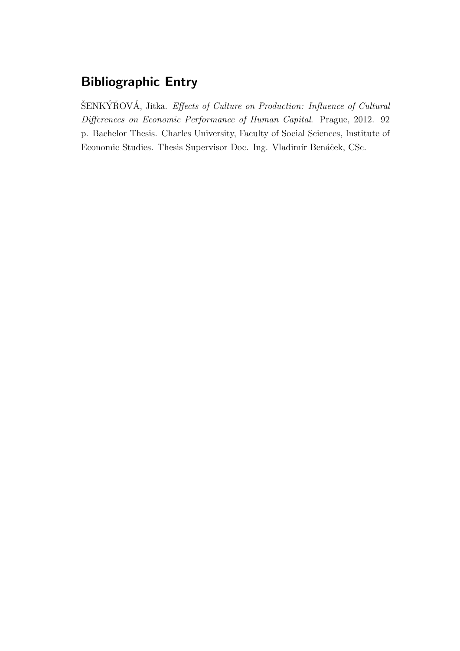### Bibliographic Entry

ŠENKÝŘOVÁ, Jitka. Effects of Culture on Production: Influence of Cultural Differences on Economic Performance of Human Capital. Prague, 2012. 92 p. Bachelor Thesis. Charles University, Faculty of Social Sciences, Institute of Economic Studies. Thesis Supervisor Doc. Ing. Vladimír Benáček, CSc.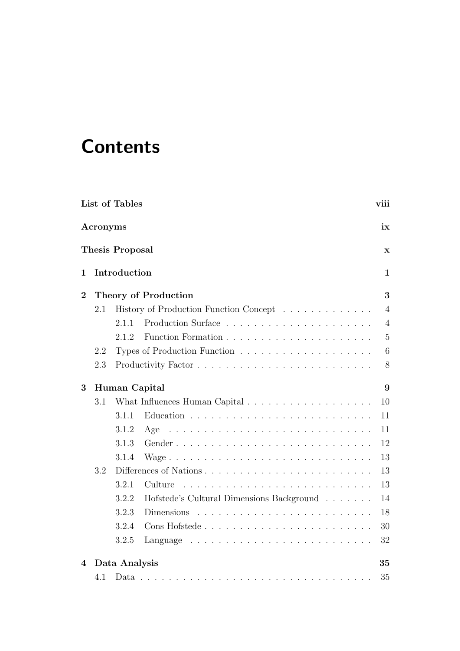# **Contents**

|                    |          | List of Tables                                                                     |  |   |  |  | viii           |
|--------------------|----------|------------------------------------------------------------------------------------|--|---|--|--|----------------|
|                    | Acronyms |                                                                                    |  |   |  |  | ix             |
|                    |          | <b>Thesis Proposal</b>                                                             |  |   |  |  | $\mathbf x$    |
| 1                  |          | Introduction                                                                       |  |   |  |  | 1              |
| $\overline{2}$     |          | <b>Theory of Production</b>                                                        |  |   |  |  | 3              |
|                    | 2.1      | History of Production Function Concept                                             |  |   |  |  | $\overline{4}$ |
|                    |          | 2.1.1                                                                              |  |   |  |  | $\overline{4}$ |
|                    |          | 2.1.2                                                                              |  |   |  |  | $\overline{5}$ |
|                    | 2.2      |                                                                                    |  |   |  |  | 6              |
|                    | 2.3      |                                                                                    |  |   |  |  | 8              |
| 3<br>Human Capital |          |                                                                                    |  | 9 |  |  |                |
|                    | 3.1      |                                                                                    |  |   |  |  | 10             |
|                    |          | 3.1.1                                                                              |  |   |  |  | 11             |
|                    |          | 3.1.2<br>Age                                                                       |  |   |  |  | 11             |
|                    |          | 3.1.3                                                                              |  |   |  |  | 12             |
|                    |          | 3.1.4                                                                              |  |   |  |  | 13             |
|                    | 3.2      |                                                                                    |  |   |  |  | 13             |
|                    |          | 3.2.1<br>Culture                                                                   |  |   |  |  | 13             |
|                    |          | 3.2.2<br>Hofstede's Cultural Dimensions Background                                 |  |   |  |  | 14             |
|                    |          | 3.2.3<br>Dimensions                                                                |  |   |  |  | 18             |
|                    |          | 3.2.4                                                                              |  |   |  |  | 30             |
|                    |          | 3.2.5<br>Language $\ldots \ldots \ldots \ldots \ldots \ldots \ldots \ldots \ldots$ |  |   |  |  | 32             |
| 4                  |          | Data Analysis                                                                      |  |   |  |  | 35             |
|                    | 4.1      |                                                                                    |  |   |  |  | 35             |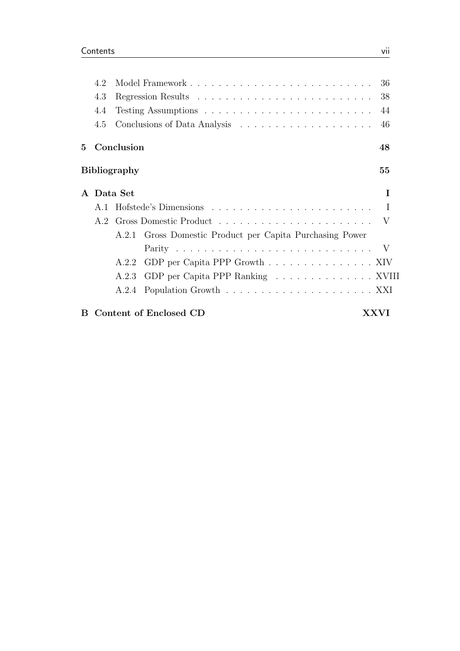|             | 4.2 |                     |                                                                    | -36    |
|-------------|-----|---------------------|--------------------------------------------------------------------|--------|
|             | 4.3 |                     |                                                                    | 38     |
|             | 4.4 |                     |                                                                    | -44    |
|             | 4.5 |                     |                                                                    | 46     |
| $5^{\circ}$ |     | Conclusion          |                                                                    | 48     |
|             |     | <b>Bibliography</b> |                                                                    | $55\,$ |
|             |     | A Data Set          |                                                                    | Τ      |
|             | A.1 |                     |                                                                    | Т.     |
|             |     |                     |                                                                    |        |
|             |     |                     | A.2.1 Gross Domestic Product per Capita Purchasing Power           |        |
|             |     |                     |                                                                    |        |
|             |     | A.2.2               | GDP per Capita PPP Growth $\ldots \ldots \ldots \ldots \ldots$ XIV |        |
|             |     | A.2.3               | GDP per Capita PPP Ranking XVIII                                   |        |
|             |     | A.2.4               |                                                                    |        |
| B.          |     |                     | Content of Enclosed CD                                             | X X V1 |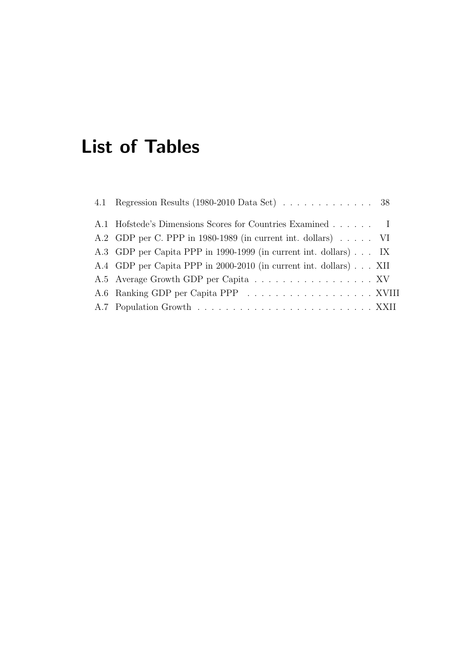# <span id="page-7-0"></span>List of Tables

| 4.1 Regression Results (1980-2010 Data Set) $\ldots \ldots \ldots \ldots$ 38 |
|------------------------------------------------------------------------------|
| A.1 Hofstede's Dimensions Scores for Countries Examined I                    |
| A.2 GDP per C. PPP in 1980-1989 (in current int. dollars) $\ldots$ . VI      |
| A.3 GDP per Capita PPP in 1990-1999 (in current int. dollars) IX             |
| A.4 GDP per Capita PPP in 2000-2010 (in current int. dollars) XII            |
| A.5 Average Growth GDP per Capita XV                                         |
|                                                                              |
|                                                                              |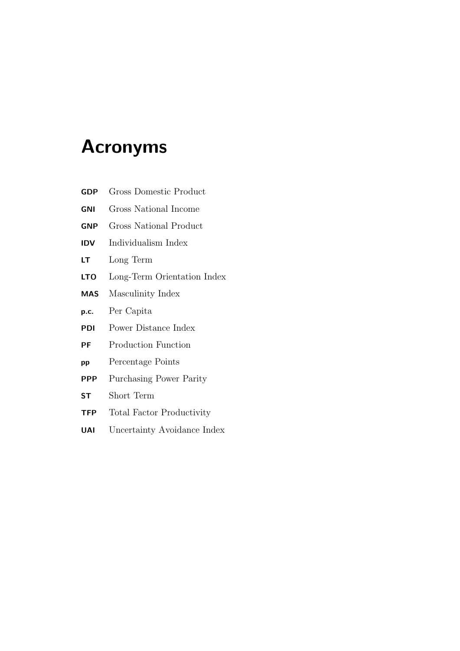# <span id="page-8-0"></span>Acronyms

| <b>GDP</b> | Gross Domestic Product           |
|------------|----------------------------------|
| GNI        | Gross National Income            |
| GNP        | Gross National Product           |
| <b>IDV</b> | Individualism Index              |
| LТ         | Long Term                        |
| LTO        | Long-Term Orientation Index      |
| <b>MAS</b> | Masculinity Index                |
| p.c.       | Per Capita                       |
| PDI        | Power Distance Index             |
| РF         | <b>Production Function</b>       |
| pp         | Percentage Points                |
| <b>PPP</b> | Purchasing Power Parity          |
| <b>ST</b>  | Short Term                       |
| <b>TFP</b> | <b>Total Factor Productivity</b> |
| UAI        | Uncertainty Avoidance Index      |
|            |                                  |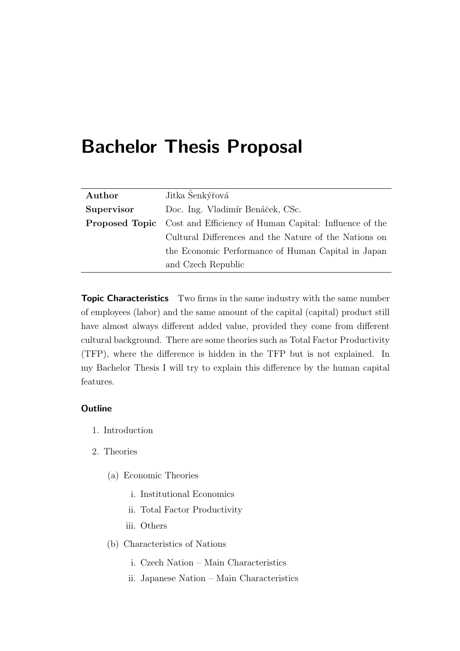# <span id="page-9-0"></span>Bachelor Thesis Proposal

| Author     | Jitka Šenkýřová                                                              |
|------------|------------------------------------------------------------------------------|
| Supervisor | Doc. Ing. Vladimír Benáček, CSc.                                             |
|            | <b>Proposed Topic</b> Cost and Efficiency of Human Capital: Influence of the |
|            | Cultural Differences and the Nature of the Nations on                        |
|            | the Economic Performance of Human Capital in Japan                           |
|            | and Czech Republic                                                           |

Topic Characteristics Two firms in the same industry with the same number of employees (labor) and the same amount of the capital (capital) product still have almost always different added value, provided they come from different cultural background. There are some theories such as Total Factor Productivity (TFP), where the difference is hidden in the TFP but is not explained. In my Bachelor Thesis I will try to explain this difference by the human capital features.

#### **Outline**

- 1. Introduction
- 2. Theories
	- (a) Economic Theories
		- i. Institutional Economics
		- ii. Total Factor Productivity
		- iii. Others
	- (b) Characteristics of Nations
		- i. Czech Nation Main Characteristics
		- ii. Japanese Nation Main Characteristics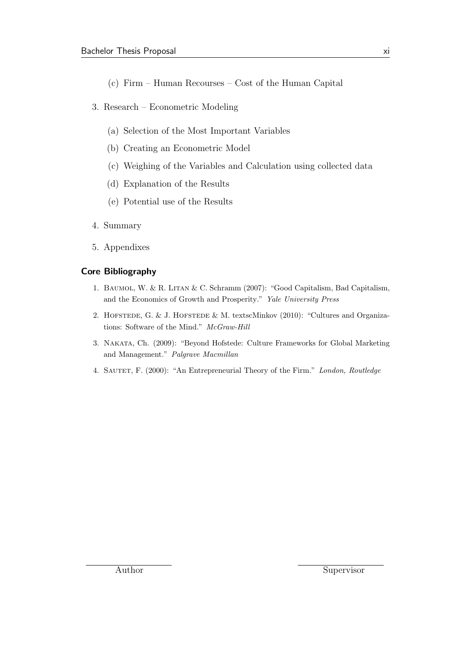- (c) Firm Human Recourses Cost of the Human Capital
- 3. Research Econometric Modeling
	- (a) Selection of the Most Important Variables
	- (b) Creating an Econometric Model
	- (c) Weighing of the Variables and Calculation using collected data
	- (d) Explanation of the Results
	- (e) Potential use of the Results
- 4. Summary
- 5. Appendixes

#### Core Bibliography

- 1. Baumol, W. & R. Litan & C. Schramm (2007): "Good Capitalism, Bad Capitalism, and the Economics of Growth and Prosperity." Yale University Press
- 2. HOFSTEDE, G. & J. HOFSTEDE & M. textscMinkov (2010): "Cultures and Organizations: Software of the Mind." McGraw-Hill
- 3. Nakata, Ch. (2009): "Beyond Hofstede: Culture Frameworks for Global Marketing and Management." Palgrave Macmillan
- 4. SAUTET, F. (2000): "An Entrepreneurial Theory of the Firm." London, Routledge

Author Supervisor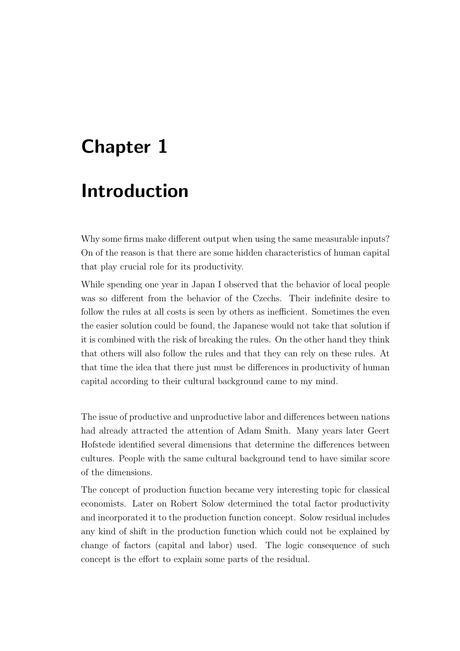# <span id="page-11-0"></span>Chapter 1

# Introduction

Why some firms make different output when using the same measurable inputs? On of the reason is that there are some hidden characteristics of human capital that play crucial role for its productivity.

While spending one year in Japan I observed that the behavior of local people was so different from the behavior of the Czechs. Their indefinite desire to follow the rules at all costs is seen by others as inefficient. Sometimes the even the easier solution could be found, the Japanese would not take that solution if it is combined with the risk of breaking the rules. On the other hand they think that others will also follow the rules and that they can rely on these rules. At that time the idea that there just must be differences in productivity of human capital according to their cultural background came to my mind.

The issue of productive and unproductive labor and differences between nations had already attracted the attention of Adam Smith. Many years later Geert Hofstede identified several dimensions that determine the differences between cultures. People with the same cultural background tend to have similar score of the dimensions.

The concept of production function became very interesting topic for classical economists. Later on Robert Solow determined the total factor productivity and incorporated it to the production function concept. Solow residual includes any kind of shift in the production function which could not be explained by change of factors (capital and labor) used. The logic consequence of such concept is the effort to explain some parts of the residual.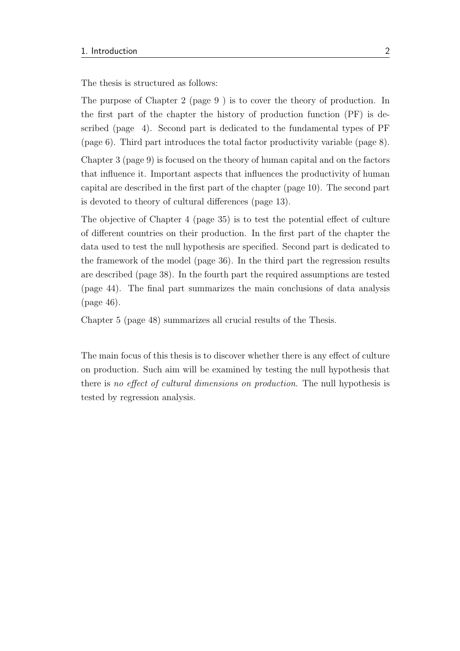The thesis is structured as follows:

The purpose of Chapter 2 (page [9](#page-19-0) ) is to cover the theory of production. In the first part of the chapter the history of production function (PF) is described (page [4\)](#page-14-0). Second part is dedicated to the fundamental types of PF (page [6\)](#page-16-0). Third part introduces the total factor productivity variable (page [8\)](#page-18-0).

Chapter 3 (page [9\)](#page-19-0) is focused on the theory of human capital and on the factors that influence it. Important aspects that influences the productivity of human capital are described in the first part of the chapter (page [10\)](#page-20-0). The second part is devoted to theory of cultural differences (page [13\)](#page-23-1).

The objective of Chapter 4 (page [35\)](#page-45-0) is to test the potential effect of culture of different countries on their production. In the first part of the chapter the data used to test the null hypothesis are specified. Second part is dedicated to the framework of the model (page [36\)](#page-46-0). In the third part the regression results are described (page [38\)](#page-48-0). In the fourth part the required assumptions are tested (page [44\)](#page-54-0). The final part summarizes the main conclusions of data analysis (page [46\)](#page-56-0).

Chapter 5 (page [48\)](#page-58-0) summarizes all crucial results of the Thesis.

The main focus of this thesis is to discover whether there is any effect of culture on production. Such aim will be examined by testing the null hypothesis that there is no effect of cultural dimensions on production. The null hypothesis is tested by regression analysis.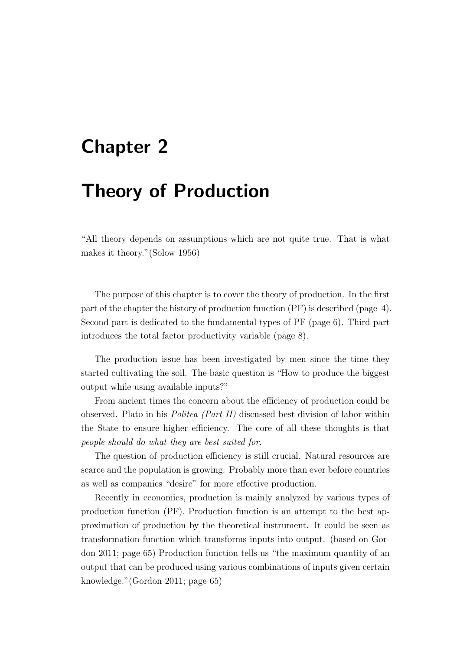# <span id="page-13-0"></span>Chapter 2

# Theory of Production

"All theory depends on assumptions which are not quite true. That is what makes it theory."[\(Solow](#page-64-0) [1956\)](#page-64-0)

The purpose of this chapter is to cover the theory of production. In the first part of the chapter the history of production function (PF) is described (page [4\)](#page-14-0). Second part is dedicated to the fundamental types of PF (page [6\)](#page-16-0). Third part introduces the total factor productivity variable (page [8\)](#page-18-0).

The production issue has been investigated by men since the time they started cultivating the soil. The basic question is "How to produce the biggest output while using available inputs?"

From ancient times the concern about the efficiency of production could be observed. Plato in his Politea (Part II) discussed best division of labor within the State to ensure higher efficiency. The core of all these thoughts is that people should do what they are best suited for.

The question of production efficiency is still crucial. Natural resources are scarce and the population is growing. Probably more than ever before countries as well as companies "desire" for more effective production.

Recently in economics, production is mainly analyzed by various types of production function (PF). Production function is an attempt to the best approximation of production by the theoretical instrument. It could be seen as transformation function which transforms inputs into output. (based on [Gor](#page-61-0)[don](#page-61-0) [2011;](#page-61-0) page 65) Production function tells us "the maximum quantity of an output that can be produced using various combinations of inputs given certain knowledge."[\(Gordon](#page-61-0) [2011;](#page-61-0) page 65)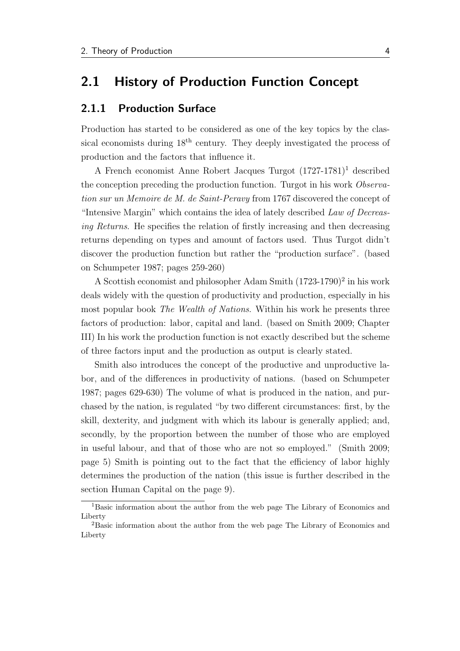### <span id="page-14-0"></span>2.1 History of Production Function Concept

#### <span id="page-14-1"></span>2.1.1 Production Surface

Production has started to be considered as one of the key topics by the classical economists during 18th century. They deeply investigated the process of production and the factors that influence it.

A French economist Anne Robert Jacques Turgot (1727-1781)[1](#page-14-2) described the conception preceding the production function. Turgot in his work Observation sur un Memoire de M. de Saint-Peravy from 1767 discovered the concept of "Intensive Margin" which contains the idea of lately described Law of Decreasing Returns. He specifies the relation of firstly increasing and then decreasing returns depending on types and amount of factors used. Thus Turgot didn't discover the production function but rather the "production surface". (based on [Schumpeter](#page-64-1) [1987;](#page-64-1) pages 259-260)

A Scottish economist and philosopher Adam Smith  $(1723-1790)^2$  $(1723-1790)^2$  $(1723-1790)^2$  in his work deals widely with the question of productivity and production, especially in his most popular book The Wealth of Nations. Within his work he presents three factors of production: labor, capital and land. (based on [Smith](#page-64-2) [2009;](#page-64-2) Chapter III) In his work the production function is not exactly described but the scheme of three factors input and the production as output is clearly stated.

Smith also introduces the concept of the productive and unproductive labor, and of the differences in productivity of nations. (based on [Schumpeter](#page-64-1) [1987;](#page-64-1) pages 629-630) The volume of what is produced in the nation, and purchased by the nation, is regulated "by two different circumstances: first, by the skill, dexterity, and judgment with which its labour is generally applied; and, secondly, by the proportion between the number of those who are employed in useful labour, and that of those who are not so employed." [\(Smith](#page-64-2) [2009;](#page-64-2) page 5) Smith is pointing out to the fact that the efficiency of labor highly determines the production of the nation (this issue is further described in the section [Human Capital](#page-19-0) on the page [9\)](#page-19-0).

<span id="page-14-2"></span><sup>1</sup>Basic information about the author from the web page The Library of Economics and Liberty

<span id="page-14-3"></span><sup>2</sup>Basic information about the author from the web page The Library of Economics and Liberty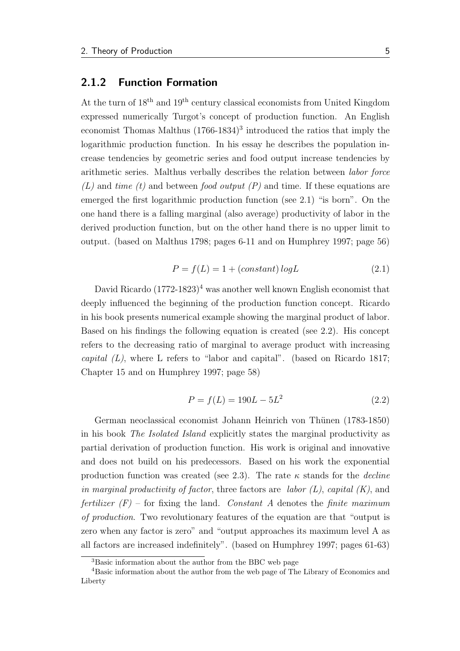#### <span id="page-15-0"></span>2.1.2 Function Formation

At the turn of 18<sup>th</sup> and 19<sup>th</sup> century classical economists from United Kingdom expressed numerically Turgot's concept of production function. An English economist Thomas Malthus  $(1766-1834)^3$  $(1766-1834)^3$  $(1766-1834)^3$  introduced the ratios that imply the logarithmic production function. In his essay he describes the population increase tendencies by geometric series and food output increase tendencies by arithmetic series. Malthus verbally describes the relation between labor force  $(L)$  and time (t) and between food output (P) and time. If these equations are emerged the first logarithmic production function (see [2.1\)](#page-15-2) "is born". On the one hand there is a falling marginal (also average) productivity of labor in the derived production function, but on the other hand there is no upper limit to output. (based on [Malthus](#page-63-0) [1798;](#page-63-0) pages 6-11 and on [Humphrey](#page-61-1) [1997;](#page-61-1) page 56)

<span id="page-15-2"></span>
$$
P = f(L) = 1 + (constant) \log L \tag{2.1}
$$

David Ricardo  $(1772-1823)^4$  $(1772-1823)^4$  was another well known English economist that deeply influenced the beginning of the production function concept. Ricardo in his book presents numerical example showing the marginal product of labor. Based on his findings the following equation is created (see [2.2\)](#page-15-4). His concept refers to the decreasing ratio of marginal to average product with increasing capital  $(L)$ , where L refers to "labor and capital". (based on [Ricardo](#page-64-3) [1817;](#page-64-3) Chapter 15 and on [Humphrey](#page-61-1) [1997;](#page-61-1) page 58)

<span id="page-15-4"></span>
$$
P = f(L) = 190L - 5L^2
$$
\n(2.2)

German neoclassical economist Johann Heinrich von Thünen (1783-1850) in his book The Isolated Island explicitly states the marginal productivity as partial derivation of production function. His work is original and innovative and does not build on his predecessors. Based on his work the exponential production function was created (see [2.3\)](#page-16-1). The rate  $\kappa$  stands for the *decline* in marginal productivity of factor, three factors are labor  $(L)$ , capital  $(K)$ , and fertilizer  $(F)$  – for fixing the land. Constant A denotes the finite maximum of production. Two revolutionary features of the equation are that "output is zero when any factor is zero" and "output approaches its maximum level A as all factors are increased indefinitely". (based on [Humphrey](#page-61-1) [1997;](#page-61-1) pages 61-63)

<span id="page-15-3"></span><span id="page-15-1"></span><sup>3</sup>Basic information about the author from the BBC web page

<sup>4</sup>Basic information about the author from the web page of The Library of Economics and Liberty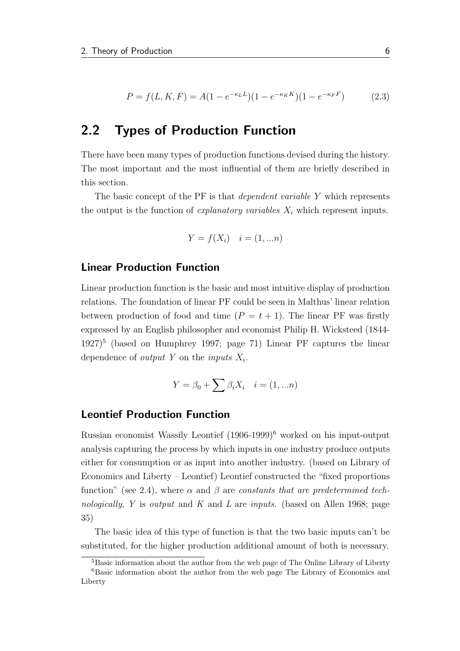<span id="page-16-1"></span>
$$
P = f(L, K, F) = A(1 - e^{-\kappa_L L})(1 - e^{-\kappa_K K})(1 - e^{-\kappa_F F})
$$
(2.3)

### <span id="page-16-0"></span>2.2 Types of Production Function

There have been many types of production functions devised during the history. The most important and the most influential of them are briefly described in this section.

The basic concept of the PF is that *dependent variable Y* which represents the output is the function of *explanatory variables*  $X_i$  which represent inputs.

$$
Y = f(X_i) \quad i = (1, \dots n)
$$

#### Linear Production Function

Linear production function is the basic and most intuitive display of production relations. The foundation of linear PF could be seen in Malthus' linear relation between production of food and time  $(P = t + 1)$ . The linear PF was firstly expressed by an English philosopher and economist Philip H. Wicksteed (1844-  $1927$ <sup>[5](#page-16-2)</sup> (based on [Humphrey](#page-61-1) [1997;](#page-61-1) page 71) Linear PF captures the linear dependence of *output* Y on the *inputs*  $X_i$ .

$$
Y = \beta_0 + \sum \beta_i X_i \quad i = (1, \dots n)
$$

#### Leontief Production Function

Russian economist Wassily Leontief (1906-1999)[6](#page-16-3) worked on his input-output analysis capturing the process by which inputs in one industry produce outputs either for consumption or as input into another industry. (based on Library of Economics and Liberty – Leontief) Leontief constructed the "fixed proportions function" (see [2.4\)](#page-17-0), where  $\alpha$  and  $\beta$  are constants that are predetermined tech-nologically, Y is output and K and L are inputs. (based on [Allen](#page-60-1) [1968;](#page-60-1) page 35)

The basic idea of this type of function is that the two basic inputs can't be substituted, for the higher production additional amount of both is necessary.

<span id="page-16-3"></span><span id="page-16-2"></span><sup>&</sup>lt;sup>5</sup>Basic information about the author from the web page of The Online Library of Liberty

<sup>6</sup>Basic information about the author from the web page The Library of Economics and Liberty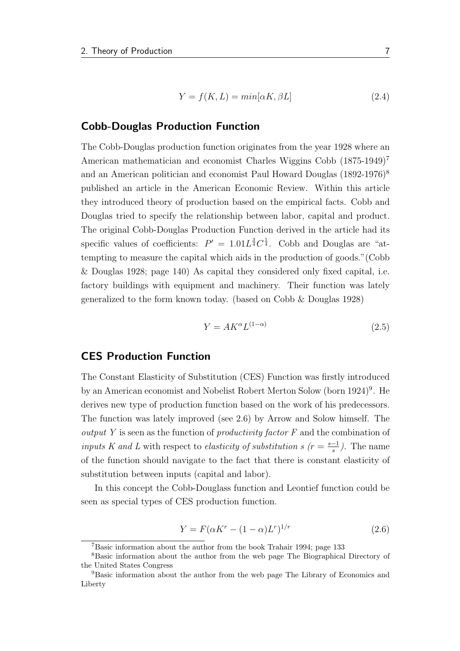<span id="page-17-0"></span>
$$
Y = f(K, L) = min[\alpha K, \beta L]
$$
\n(2.4)

#### Cobb-Douglas Production Function

The Cobb-Douglas production function originates from the year 1928 where an American mathematician and economist Charles Wiggins Cobb (18[7](#page-17-1)5-1949)<sup>7</sup> and an American politician and economist Paul Howard Douglas (1[8](#page-17-2)92-1976)<sup>8</sup> published an article in the American Economic Review. Within this article they introduced theory of production based on the empirical facts. Cobb and Douglas tried to specify the relationship between labor, capital and product. The original Cobb-Douglas Production Function derived in the article had its specific values of coefficients:  $P' = 1.01L^{\frac{3}{4}}C^{\frac{1}{4}}$ . Cobb and Douglas are "attempting to measure the capital which aids in the production of goods."[\(Cobb](#page-60-2) [& Douglas](#page-60-2) [1928;](#page-60-2) page 140) As capital they considered only fixed capital, i.e. factory buildings with equipment and machinery. Their function was lately generalized to the form known today. (based on [Cobb & Douglas](#page-60-2) [1928\)](#page-60-2)

$$
Y = AK^{\alpha}L^{(1-\alpha)}\tag{2.5}
$$

#### CES Production Function

The Constant Elasticity of Substitution (CES) Function was firstly introduced by an American economist and Nobelist Robert Merton Solow (born 1[9](#page-17-3)24)<sup>9</sup>. He derives new type of production function based on the work of his predecessors. The function was lately improved (see [2.6\)](#page-17-4) by Arrow and Solow himself. The output Y is seen as the function of productivity factor F and the combination of inputs K and L with respect to elasticity of substitution s  $(r = \frac{s-1}{s})$  $\frac{-1}{s}$ ). The name of the function should navigate to the fact that there is constant elasticity of substitution between inputs (capital and labor).

In this concept the Cobb-Douglass function and Leontief function could be seen as special types of CES production function.

<span id="page-17-4"></span>
$$
Y = F(\alpha K^{r} - (1 - \alpha)L^{r})^{1/r}
$$
\n(2.6)

<span id="page-17-2"></span><span id="page-17-1"></span><sup>7</sup>Basic information about the author from the book [Trahair](#page-64-4) [1994;](#page-64-4) page 133

<sup>8</sup>Basic information about the author from the web page The Biographical Directory of the United States Congress

<span id="page-17-3"></span><sup>9</sup>Basic information about the author from the web page The Library of Economics and Liberty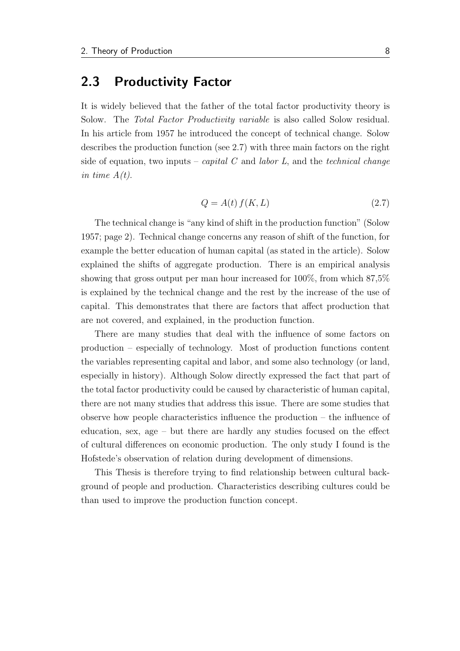### <span id="page-18-0"></span>2.3 Productivity Factor

It is widely believed that the father of the total factor productivity theory is Solow. The Total Factor Productivity variable is also called Solow residual. In his article from 1957 he introduced the concept of technical change. Solow describes the production function (see [2.7\)](#page-18-1) with three main factors on the right side of equation, two inputs – *capital*  $C$  and *labor*  $L$ , and the *technical change* in time  $A(t)$ .

<span id="page-18-1"></span>
$$
Q = A(t) f(K, L) \tag{2.7}
$$

The technical change is "any kind of shift in the production function" [\(Solow](#page-64-5) [1957;](#page-64-5) page 2). Technical change concerns any reason of shift of the function, for example the better education of human capital (as stated in the article). Solow explained the shifts of aggregate production. There is an empirical analysis showing that gross output per man hour increased for 100%, from which 87,5% is explained by the technical change and the rest by the increase of the use of capital. This demonstrates that there are factors that affect production that are not covered, and explained, in the production function.

There are many studies that deal with the influence of some factors on production – especially of technology. Most of production functions content the variables representing capital and labor, and some also technology (or land, especially in history). Although Solow directly expressed the fact that part of the total factor productivity could be caused by characteristic of human capital, there are not many studies that address this issue. There are some studies that observe how people characteristics influence the production – the influence of education, sex, age – but there are hardly any studies focused on the effect of cultural differences on economic production. The only study I found is the Hofstede's observation of relation during development of dimensions.

This Thesis is therefore trying to find relationship between cultural background of people and production. Characteristics describing cultures could be than used to improve the production function concept.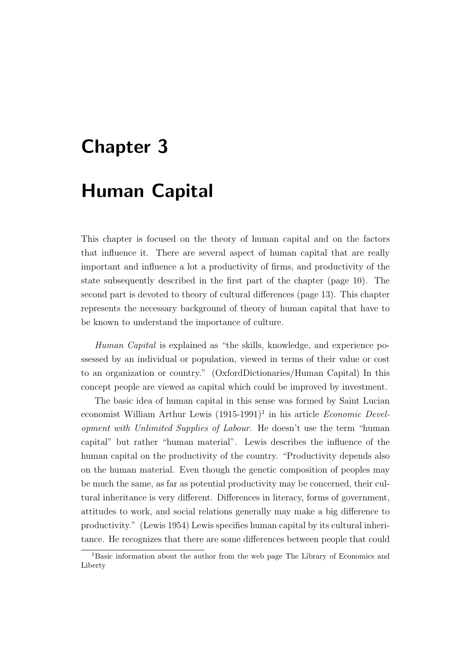# <span id="page-19-0"></span>Chapter 3

# Human Capital

This chapter is focused on the theory of human capital and on the factors that influence it. There are several aspect of human capital that are really important and influence a lot a productivity of firms, and productivity of the state subsequently described in the first part of the chapter (page [10\)](#page-20-0). The second part is devoted to theory of cultural differences (page [13\)](#page-23-1). This chapter represents the necessary background of theory of human capital that have to be known to understand the importance of culture.

Human Capital is explained as "the skills, knowledge, and experience possessed by an individual or population, viewed in terms of their value or cost to an organization or country." [\(OxfordDictionaries/](#page-63-1)Human Capital) In this concept people are viewed as capital which could be improved by investment.

The basic idea of human capital in this sense was formed by Saint Lucian economist William Arthur Lewis  $(1915-1991)^{1}$  $(1915-1991)^{1}$  $(1915-1991)^{1}$  in his article *Economic Devel*opment with Unlimited Supplies of Labour. He doesn't use the term "human capital" but rather "human material". Lewis describes the influence of the human capital on the productivity of the country. "Productivity depends also on the human material. Even though the genetic composition of peoples may be much the same, as far as potential productivity may be concerned, their cultural inheritance is very different. Differences in literacy, forms of government, attitudes to work, and social relations generally may make a big difference to productivity." [\(Lewis](#page-62-0) [1954\)](#page-62-0) Lewis specifies human capital by its cultural inheritance. He recognizes that there are some differences between people that could

<span id="page-19-1"></span><sup>1</sup>Basic information about the author from the web page The Library of Economics and Liberty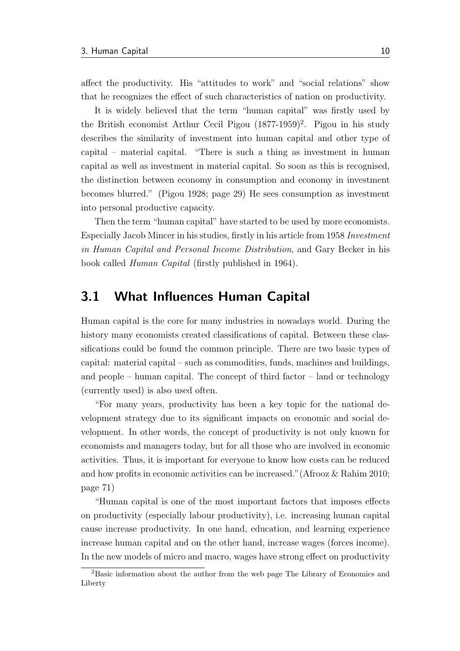affect the productivity. His "attitudes to work" and "social relations" show that he recognizes the effect of such characteristics of nation on productivity.

It is widely believed that the term "human capital" was firstly used by the British economist Arthur Cecil Pigou  $(1877-1959)^2$  $(1877-1959)^2$ . Pigou in his study describes the similarity of investment into human capital and other type of capital – material capital. "There is such a thing as investment in human capital as well as investment in material capital. So soon as this is recognised, the distinction between economy in consumption and economy in investment becomes blurred." [\(Pigou](#page-63-2) [1928;](#page-63-2) page 29) He sees consumption as investment into personal productive capacity.

Then the term "human capital" have started to be used by more economists. Especially Jacob Mincer in his studies, firstly in his article from 1958 Investment in Human Capital and Personal Income Distribution, and Gary Becker in his book called Human Capital (firstly published in 1964).

### <span id="page-20-0"></span>3.1 What Influences Human Capital

Human capital is the core for many industries in nowadays world. During the history many economists created classifications of capital. Between these classifications could be found the common principle. There are two basic types of capital: material capital – such as commodities, funds, machines and buildings, and people – human capital. The concept of third factor – land or technology (currently used) is also used often.

"For many years, productivity has been a key topic for the national development strategy due to its significant impacts on economic and social development. In other words, the concept of productivity is not only known for economists and managers today, but for all those who are involved in economic activities. Thus, it is important for everyone to know how costs can be reduced and how profits in economic activities can be increased."[\(Afrooz & Rahim](#page-60-3) [2010;](#page-60-3) page 71)

"Human capital is one of the most important factors that imposes effects on productivity (especially labour productivity), i.e. increasing human capital cause increase productivity. In one hand, education, and learning experience increase human capital and on the other hand, increase wages (forces income). In the new models of micro and macro, wages have strong effect on productivity

<span id="page-20-1"></span><sup>2</sup>Basic information about the author from the web page The Library of Economics and Liberty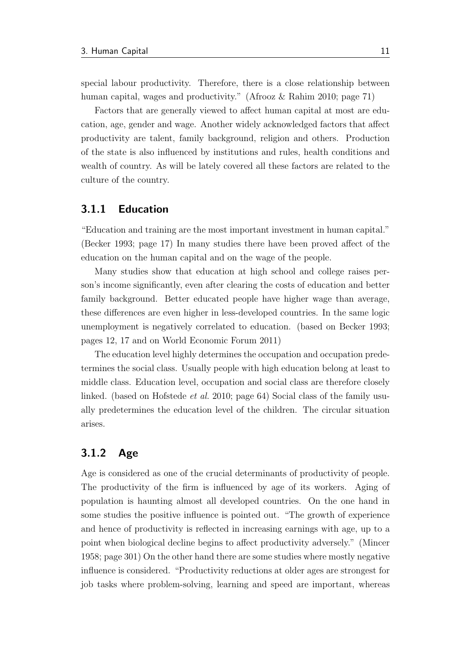special labour productivity. Therefore, there is a close relationship between human capital, wages and productivity." [\(Afrooz & Rahim](#page-60-3) [2010;](#page-60-3) page 71)

Factors that are generally viewed to affect human capital at most are education, age, gender and wage. Another widely acknowledged factors that affect productivity are talent, family background, religion and others. Production of the state is also influenced by institutions and rules, health conditions and wealth of country. As will be lately covered all these factors are related to the culture of the country.

#### <span id="page-21-0"></span>3.1.1 Education

"Education and training are the most important investment in human capital." [\(Becker](#page-60-4) [1993;](#page-60-4) page 17) In many studies there have been proved affect of the education on the human capital and on the wage of the people.

Many studies show that education at high school and college raises person's income significantly, even after clearing the costs of education and better family background. Better educated people have higher wage than average, these differences are even higher in less-developed countries. In the same logic unemployment is negatively correlated to education. (based on [Becker](#page-60-4) [1993;](#page-60-4) pages 12, 17 and on [World Economic Forum](#page-64-6) [2011\)](#page-64-6)

The education level highly determines the occupation and occupation predetermines the social class. Usually people with high education belong at least to middle class. Education level, occupation and social class are therefore closely linked. (based on [Hofstede](#page-61-2) *et al.* [2010;](#page-61-2) page 64) Social class of the family usually predetermines the education level of the children. The circular situation arises.

#### <span id="page-21-1"></span>3.1.2 Age

Age is considered as one of the crucial determinants of productivity of people. The productivity of the firm is influenced by age of its workers. Aging of population is haunting almost all developed countries. On the one hand in some studies the positive influence is pointed out. "The growth of experience and hence of productivity is reflected in increasing earnings with age, up to a point when biological decline begins to affect productivity adversely." [\(Mincer](#page-63-3) [1958;](#page-63-3) page 301) On the other hand there are some studies where mostly negative influence is considered. "Productivity reductions at older ages are strongest for job tasks where problem-solving, learning and speed are important, whereas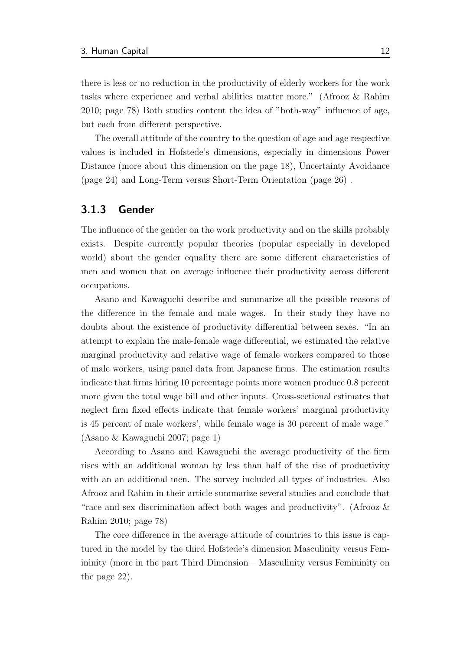there is less or no reduction in the productivity of elderly workers for the work tasks where experience and verbal abilities matter more." [\(Afrooz & Rahim](#page-60-3) [2010;](#page-60-3) page 78) Both studies content the idea of "both-way" influence of age, but each from different perspective.

The overall attitude of the country to the question of age and age respective values is included in Hofstede's dimensions, especially in dimensions Power Distance (more about this dimension on the page [18\)](#page-28-1), Uncertainty Avoidance (page [24\)](#page-34-0) and Long-Term versus Short-Term Orientation (page [26\)](#page-36-0) .

#### <span id="page-22-0"></span>3.1.3 Gender

The influence of the gender on the work productivity and on the skills probably exists. Despite currently popular theories (popular especially in developed world) about the gender equality there are some different characteristics of men and women that on average influence their productivity across different occupations.

Asano and Kawaguchi describe and summarize all the possible reasons of the difference in the female and male wages. In their study they have no doubts about the existence of productivity differential between sexes. "In an attempt to explain the male-female wage differential, we estimated the relative marginal productivity and relative wage of female workers compared to those of male workers, using panel data from Japanese firms. The estimation results indicate that firms hiring 10 percentage points more women produce 0.8 percent more given the total wage bill and other inputs. Cross-sectional estimates that neglect firm fixed effects indicate that female workers' marginal productivity is 45 percent of male workers', while female wage is 30 percent of male wage." [\(Asano & Kawaguchi](#page-60-5) [2007;](#page-60-5) page 1)

According to Asano and Kawaguchi the average productivity of the firm rises with an additional woman by less than half of the rise of productivity with an an additional men. The survey included all types of industries. Also Afrooz and Rahim in their article summarize several studies and conclude that "race and sex discrimination affect both wages and productivity". [\(Afrooz &](#page-60-3) [Rahim](#page-60-3) [2010;](#page-60-3) page 78)

The core difference in the average attitude of countries to this issue is captured in the model by the third Hofstede's dimension Masculinity versus Femininity (more in the part [Third Dimension – Masculinity versus Femininity](#page-32-0) on the page [22\)](#page-32-0).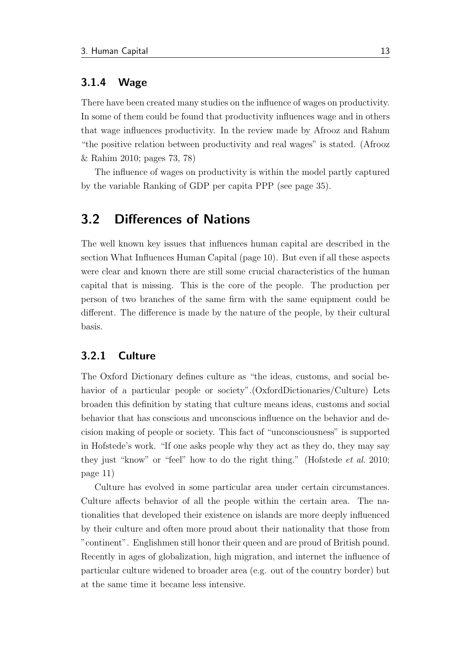#### <span id="page-23-0"></span>3.1.4 Wage

There have been created many studies on the influence of wages on productivity. In some of them could be found that productivity influences wage and in others that wage influences productivity. In the review made by Afrooz and Rahum "the positive relation between productivity and real wages" is stated. [\(Afrooz](#page-60-3) [& Rahim](#page-60-3) [2010;](#page-60-3) pages 73, 78)

The influence of wages on productivity is within the model partly captured by the variable Ranking of GDP per capita PPP (see page [35\)](#page-45-0).

### <span id="page-23-1"></span>3.2 Differences of Nations

The well known key issues that influences human capital are described in the section [What Influences Human Capital](#page-20-0) (page [10\)](#page-20-0). But even if all these aspects were clear and known there are still some crucial characteristics of the human capital that is missing. This is the core of the people. The production per person of two branches of the same firm with the same equipment could be different. The difference is made by the nature of the people, by their cultural basis.

#### <span id="page-23-2"></span>3.2.1 Culture

The Oxford Dictionary defines culture as "the ideas, customs, and social be-havior of a particular people or society". [\(OxfordDictionaries/](#page-63-4)Culture) Lets broaden this definition by stating that culture means ideas, customs and social behavior that has conscious and unconscious influence on the behavior and decision making of people or society. This fact of "unconsciousness" is supported in Hofstede's work. "If one asks people why they act as they do, they may say they just "know" or "feel" how to do the right thing." [\(Hofstede](#page-61-2) et al. [2010;](#page-61-2) page 11)

Culture has evolved in some particular area under certain circumstances. Culture affects behavior of all the people within the certain area. The nationalities that developed their existence on islands are more deeply influenced by their culture and often more proud about their nationality that those from "continent". Englishmen still honor their queen and are proud of British pound. Recently in ages of globalization, high migration, and internet the influence of particular culture widened to broader area (e.g. out of the country border) but at the same time it became less intensive.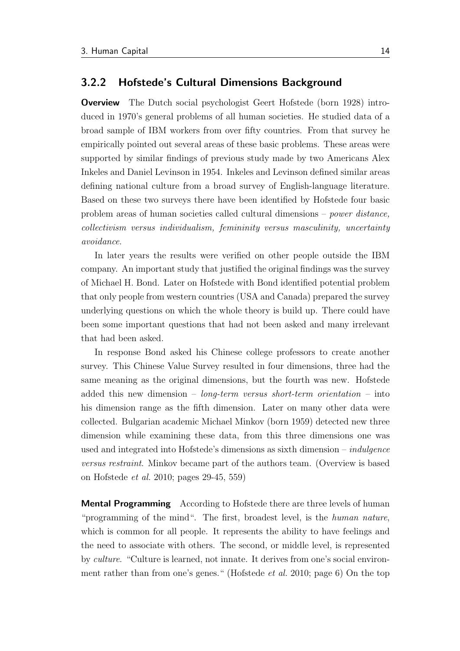#### <span id="page-24-0"></span>3.2.2 Hofstede's Cultural Dimensions Background

Overview The Dutch social psychologist Geert Hofstede (born 1928) introduced in 1970's general problems of all human societies. He studied data of a broad sample of IBM workers from over fifty countries. From that survey he empirically pointed out several areas of these basic problems. These areas were supported by similar findings of previous study made by two Americans Alex Inkeles and Daniel Levinson in 1954. Inkeles and Levinson defined similar areas defining national culture from a broad survey of English-language literature. Based on these two surveys there have been identified by Hofstede four basic problem areas of human societies called cultural dimensions – power distance, collectivism versus individualism, femininity versus masculinity, uncertainty avoidance.

In later years the results were verified on other people outside the IBM company. An important study that justified the original findings was the survey of Michael H. Bond. Later on Hofstede with Bond identified potential problem that only people from western countries (USA and Canada) prepared the survey underlying questions on which the whole theory is build up. There could have been some important questions that had not been asked and many irrelevant that had been asked.

In response Bond asked his Chinese college professors to create another survey. This Chinese Value Survey resulted in four dimensions, three had the same meaning as the original dimensions, but the fourth was new. Hofstede added this new dimension –  $\textit{lono-term}$  versus short-term orientation – into his dimension range as the fifth dimension. Later on many other data were collected. Bulgarian academic Michael Minkov (born 1959) detected new three dimension while examining these data, from this three dimensions one was used and integrated into Hofstede's dimensions as sixth dimension – *indulgence* versus restraint. Minkov became part of the authors team. (Overview is based on [Hofstede](#page-61-2) et al. [2010;](#page-61-2) pages 29-45, 559)

**Mental Programming** According to Hofstede there are three levels of human "programming of the mind". The first, broadest level, is the human nature, which is common for all people. It represents the ability to have feelings and the need to associate with others. The second, or middle level, is represented by culture. "Culture is learned, not innate. It derives from one's social environment rather than from one's genes." [\(Hofstede](#page-61-2) et al. [2010;](#page-61-2) page 6) On the top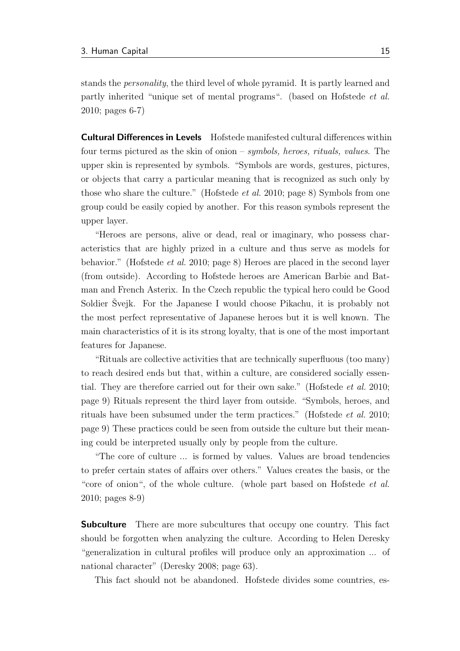stands the personality, the third level of whole pyramid. It is partly learned and partly inherited "unique set of mental programs". (based on [Hofstede](#page-61-2) et al. [2010;](#page-61-2) pages 6-7)

<span id="page-25-0"></span>Cultural Differences in Levels Hofstede manifested cultural differences within four terms pictured as the skin of onion – symbols, heroes, rituals, values. The upper skin is represented by symbols. "Symbols are words, gestures, pictures, or objects that carry a particular meaning that is recognized as such only by those who share the culture." [\(Hofstede](#page-61-2) *et al.* [2010;](#page-61-2) page 8) Symbols from one group could be easily copied by another. For this reason symbols represent the upper layer.

"Heroes are persons, alive or dead, real or imaginary, who possess characteristics that are highly prized in a culture and thus serve as models for behavior." [\(Hofstede](#page-61-2) et al. [2010;](#page-61-2) page 8) Heroes are placed in the second layer (from outside). According to Hofstede heroes are American Barbie and Batman and French Asterix. In the Czech republic the typical hero could be Good Soldier Švejk. For the Japanese I would choose Pikachu, it is probably not the most perfect representative of Japanese heroes but it is well known. The main characteristics of it is its strong loyalty, that is one of the most important features for Japanese.

"Rituals are collective activities that are technically superfluous (too many) to reach desired ends but that, within a culture, are considered socially essen-tial. They are therefore carried out for their own sake." [\(Hofstede](#page-61-2) *et al.* [2010;](#page-61-2) page 9) Rituals represent the third layer from outside. "Symbols, heroes, and rituals have been subsumed under the term practices." [\(Hofstede](#page-61-2) et al. [2010;](#page-61-2) page 9) These practices could be seen from outside the culture but their meaning could be interpreted usually only by people from the culture.

"The core of culture ... is formed by values. Values are broad tendencies to prefer certain states of affairs over others." Values creates the basis, or the "core of onion", of the whole culture. (whole part based on [Hofstede](#page-61-2) *et al.* [2010;](#page-61-2) pages 8-9)

**Subculture** There are more subcultures that occupy one country. This fact should be forgotten when analyzing the culture. According to Helen Deresky "generalization in cultural profiles will produce only an approximation ... of national character" [\(Deresky](#page-61-3) [2008;](#page-61-3) page 63).

This fact should not be abandoned. Hofstede divides some countries, es-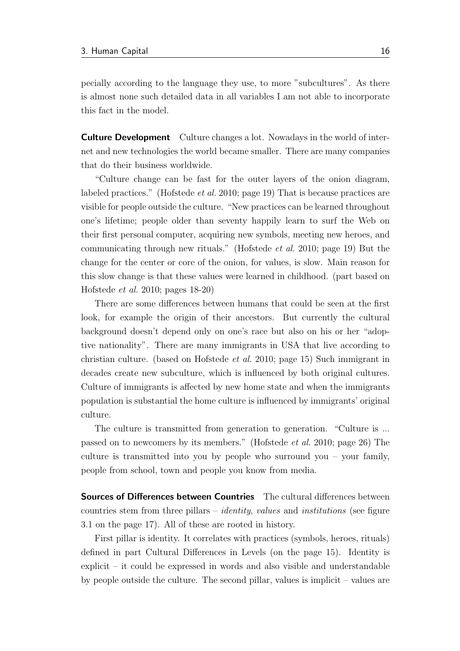pecially according to the language they use, to more "subcultures". As there is almost none such detailed data in all variables I am not able to incorporate this fact in the model.

Culture Development Culture changes a lot. Nowadays in the world of internet and new technologies the world became smaller. There are many companies that do their business worldwide.

"Culture change can be fast for the outer layers of the onion diagram, labeled practices." [\(Hofstede](#page-61-2) *et al.* [2010;](#page-61-2) page 19) That is because practices are visible for people outside the culture. "New practices can be learned throughout one's lifetime; people older than seventy happily learn to surf the Web on their first personal computer, acquiring new symbols, meeting new heroes, and communicating through new rituals." [\(Hofstede](#page-61-2) et al. [2010;](#page-61-2) page 19) But the change for the center or core of the onion, for values, is slow. Main reason for this slow change is that these values were learned in childhood. (part based on [Hofstede](#page-61-2) et al. [2010;](#page-61-2) pages 18-20)

There are some differences between humans that could be seen at the first look, for example the origin of their ancestors. But currently the cultural background doesn't depend only on one's race but also on his or her "adoptive nationality". There are many immigrants in USA that live according to christian culture. (based on [Hofstede](#page-61-2) et al. [2010;](#page-61-2) page 15) Such immigrant in decades create new subculture, which is influenced by both original cultures. Culture of immigrants is affected by new home state and when the immigrants population is substantial the home culture is influenced by immigrants' original culture.

The culture is transmitted from generation to generation. "Culture is ... passed on to newcomers by its members." [\(Hofstede](#page-61-2) et al. [2010;](#page-61-2) page 26) The culture is transmitted into you by people who surround you – your family, people from school, town and people you know from media.

Sources of Differences between Countries The cultural differences between countries stem from three pillars – *identity, values* and *institutions* (see figure [3.1](#page-27-0) on the page [17\)](#page-27-0). All of these are rooted in history.

First pillar is identity. It correlates with practices (symbols, heroes, rituals) defined in part [Cultural Differences in Levels](#page-25-0) (on the page [15\)](#page-25-0). Identity is explicit – it could be expressed in words and also visible and understandable by people outside the culture. The second pillar, values is implicit – values are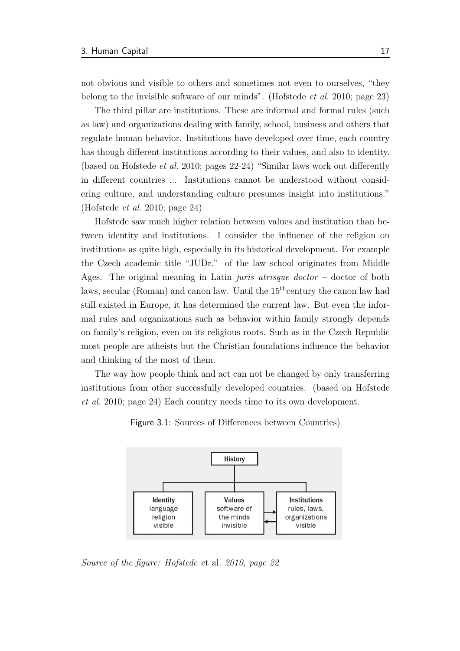not obvious and visible to others and sometimes not even to ourselves, "they belong to the invisible software of our minds". [\(Hofstede](#page-61-2) et al. [2010;](#page-61-2) page 23)

The third pillar are institutions. These are informal and formal rules (such as law) and organizations dealing with family, school, business and others that regulate human behavior. Institutions have developed over time, each country has though different institutions according to their values, and also to identity. (based on [Hofstede](#page-61-2) et al. [2010;](#page-61-2) pages 22-24) "Similar laws work out differently in different countries ... Institutions cannot be understood without considering culture, and understanding culture presumes insight into institutions." [\(Hofstede](#page-61-2) et al. [2010;](#page-61-2) page 24)

Hofstede saw much higher relation between values and institution than between identity and institutions. I consider the influence of the religion on institutions as quite high, especially in its historical development. For example the Czech academic title "JUDr." of the law school originates from Middle Ages. The original meaning in Latin *juris utrisque doctor* – doctor of both laws, secular (Roman) and canon law. Until the  $15<sup>th</sup>$ century the canon law had still existed in Europe, it has determined the current law. But even the informal rules and organizations such as behavior within family strongly depends on family's religion, even on its religious roots. Such as in the Czech Republic most people are atheists but the Christian foundations influence the behavior and thinking of the most of them.

<span id="page-27-0"></span>The way how people think and act can not be changed by only transferring institutions from other successfully developed countries. (based on [Hofstede](#page-61-2) [et al.](#page-61-2) [2010;](#page-61-2) page 24) Each country needs time to its own development.



Figure 3.1: Sources of Differences between Countries)

Source of the figure: [Hofstede](#page-61-2) et al. [2010,](#page-61-2) page 22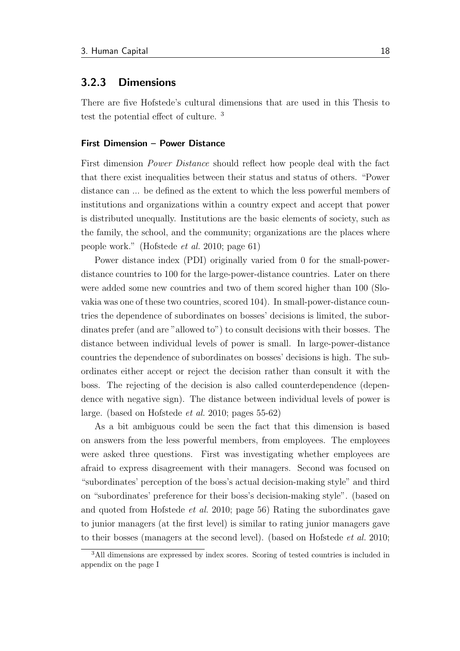#### <span id="page-28-0"></span>3.2.3 Dimensions

There are five Hofstede's cultural dimensions that are used in this Thesis to test the potential effect of culture. [3](#page-28-2)

#### <span id="page-28-1"></span>First Dimension – Power Distance

First dimension Power Distance should reflect how people deal with the fact that there exist inequalities between their status and status of others. "Power distance can ... be defined as the extent to which the less powerful members of institutions and organizations within a country expect and accept that power is distributed unequally. Institutions are the basic elements of society, such as the family, the school, and the community; organizations are the places where people work." [\(Hofstede](#page-61-2) et al. [2010;](#page-61-2) page 61)

Power distance index (PDI) originally varied from 0 for the small-powerdistance countries to 100 for the large-power-distance countries. Later on there were added some new countries and two of them scored higher than 100 (Slovakia was one of these two countries, scored 104). In small-power-distance countries the dependence of subordinates on bosses' decisions is limited, the subordinates prefer (and are "allowed to") to consult decisions with their bosses. The distance between individual levels of power is small. In large-power-distance countries the dependence of subordinates on bosses' decisions is high. The subordinates either accept or reject the decision rather than consult it with the boss. The rejecting of the decision is also called counterdependence (dependence with negative sign). The distance between individual levels of power is large. (based on [Hofstede](#page-61-2) et al. [2010;](#page-61-2) pages 55-62)

As a bit ambiguous could be seen the fact that this dimension is based on answers from the less powerful members, from employees. The employees were asked three questions. First was investigating whether employees are afraid to express disagreement with their managers. Second was focused on "subordinates' perception of the boss's actual decision-making style" and third on "subordinates' preference for their boss's decision-making style". (based on and quoted from [Hofstede](#page-61-2) et al. [2010;](#page-61-2) page 56) Rating the subordinates gave to junior managers (at the first level) is similar to rating junior managers gave to their bosses (managers at the second level). (based on [Hofstede](#page-61-2) et al. [2010;](#page-61-2)

<span id="page-28-2"></span><sup>&</sup>lt;sup>3</sup>All dimensions are expressed by index scores. Scoring of tested countries is included in appendix on the page [I](#page-66-0)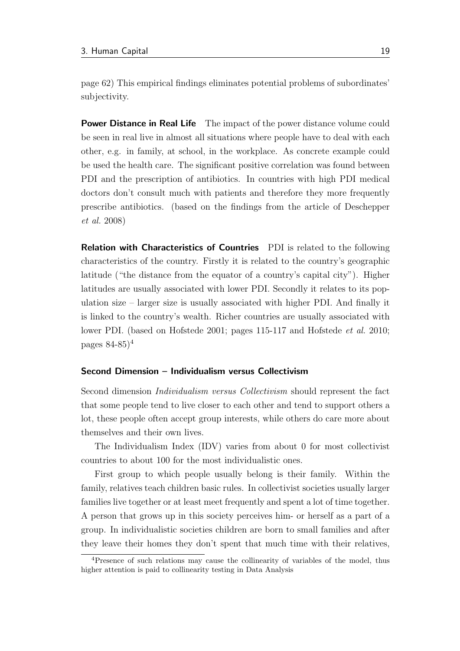page 62) This empirical findings eliminates potential problems of subordinates' subjectivity.

**Power Distance in Real Life** The impact of the power distance volume could be seen in real live in almost all situations where people have to deal with each other, e.g. in family, at school, in the workplace. As concrete example could be used the health care. The significant positive correlation was found between PDI and the prescription of antibiotics. In countries with high PDI medical doctors don't consult much with patients and therefore they more frequently prescribe antibiotics. (based on the findings from the article of [Deschepper](#page-61-4) [et al.](#page-61-4) [2008\)](#page-61-4)

**Relation with Characteristics of Countries** PDI is related to the following characteristics of the country. Firstly it is related to the country's geographic latitude ("the distance from the equator of a country's capital city"). Higher latitudes are usually associated with lower PDI. Secondly it relates to its population size – larger size is usually associated with higher PDI. And finally it is linked to the country's wealth. Richer countries are usually associated with lower PDI. (based on [Hofstede](#page-61-2) [2001;](#page-61-5) pages 115-117 and Hofstede *et al.* [2010;](#page-61-2) pages  $84-85$  $84-85$  $84-85$ <sup>4</sup>

#### Second Dimension – Individualism versus Collectivism

Second dimension Individualism versus Collectivism should represent the fact that some people tend to live closer to each other and tend to support others a lot, these people often accept group interests, while others do care more about themselves and their own lives.

The Individualism Index (IDV) varies from about 0 for most collectivist countries to about 100 for the most individualistic ones.

First group to which people usually belong is their family. Within the family, relatives teach children basic rules. In collectivist societies usually larger families live together or at least meet frequently and spent a lot of time together. A person that grows up in this society perceives him- or herself as a part of a group. In individualistic societies children are born to small families and after they leave their homes they don't spent that much time with their relatives,

<span id="page-29-0"></span><sup>&</sup>lt;sup>4</sup>Presence of such relations may cause the collinearity of variables of the model, thus higher attention is paid to collinearity testing in Data Analysis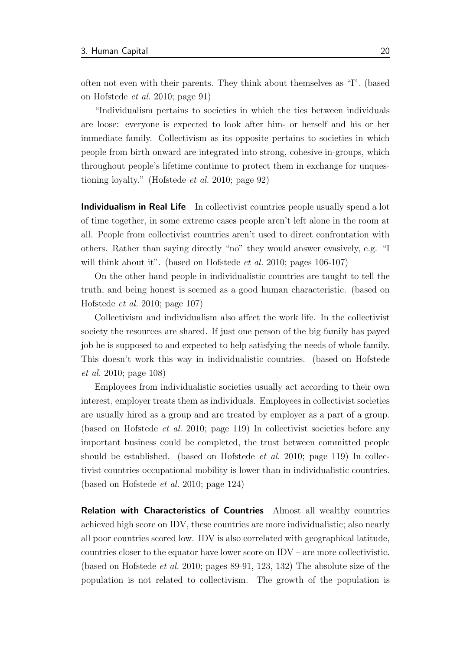often not even with their parents. They think about themselves as "I". (based on [Hofstede](#page-61-2) et al. [2010;](#page-61-2) page 91)

"Individualism pertains to societies in which the ties between individuals are loose: everyone is expected to look after him- or herself and his or her immediate family. Collectivism as its opposite pertains to societies in which people from birth onward are integrated into strong, cohesive in-groups, which throughout people's lifetime continue to protect them in exchange for unquestioning loyalty." [\(Hofstede](#page-61-2) et al. [2010;](#page-61-2) page 92)

Individualism in Real Life In collectivist countries people usually spend a lot of time together, in some extreme cases people aren't left alone in the room at all. People from collectivist countries aren't used to direct confrontation with others. Rather than saying directly "no" they would answer evasively, e.g. "I will think about it". (based on [Hofstede](#page-61-2) *et al.* [2010;](#page-61-2) pages 106-107)

On the other hand people in individualistic countries are taught to tell the truth, and being honest is seemed as a good human characteristic. (based on [Hofstede](#page-61-2) et al. [2010;](#page-61-2) page 107)

Collectivism and individualism also affect the work life. In the collectivist society the resources are shared. If just one person of the big family has payed job he is supposed to and expected to help satisfying the needs of whole family. This doesn't work this way in individualistic countries. (based on [Hofstede](#page-61-2) [et al.](#page-61-2) [2010;](#page-61-2) page 108)

Employees from individualistic societies usually act according to their own interest, employer treats them as individuals. Employees in collectivist societies are usually hired as a group and are treated by employer as a part of a group. (based on [Hofstede](#page-61-2) et al. [2010;](#page-61-2) page 119) In collectivist societies before any important business could be completed, the trust between committed people should be established. (based on [Hofstede](#page-61-2) *et al.* [2010;](#page-61-2) page 119) In collectivist countries occupational mobility is lower than in individualistic countries. (based on [Hofstede](#page-61-2) et al. [2010;](#page-61-2) page 124)

Relation with Characteristics of Countries Almost all wealthy countries achieved high score on IDV, these countries are more individualistic; also nearly all poor countries scored low. IDV is also correlated with geographical latitude, countries closer to the equator have lower score on IDV – are more collectivistic. (based on [Hofstede](#page-61-2) *et al.* [2010;](#page-61-2) pages  $89-91$ , 123, 132) The absolute size of the population is not related to collectivism. The growth of the population is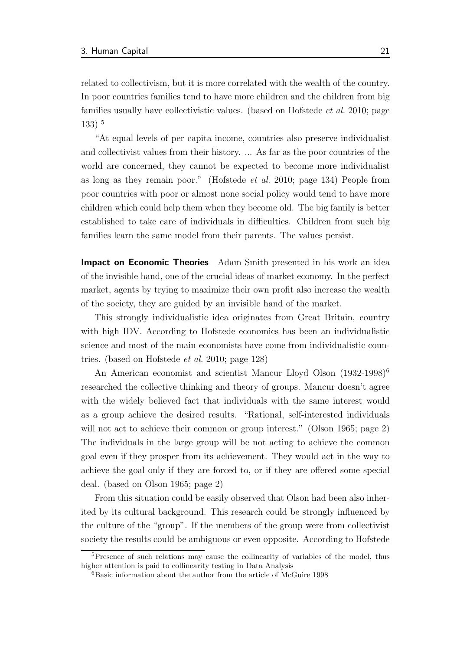related to collectivism, but it is more correlated with the wealth of the country. In poor countries families tend to have more children and the children from big families usually have collectivistic values. (based on [Hofstede](#page-61-2) *et al.* [2010;](#page-61-2) page 133) [5](#page-31-0)

"At equal levels of per capita income, countries also preserve individualist and collectivist values from their history. ... As far as the poor countries of the world are concerned, they cannot be expected to become more individualist as long as they remain poor." [\(Hofstede](#page-61-2) et al. [2010;](#page-61-2) page 134) People from poor countries with poor or almost none social policy would tend to have more children which could help them when they become old. The big family is better established to take care of individuals in difficulties. Children from such big families learn the same model from their parents. The values persist.

**Impact on Economic Theories** Adam Smith presented in his work an idea of the invisible hand, one of the crucial ideas of market economy. In the perfect market, agents by trying to maximize their own profit also increase the wealth of the society, they are guided by an invisible hand of the market.

This strongly individualistic idea originates from Great Britain, country with high IDV. According to Hofstede economics has been an individualistic science and most of the main economists have come from individualistic countries. (based on [Hofstede](#page-61-2) et al. [2010;](#page-61-2) page 128)

An American economist and scientist Mancur Lloyd Olson (1932-1998)<sup>[6](#page-31-1)</sup> researched the collective thinking and theory of groups. Mancur doesn't agree with the widely believed fact that individuals with the same interest would as a group achieve the desired results. "Rational, self-interested individuals will not act to achieve their common or group interest." [\(Olson](#page-63-5) [1965;](#page-63-5) page 2) The individuals in the large group will be not acting to achieve the common goal even if they prosper from its achievement. They would act in the way to achieve the goal only if they are forced to, or if they are offered some special deal. (based on [Olson](#page-63-5) [1965;](#page-63-5) page 2)

From this situation could be easily observed that Olson had been also inherited by its cultural background. This research could be strongly influenced by the culture of the "group". If the members of the group were from collectivist society the results could be ambiguous or even opposite. According to Hofstede

<span id="page-31-0"></span><sup>5</sup>Presence of such relations may cause the collinearity of variables of the model, thus higher attention is paid to collinearity testing in Data Analysis

<span id="page-31-1"></span> ${}^{6}$ Basic information about the author from the article of [McGuire](#page-63-6) [1998](#page-63-6)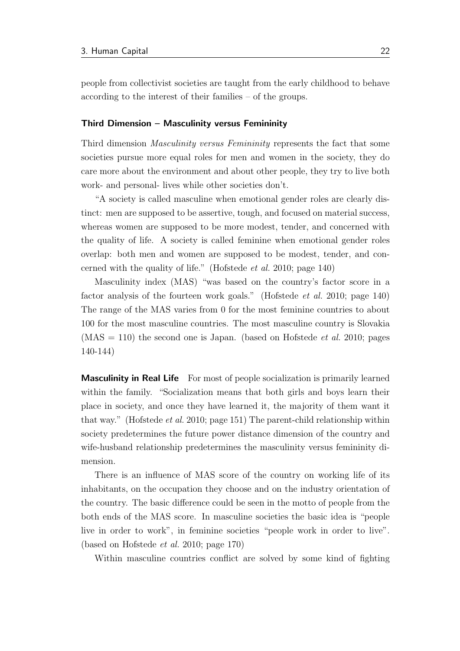people from collectivist societies are taught from the early childhood to behave according to the interest of their families – of the groups.

#### <span id="page-32-0"></span>Third Dimension – Masculinity versus Femininity

Third dimension *Masculinity versus Femininity* represents the fact that some societies pursue more equal roles for men and women in the society, they do care more about the environment and about other people, they try to live both work- and personal- lives while other societies don't.

"A society is called masculine when emotional gender roles are clearly distinct: men are supposed to be assertive, tough, and focused on material success, whereas women are supposed to be more modest, tender, and concerned with the quality of life. A society is called feminine when emotional gender roles overlap: both men and women are supposed to be modest, tender, and concerned with the quality of life." [\(Hofstede](#page-61-2) et al. [2010;](#page-61-2) page 140)

Masculinity index (MAS) "was based on the country's factor score in a factor analysis of the fourteen work goals." [\(Hofstede](#page-61-2) *et al.* [2010;](#page-61-2) page 140) The range of the MAS varies from 0 for the most feminine countries to about 100 for the most masculine countries. The most masculine country is Slovakia  $(MAS = 110)$  the second one is Japan. (based on [Hofstede](#page-61-2) *et al.* [2010;](#page-61-2) pages 140-144)

**Masculinity in Real Life** For most of people socialization is primarily learned within the family. "Socialization means that both girls and boys learn their place in society, and once they have learned it, the majority of them want it that way." [\(Hofstede](#page-61-2) et al. [2010;](#page-61-2) page 151) The parent-child relationship within society predetermines the future power distance dimension of the country and wife-husband relationship predetermines the masculinity versus femininity dimension.

There is an influence of MAS score of the country on working life of its inhabitants, on the occupation they choose and on the industry orientation of the country. The basic difference could be seen in the motto of people from the both ends of the MAS score. In masculine societies the basic idea is "people live in order to work", in feminine societies "people work in order to live". (based on [Hofstede](#page-61-2) et al. [2010;](#page-61-2) page 170)

Within masculine countries conflict are solved by some kind of fighting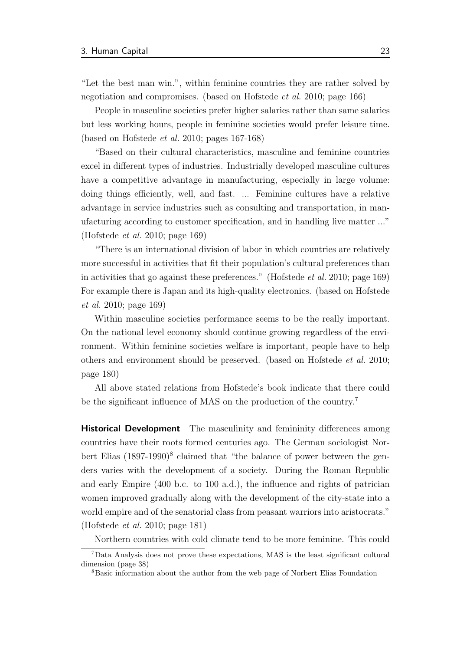"Let the best man win.", within feminine countries they are rather solved by negotiation and compromises. (based on [Hofstede](#page-61-2) et al. [2010;](#page-61-2) page 166)

People in masculine societies prefer higher salaries rather than same salaries but less working hours, people in feminine societies would prefer leisure time. (based on [Hofstede](#page-61-2) et al. [2010;](#page-61-2) pages 167-168)

"Based on their cultural characteristics, masculine and feminine countries excel in different types of industries. Industrially developed masculine cultures have a competitive advantage in manufacturing, especially in large volume: doing things efficiently, well, and fast. ... Feminine cultures have a relative advantage in service industries such as consulting and transportation, in manufacturing according to customer specification, and in handling live matter ..." [\(Hofstede](#page-61-2) et al. [2010;](#page-61-2) page 169)

"There is an international division of labor in which countries are relatively more successful in activities that fit their population's cultural preferences than in activities that go against these preferences." [\(Hofstede](#page-61-2) et al. [2010;](#page-61-2) page 169) For example there is Japan and its high-quality electronics. (based on [Hofstede](#page-61-2) [et al.](#page-61-2) [2010;](#page-61-2) page 169)

Within masculine societies performance seems to be the really important. On the national level economy should continue growing regardless of the environment. Within feminine societies welfare is important, people have to help others and environment should be preserved. (based on [Hofstede](#page-61-2) et al. [2010;](#page-61-2) page 180)

All above stated relations from Hofstede's book indicate that there could be the significant influence of MAS on the production of the country.[7](#page-33-0)

**Historical Development** The masculinity and femininity differences among countries have their roots formed centuries ago. The German sociologist Norbert Elias  $(1897-1990)^8$  $(1897-1990)^8$  $(1897-1990)^8$  claimed that "the balance of power between the genders varies with the development of a society. During the Roman Republic and early Empire (400 b.c. to 100 a.d.), the influence and rights of patrician women improved gradually along with the development of the city-state into a world empire and of the senatorial class from peasant warriors into aristocrats." [\(Hofstede](#page-61-2) et al. [2010;](#page-61-2) page 181)

Northern countries with cold climate tend to be more feminine. This could

<span id="page-33-0"></span><sup>7</sup>Data Analysis does not prove these expectations, MAS is the least significant cultural dimension (page [38\)](#page-48-0)

<span id="page-33-1"></span><sup>8</sup>Basic information about the author from the web page of Norbert Elias Foundation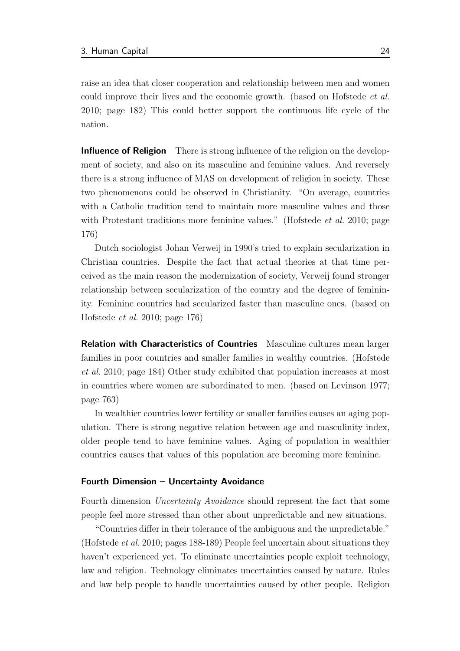raise an idea that closer cooperation and relationship between men and women could improve their lives and the economic growth. (based on [Hofstede](#page-61-2) et al. [2010;](#page-61-2) page 182) This could better support the continuous life cycle of the nation.

**Influence of Religion** There is strong influence of the religion on the development of society, and also on its masculine and feminine values. And reversely there is a strong influence of MAS on development of religion in society. These two phenomenons could be observed in Christianity. "On average, countries with a Catholic tradition tend to maintain more masculine values and those with Protestant traditions more feminine values." [\(Hofstede](#page-61-2) *et al.* [2010;](#page-61-2) page 176)

Dutch sociologist Johan Verweij in 1990's tried to explain secularization in Christian countries. Despite the fact that actual theories at that time perceived as the main reason the modernization of society, Verweij found stronger relationship between secularization of the country and the degree of femininity. Feminine countries had secularized faster than masculine ones. (based on [Hofstede](#page-61-2) et al. [2010;](#page-61-2) page 176)

Relation with Characteristics of Countries Masculine cultures mean larger families in poor countries and smaller families in wealthy countries. [\(Hofstede](#page-61-2) [et al.](#page-61-2) [2010;](#page-61-2) page 184) Other study exhibited that population increases at most in countries where women are subordinated to men. (based on [Levinson](#page-62-1) [1977;](#page-62-1) page 763)

In wealthier countries lower fertility or smaller families causes an aging population. There is strong negative relation between age and masculinity index, older people tend to have feminine values. Aging of population in wealthier countries causes that values of this population are becoming more feminine.

#### <span id="page-34-0"></span>Fourth Dimension – Uncertainty Avoidance

Fourth dimension *Uncertainty Avoidance* should represent the fact that some people feel more stressed than other about unpredictable and new situations.

"Countries differ in their tolerance of the ambiguous and the unpredictable." [\(Hofstede](#page-61-2) et al. [2010;](#page-61-2) pages 188-189) People feel uncertain about situations they haven't experienced yet. To eliminate uncertainties people exploit technology, law and religion. Technology eliminates uncertainties caused by nature. Rules and law help people to handle uncertainties caused by other people. Religion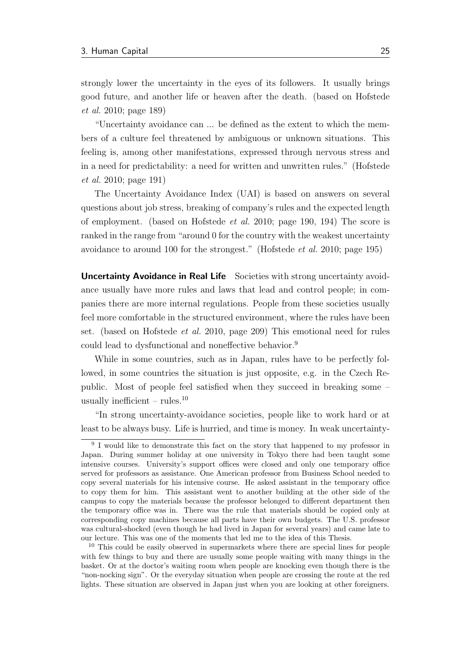strongly lower the uncertainty in the eyes of its followers. It usually brings good future, and another life or heaven after the death. (based on [Hofstede](#page-61-2) [et al.](#page-61-2) [2010;](#page-61-2) page 189)

"Uncertainty avoidance can ... be defined as the extent to which the members of a culture feel threatened by ambiguous or unknown situations. This feeling is, among other manifestations, expressed through nervous stress and in a need for predictability: a need for written and unwritten rules." [\(Hofstede](#page-61-2) [et al.](#page-61-2) [2010;](#page-61-2) page 191)

The Uncertainty Avoidance Index (UAI) is based on answers on several questions about job stress, breaking of company's rules and the expected length of employment. (based on [Hofstede](#page-61-2) *et al.* [2010;](#page-61-2) page 190, 194) The score is ranked in the range from "around 0 for the country with the weakest uncertainty avoidance to around 100 for the strongest." [\(Hofstede](#page-61-2) et al. [2010;](#page-61-2) page 195)

Uncertainty Avoidance in Real Life Societies with strong uncertainty avoidance usually have more rules and laws that lead and control people; in companies there are more internal regulations. People from these societies usually feel more comfortable in the structured environment, where the rules have been set. (based on [Hofstede](#page-61-2) et al. [2010,](#page-61-2) page 209) This emotional need for rules could lead to dysfunctional and noneffective behavior.[9](#page-35-0)

While in some countries, such as in Japan, rules have to be perfectly followed, in some countries the situation is just opposite, e.g. in the Czech Republic. Most of people feel satisfied when they succeed in breaking some – usually inefficient – rules. $10$ 

"In strong uncertainty-avoidance societies, people like to work hard or at least to be always busy. Life is hurried, and time is money. In weak uncertainty-

<span id="page-35-0"></span><sup>&</sup>lt;sup>9</sup> I would like to demonstrate this fact on the story that happened to my professor in Japan. During summer holiday at one university in Tokyo there had been taught some intensive courses. University's support offices were closed and only one temporary office served for professors as assistance. One American professor from Business School needed to copy several materials for his intensive course. He asked assistant in the temporary office to copy them for him. This assistant went to another building at the other side of the campus to copy the materials because the professor belonged to different department then the temporary office was in. There was the rule that materials should be copied only at corresponding copy machines because all parts have their own budgets. The U.S. professor was cultural-shocked (even though he had lived in Japan for several years) and came late to our lecture. This was one of the moments that led me to the idea of this Thesis.

<span id="page-35-1"></span><sup>&</sup>lt;sup>10</sup> This could be easily observed in supermarkets where there are special lines for people with few things to buy and there are usually some people waiting with many things in the basket. Or at the doctor's waiting room when people are knocking even though there is the "non-nocking sign". Or the everyday situation when people are crossing the route at the red lights. These situation are observed in Japan just when you are looking at other foreigners.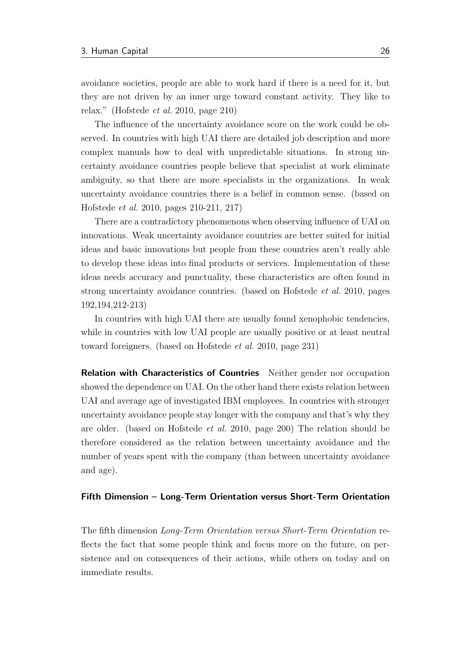avoidance societies, people are able to work hard if there is a need for it, but they are not driven by an inner urge toward constant activity. They like to relax." [\(Hofstede](#page-61-0) et al. [2010,](#page-61-0) page 210)

The influence of the uncertainty avoidance score on the work could be observed. In countries with high UAI there are detailed job description and more complex manuals how to deal with unpredictable situations. In strong uncertainty avoidance countries people believe that specialist at work eliminate ambiguity, so that there are more specialists in the organizations. In weak uncertainty avoidance countries there is a belief in common sense. (based on [Hofstede](#page-61-0) et al. [2010,](#page-61-0) pages 210-211, 217)

There are a contradictory phenomenons when observing influence of UAI on innovations. Weak uncertainty avoidance countries are better suited for initial ideas and basic innovations but people from these countries aren't really able to develop these ideas into final products or services. Implementation of these ideas needs accuracy and punctuality, these characteristics are often found in strong uncertainty avoidance countries. (based on [Hofstede](#page-61-0) et al. [2010,](#page-61-0) pages 192,194,212-213)

In countries with high UAI there are usually found xenophobic tendencies, while in countries with low UAI people are usually positive or at least neutral toward foreigners. (based on [Hofstede](#page-61-0) et al. [2010,](#page-61-0) page 231)

Relation with Characteristics of Countries Neither gender nor occupation showed the dependence on UAI. On the other hand there exists relation between UAI and average age of investigated IBM employees. In countries with stronger uncertainty avoidance people stay longer with the company and that's why they are older. (based on [Hofstede](#page-61-0) et al. [2010,](#page-61-0) page 200) The relation should be therefore considered as the relation between uncertainty avoidance and the number of years spent with the company (than between uncertainty avoidance and age).

### Fifth Dimension – Long-Term Orientation versus Short-Term Orientation

The fifth dimension Long-Term Orientation versus Short-Term Orientation reflects the fact that some people think and focus more on the future, on persistence and on consequences of their actions, while others on today and on immediate results.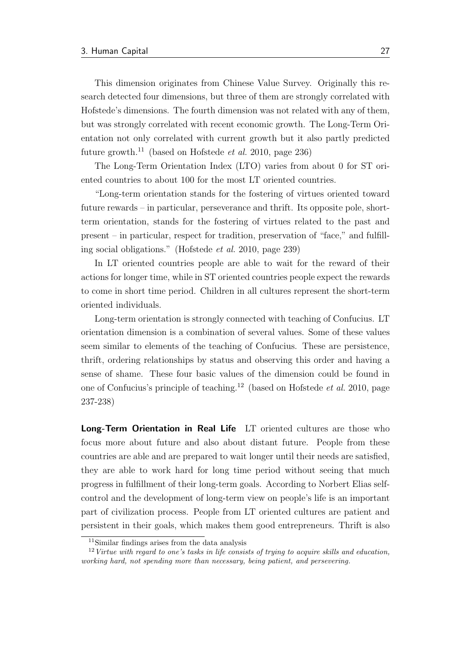This dimension originates from Chinese Value Survey. Originally this research detected four dimensions, but three of them are strongly correlated with Hofstede's dimensions. The fourth dimension was not related with any of them, but was strongly correlated with recent economic growth. The Long-Term Orientation not only correlated with current growth but it also partly predicted future growth.<sup>[11](#page-37-0)</sup> (based on [Hofstede](#page-61-0) *et al.* [2010,](#page-61-0) page 236)

The Long-Term Orientation Index (LTO) varies from about 0 for ST oriented countries to about 100 for the most LT oriented countries.

"Long-term orientation stands for the fostering of virtues oriented toward future rewards – in particular, perseverance and thrift. Its opposite pole, shortterm orientation, stands for the fostering of virtues related to the past and present – in particular, respect for tradition, preservation of "face," and fulfilling social obligations." [\(Hofstede](#page-61-0) et al. [2010,](#page-61-0) page 239)

In LT oriented countries people are able to wait for the reward of their actions for longer time, while in ST oriented countries people expect the rewards to come in short time period. Children in all cultures represent the short-term oriented individuals.

Long-term orientation is strongly connected with teaching of Confucius. LT orientation dimension is a combination of several values. Some of these values seem similar to elements of the teaching of Confucius. These are persistence, thrift, ordering relationships by status and observing this order and having a sense of shame. These four basic values of the dimension could be found in one of Confucius's principle of teaching.<sup>[12](#page-37-1)</sup> (based on [Hofstede](#page-61-0) *et al.* [2010,](#page-61-0) page 237-238)

Long-Term Orientation in Real Life LT oriented cultures are those who focus more about future and also about distant future. People from these countries are able and are prepared to wait longer until their needs are satisfied, they are able to work hard for long time period without seeing that much progress in fulfillment of their long-term goals. According to Norbert Elias selfcontrol and the development of long-term view on people's life is an important part of civilization process. People from LT oriented cultures are patient and persistent in their goals, which makes them good entrepreneurs. Thrift is also

<span id="page-37-1"></span><span id="page-37-0"></span><sup>11</sup>Similar findings arises from the data analysis

 $12$  Virtue with regard to one's tasks in life consists of trying to acquire skills and education, working hard, not spending more than necessary, being patient, and persevering.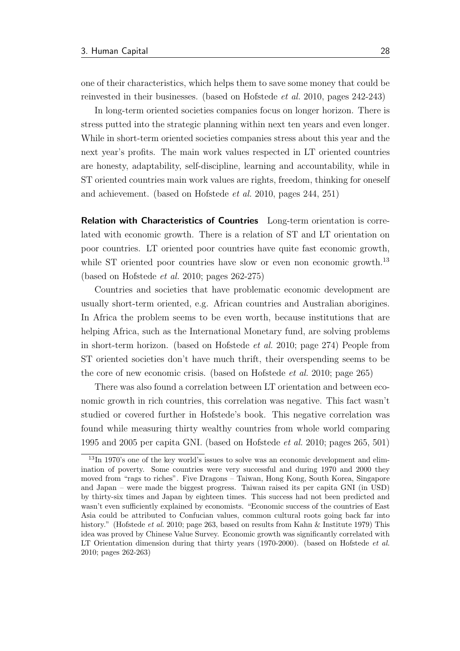one of their characteristics, which helps them to save some money that could be reinvested in their businesses. (based on [Hofstede](#page-61-0) et al. [2010,](#page-61-0) pages 242-243)

In long-term oriented societies companies focus on longer horizon. There is stress putted into the strategic planning within next ten years and even longer. While in short-term oriented societies companies stress about this year and the next year's profits. The main work values respected in LT oriented countries are honesty, adaptability, self-discipline, learning and accountability, while in ST oriented countries main work values are rights, freedom, thinking for oneself and achievement. (based on [Hofstede](#page-61-0) et al. [2010,](#page-61-0) pages 244, 251)

Relation with Characteristics of Countries Long-term orientation is correlated with economic growth. There is a relation of ST and LT orientation on poor countries. LT oriented poor countries have quite fast economic growth, while ST oriented poor countries have slow or even non economic growth.<sup>[13](#page-38-0)</sup> (based on [Hofstede](#page-61-0) et al. [2010;](#page-61-0) pages 262-275)

Countries and societies that have problematic economic development are usually short-term oriented, e.g. African countries and Australian aborigines. In Africa the problem seems to be even worth, because institutions that are helping Africa, such as the International Monetary fund, are solving problems in short-term horizon. (based on [Hofstede](#page-61-0) et al. [2010;](#page-61-0) page 274) People from ST oriented societies don't have much thrift, their overspending seems to be the core of new economic crisis. (based on [Hofstede](#page-61-0) et al. [2010;](#page-61-0) page 265)

There was also found a correlation between LT orientation and between economic growth in rich countries, this correlation was negative. This fact wasn't studied or covered further in Hofstede's book. This negative correlation was found while measuring thirty wealthy countries from whole world comparing 1995 and 2005 per capita GNI. (based on [Hofstede](#page-61-0) et al. [2010;](#page-61-0) pages 265, 501)

<span id="page-38-0"></span><sup>&</sup>lt;sup>13</sup>In 1970's one of the key world's issues to solve was an economic development and elimination of poverty. Some countries were very successful and during 1970 and 2000 they moved from "rags to riches". Five Dragons – Taiwan, Hong Kong, South Korea, Singapore and Japan – were made the biggest progress. Taiwan raised its per capita GNI (in USD) by thirty-six times and Japan by eighteen times. This success had not been predicted and wasn't even sufficiently explained by economists. "Economic success of the countries of East Asia could be attributed to Confucian values, common cultural roots going back far into history." [\(Hofstede](#page-61-0) *et al.* [2010;](#page-61-0) page 263, based on results from [Kahn & Institute](#page-62-0) [1979\)](#page-62-0) This idea was proved by Chinese Value Survey. Economic growth was significantly correlated with LT Orientation dimension during that thirty years (1970-2000). (based on [Hofstede](#page-61-0) *et al.* [2010;](#page-61-0) pages 262-263)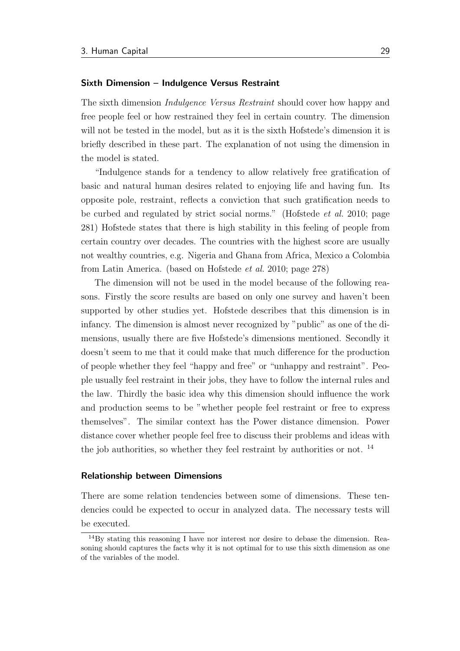### Sixth Dimension – Indulgence Versus Restraint

The sixth dimension Indulgence Versus Restraint should cover how happy and free people feel or how restrained they feel in certain country. The dimension will not be tested in the model, but as it is the sixth Hofstede's dimension it is briefly described in these part. The explanation of not using the dimension in the model is stated.

"Indulgence stands for a tendency to allow relatively free gratification of basic and natural human desires related to enjoying life and having fun. Its opposite pole, restraint, reflects a conviction that such gratification needs to be curbed and regulated by strict social norms." [\(Hofstede](#page-61-0) et al. [2010;](#page-61-0) page 281) Hofstede states that there is high stability in this feeling of people from certain country over decades. The countries with the highest score are usually not wealthy countries, e.g. Nigeria and Ghana from Africa, Mexico a Colombia from Latin America. (based on [Hofstede](#page-61-0) et al. [2010;](#page-61-0) page 278)

The dimension will not be used in the model because of the following reasons. Firstly the score results are based on only one survey and haven't been supported by other studies yet. Hofstede describes that this dimension is in infancy. The dimension is almost never recognized by "public" as one of the dimensions, usually there are five Hofstede's dimensions mentioned. Secondly it doesn't seem to me that it could make that much difference for the production of people whether they feel "happy and free" or "unhappy and restraint". People usually feel restraint in their jobs, they have to follow the internal rules and the law. Thirdly the basic idea why this dimension should influence the work and production seems to be "whether people feel restraint or free to express themselves". The similar context has the Power distance dimension. Power distance cover whether people feel free to discuss their problems and ideas with the job authorities, so whether they feel restraint by authorities or not.  $^{14}$  $^{14}$  $^{14}$ 

### Relationship between Dimensions

There are some relation tendencies between some of dimensions. These tendencies could be expected to occur in analyzed data. The necessary tests will be executed.

<span id="page-39-0"></span><sup>&</sup>lt;sup>14</sup>By stating this reasoning I have nor interest nor desire to debase the dimension. Reasoning should captures the facts why it is not optimal for to use this sixth dimension as one of the variables of the model.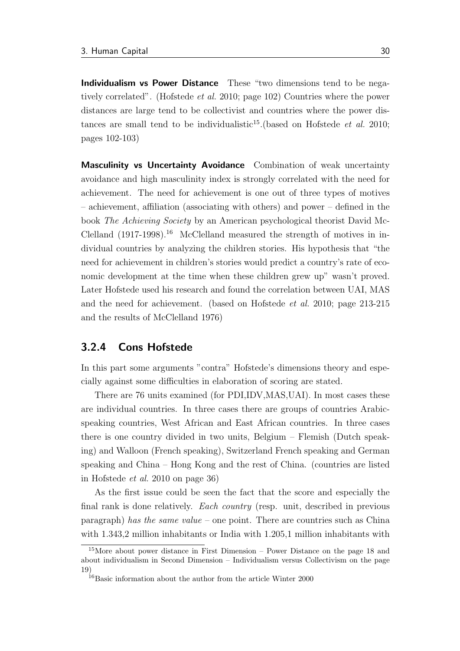Individualism vs Power Distance These "two dimensions tend to be negatively correlated". [\(Hofstede](#page-61-0) et al. [2010;](#page-61-0) page 102) Countries where the power distances are large tend to be collectivist and countries where the power dis-tances are small tend to be individualistic<sup>[15](#page-40-0)</sup>. (based on [Hofstede](#page-61-0) *et al.* [2010;](#page-61-0) pages 102-103)

Masculinity vs Uncertainty Avoidance Combination of weak uncertainty avoidance and high masculinity index is strongly correlated with the need for achievement. The need for achievement is one out of three types of motives – achievement, affiliation (associating with others) and power – defined in the book The Achieving Society by an American psychological theorist David Mc-Clelland  $(1917-1998).$ <sup>[16](#page-40-1)</sup> McClelland measured the strength of motives in individual countries by analyzing the children stories. His hypothesis that "the need for achievement in children's stories would predict a country's rate of economic development at the time when these children grew up" wasn't proved. Later Hofstede used his research and found the correlation between UAI, MAS and the need for achievement. (based on [Hofstede](#page-61-0) et al. [2010;](#page-61-0) page 213-215 and the results of [McClelland](#page-63-0) [1976\)](#page-63-0)

### 3.2.4 Cons Hofstede

In this part some arguments "contra" Hofstede's dimensions theory and especially against some difficulties in elaboration of scoring are stated.

There are 76 units examined (for PDI,IDV,MAS,UAI). In most cases these are individual countries. In three cases there are groups of countries Arabicspeaking countries, West African and East African countries. In three cases there is one country divided in two units, Belgium – Flemish (Dutch speaking) and Walloon (French speaking), Switzerland French speaking and German speaking and China – Hong Kong and the rest of China. (countries are listed in [Hofstede](#page-61-0) et al. [2010](#page-61-0) on page 36)

As the first issue could be seen the fact that the score and especially the final rank is done relatively. Each country (resp. unit, described in previous  $\alpha$  paragraph) has the same value – one point. There are countries such as China with 1.343,2 million inhabitants or India with 1.205,1 million inhabitants with

<span id="page-40-0"></span><sup>15</sup>More about power distance in [First Dimension – Power Distance](#page-28-0) on the page [18](#page-28-0) and about individualism in [Second Dimension – Individualism versus Collectivism](#page-29-0) on the page [19\)](#page-29-0)

<span id="page-40-1"></span> $16B$ asic information about the author from the article [Winter](#page-64-0) [2000](#page-64-0)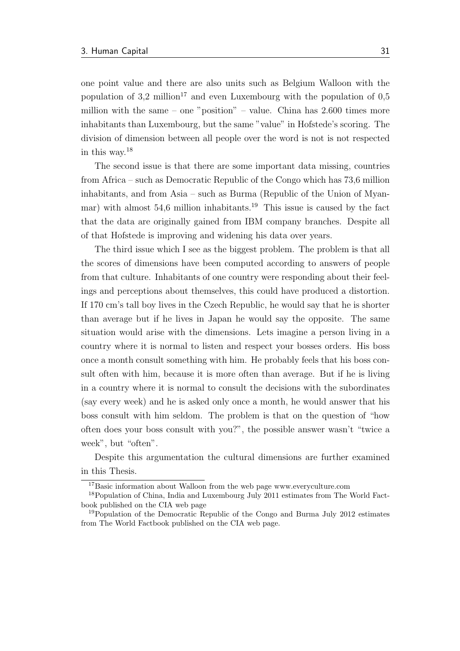one point value and there are also units such as Belgium Walloon with the population of  $3.2 \text{ million}^{17}$  $3.2 \text{ million}^{17}$  $3.2 \text{ million}^{17}$  and even Luxembourg with the population of  $0.5$ million with the same – one "position" – value. China has  $2.600$  times more inhabitants than Luxembourg, but the same "value" in Hofstede's scoring. The division of dimension between all people over the word is not is not respected in this way.[18](#page-41-1)

The second issue is that there are some important data missing, countries from Africa – such as Democratic Republic of the Congo which has 73,6 million inhabitants, and from Asia – such as Burma (Republic of the Union of Myan-mar) with almost 54,6 million inhabitants.<sup>[19](#page-41-2)</sup> This issue is caused by the fact that the data are originally gained from IBM company branches. Despite all of that Hofstede is improving and widening his data over years.

The third issue which I see as the biggest problem. The problem is that all the scores of dimensions have been computed according to answers of people from that culture. Inhabitants of one country were responding about their feelings and perceptions about themselves, this could have produced a distortion. If 170 cm's tall boy lives in the Czech Republic, he would say that he is shorter than average but if he lives in Japan he would say the opposite. The same situation would arise with the dimensions. Lets imagine a person living in a country where it is normal to listen and respect your bosses orders. His boss once a month consult something with him. He probably feels that his boss consult often with him, because it is more often than average. But if he is living in a country where it is normal to consult the decisions with the subordinates (say every week) and he is asked only once a month, he would answer that his boss consult with him seldom. The problem is that on the question of "how often does your boss consult with you?", the possible answer wasn't "twice a week", but "often".

Despite this argumentation the cultural dimensions are further examined in this Thesis.

<span id="page-41-1"></span><span id="page-41-0"></span><sup>&</sup>lt;sup>17</sup>Basic information about Walloon from the web page [www.everyculture.com](#page-65-0)

<sup>18</sup>Population of China, India and Luxembourg July 2011 estimates from The World Factbook published on the CIA web page

<span id="page-41-2"></span><sup>19</sup>Population of the Democratic Republic of the Congo and Burma July 2012 estimates from The World Factbook published on the CIA web page.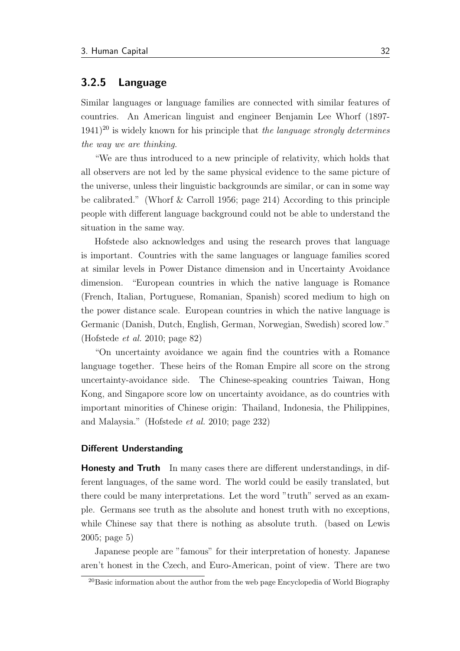### 3.2.5 Language

Similar languages or language families are connected with similar features of countries. An American linguist and engineer Benjamin Lee Whorf (1897-  $1941$ <sup>[20](#page-42-0)</sup> is widely known for his principle that the language strongly determines the way we are thinking.

"We are thus introduced to a new principle of relativity, which holds that all observers are not led by the same physical evidence to the same picture of the universe, unless their linguistic backgrounds are similar, or can in some way be calibrated." [\(Whorf & Carroll](#page-64-1) [1956;](#page-64-1) page 214) According to this principle people with different language background could not be able to understand the situation in the same way.

Hofstede also acknowledges and using the research proves that language is important. Countries with the same languages or language families scored at similar levels in Power Distance dimension and in Uncertainty Avoidance dimension. "European countries in which the native language is Romance (French, Italian, Portuguese, Romanian, Spanish) scored medium to high on the power distance scale. European countries in which the native language is Germanic (Danish, Dutch, English, German, Norwegian, Swedish) scored low." [\(Hofstede](#page-61-0) et al. [2010;](#page-61-0) page 82)

"On uncertainty avoidance we again find the countries with a Romance language together. These heirs of the Roman Empire all score on the strong uncertainty-avoidance side. The Chinese-speaking countries Taiwan, Hong Kong, and Singapore score low on uncertainty avoidance, as do countries with important minorities of Chinese origin: Thailand, Indonesia, the Philippines, and Malaysia." [\(Hofstede](#page-61-0) et al. [2010;](#page-61-0) page 232)

### Different Understanding

**Honesty and Truth** In many cases there are different understandings, in different languages, of the same word. The world could be easily translated, but there could be many interpretations. Let the word "truth" served as an example. Germans see truth as the absolute and honest truth with no exceptions, while Chinese say that there is nothing as absolute truth. (based on [Lewis](#page-62-1) [2005;](#page-62-1) page 5)

Japanese people are "famous" for their interpretation of honesty. Japanese aren't honest in the Czech, and Euro-American, point of view. There are two

<span id="page-42-0"></span> $^{20}$ Basic information about the author from the web page Encyclopedia of World Biography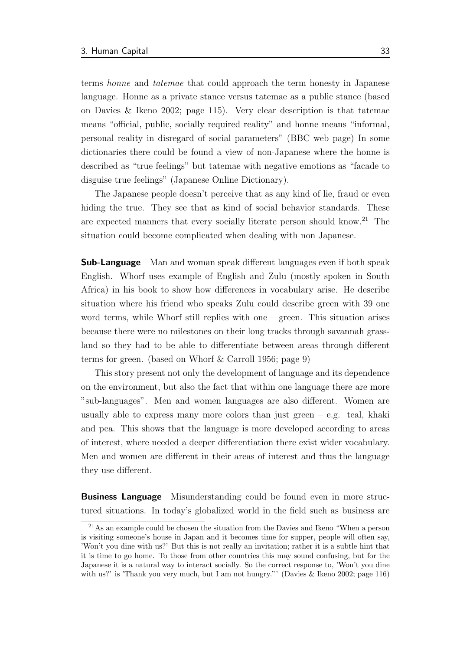terms honne and tatemae that could approach the term honesty in Japanese language. Honne as a private stance versus tatemae as a public stance (based on [Davies & Ikeno](#page-60-0) [2002;](#page-60-0) page 115). Very clear description is that tatemae means "official, public, socially required reality" and honne means "informal, personal reality in disregard of social parameters" [\(BBC](#page-60-1) web page) In some dictionaries there could be found a view of non-Japanese where the honne is described as "true feelings" but tatemae with negative emotions as "facade to disguise true feelings" [\(Japanese Online Dictionary\)](#page-61-1).

The Japanese people doesn't perceive that as any kind of lie, fraud or even hiding the true. They see that as kind of social behavior standards. These are expected manners that every socially literate person should know.<sup>[21](#page-43-0)</sup> The situation could become complicated when dealing with non Japanese.

**Sub-Language** Man and woman speak different languages even if both speak English. Whorf uses example of English and Zulu (mostly spoken in South Africa) in his book to show how differences in vocabulary arise. He describe situation where his friend who speaks Zulu could describe green with 39 one word terms, while Whorf still replies with one – green. This situation arises because there were no milestones on their long tracks through savannah grassland so they had to be able to differentiate between areas through different terms for green. (based on [Whorf & Carroll](#page-64-1) [1956;](#page-64-1) page 9)

This story present not only the development of language and its dependence on the environment, but also the fact that within one language there are more "sub-languages". Men and women languages are also different. Women are usually able to express many more colors than just green  $-$  e.g. teal, khaki and pea. This shows that the language is more developed according to areas of interest, where needed a deeper differentiation there exist wider vocabulary. Men and women are different in their areas of interest and thus the language they use different.

Business Language Misunderstanding could be found even in more structured situations. In today's globalized world in the field such as business are

<span id="page-43-0"></span><sup>21</sup>As an example could be chosen the situation from the Davies and Ikeno "When a person is visiting someone's house in Japan and it becomes time for supper, people will often say, 'Won't you dine with us?' But this is not really an invitation; rather it is a subtle hint that it is time to go home. To those from other countries this may sound confusing, but for the Japanese it is a natural way to interact socially. So the correct response to, 'Won't you dine with us?' is 'Thank you very much, but I am not hungry."' [\(Davies & Ikeno](#page-60-0) [2002;](#page-60-0) page 116)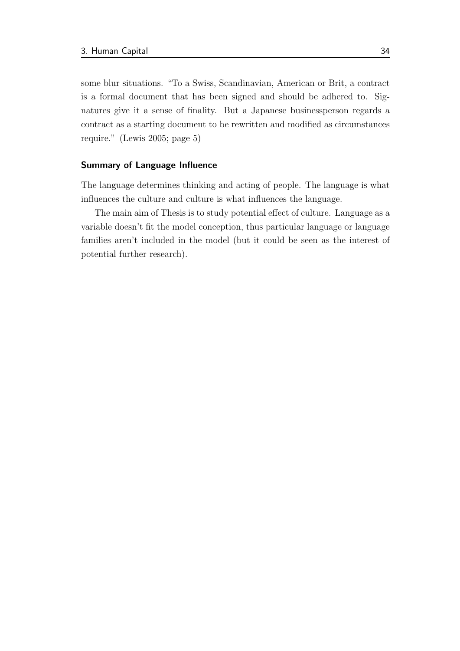some blur situations. "To a Swiss, Scandinavian, American or Brit, a contract is a formal document that has been signed and should be adhered to. Signatures give it a sense of finality. But a Japanese businessperson regards a contract as a starting document to be rewritten and modified as circumstances require." [\(Lewis](#page-62-1) [2005;](#page-62-1) page 5)

### Summary of Language Influence

The language determines thinking and acting of people. The language is what influences the culture and culture is what influences the language.

The main aim of Thesis is to study potential effect of culture. Language as a variable doesn't fit the model conception, thus particular language or language families aren't included in the model (but it could be seen as the interest of potential further research).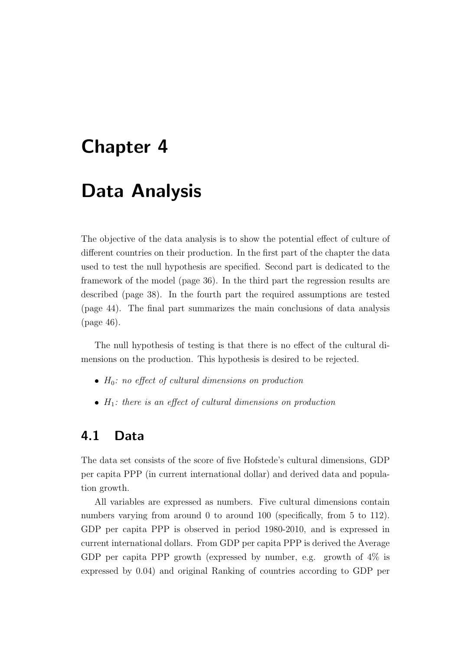# <span id="page-45-0"></span>Chapter 4

## Data Analysis

The objective of the data analysis is to show the potential effect of culture of different countries on their production. In the first part of the chapter the data used to test the null hypothesis are specified. Second part is dedicated to the framework of the model (page [36\)](#page-46-0). In the third part the regression results are described (page [38\)](#page-48-0). In the fourth part the required assumptions are tested (page [44\)](#page-54-0). The final part summarizes the main conclusions of data analysis (page [46\)](#page-56-0).

The null hypothesis of testing is that there is no effect of the cultural dimensions on the production. This hypothesis is desired to be rejected.

- $\bullet$  H<sub>0</sub>: no effect of cultural dimensions on production
- $\bullet$   $H_1$ : there is an effect of cultural dimensions on production

### 4.1 Data

The data set consists of the score of five Hofstede's cultural dimensions, GDP per capita PPP (in current international dollar) and derived data and population growth.

All variables are expressed as numbers. Five cultural dimensions contain numbers varying from around 0 to around 100 (specifically, from 5 to 112). GDP per capita PPP is observed in period 1980-2010, and is expressed in current international dollars. From GDP per capita PPP is derived the Average GDP per capita PPP growth (expressed by number, e.g. growth of 4% is expressed by 0.04) and original Ranking of countries according to GDP per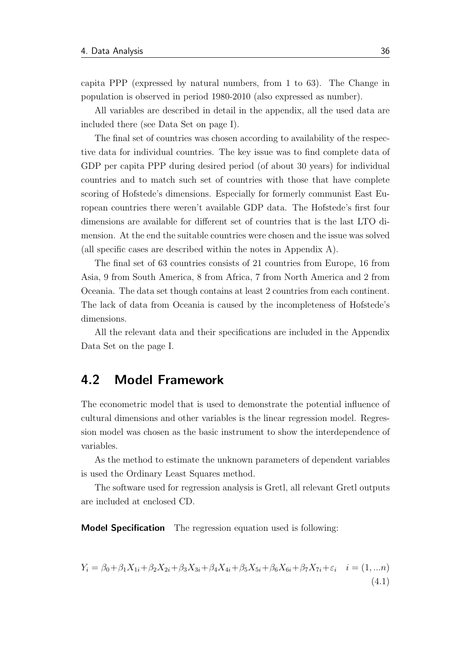capita PPP (expressed by natural numbers, from 1 to 63). The Change in population is observed in period 1980-2010 (also expressed as number).

All variables are described in detail in the appendix, all the used data are included there (see [Data Set](#page-66-0) on page [I\)](#page-66-0).

The final set of countries was chosen according to availability of the respective data for individual countries. The key issue was to find complete data of GDP per capita PPP during desired period (of about 30 years) for individual countries and to match such set of countries with those that have complete scoring of Hofstede's dimensions. Especially for formerly communist East European countries there weren't available GDP data. The Hofstede's first four dimensions are available for different set of countries that is the last LTO dimension. At the end the suitable countries were chosen and the issue was solved (all specific cases are described within the notes in Appendix [A\)](#page-66-0).

The final set of 63 countries consists of 21 countries from Europe, 16 from Asia, 9 from South America, 8 from Africa, 7 from North America and 2 from Oceania. The data set though contains at least 2 countries from each continent. The lack of data from Oceania is caused by the incompleteness of Hofstede's dimensions.

All the relevant data and their specifications are included in the Appendix [Data Set](#page-66-0) on the page [I.](#page-66-0)

### <span id="page-46-0"></span>4.2 Model Framework

The econometric model that is used to demonstrate the potential influence of cultural dimensions and other variables is the linear regression model. Regression model was chosen as the basic instrument to show the interdependence of variables.

As the method to estimate the unknown parameters of dependent variables is used the Ordinary Least Squares method.

The software used for regression analysis is Gretl, all relevant Gretl outputs are included at enclosed CD.

Model Specification The regression equation used is following:

$$
Y_i = \beta_0 + \beta_1 X_{1i} + \beta_2 X_{2i} + \beta_3 X_{3i} + \beta_4 X_{4i} + \beta_5 X_{5i} + \beta_6 X_{6i} + \beta_7 X_{7i} + \varepsilon_i \quad i = (1, ... n)
$$
\n(4.1)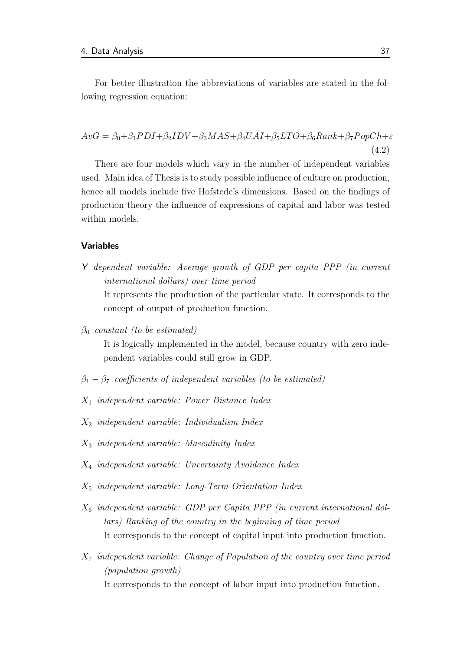For better illustration the abbreviations of variables are stated in the following regression equation:

 $AvG = \beta_0 + \beta_1 PDI + \beta_2 IDV + \beta_3 MAS + \beta_4 UAI + \beta_5 LTO + \beta_6 Rank + \beta_7 PopCh + \varepsilon$ (4.2)

There are four models which vary in the number of independent variables used. Main idea of Thesis is to study possible influence of culture on production, hence all models include five Hofstede's dimensions. Based on the findings of production theory the influence of expressions of capital and labor was tested within models.

### Variables

Y dependent variable: Average growth of GDP per capita PPP (in current international dollars) over time period

It represents the production of the particular state. It corresponds to the concept of output of production function.

 $\beta_0$  constant (to be estimated)

It is logically implemented in the model, because country with zero independent variables could still grow in GDP.

- $\beta_1 \beta_7$  coefficients of independent variables (to be estimated)
- $X_1$  independent variable: Power Distance Index
- $X_2$  independent variable: Individualism Index
- $X_3$  independent variable: Masculinity Index
- $X_4$  independent variable: Uncertainty Avoidance Index
- $X_5$  independent variable: Long-Term Orientation Index
- $X_6$  independent variable: GDP per Capita PPP (in current international dollars) Ranking of the country in the beginning of time period It corresponds to the concept of capital input into production function.
- $X<sub>7</sub>$  independent variable: Change of Population of the country over time period (population growth)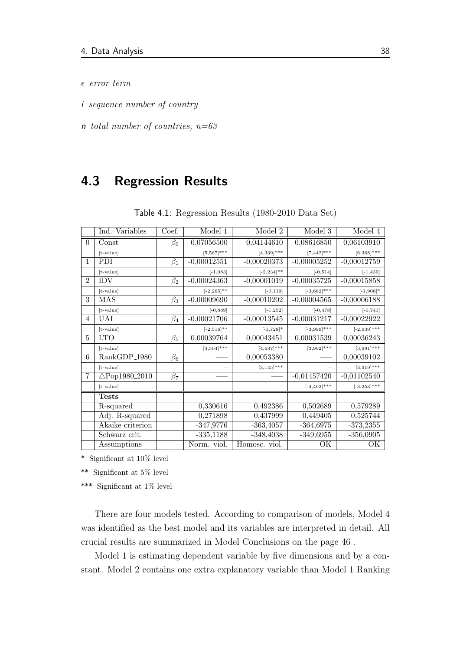- $\epsilon$  error term
- i sequence number of country
- n total number of countries,  $n=63$

### <span id="page-48-0"></span>4.3 Regression Results

|                | Ind. Variables           | Coef.     | Model 1       | Model 2        | Model 3         | Model 4        |
|----------------|--------------------------|-----------|---------------|----------------|-----------------|----------------|
| 0              | Const                    | $\beta_0$ | 0,07056500    | 0,04144610     | 0,08616850      | 0,06103910     |
|                | [t-value]                |           | $[5,567]$ *** | $[4,339]$ ***  | $[7,442]$ ***   | $[6,368]$ ***  |
| 1              | PDI.                     | $\beta_1$ | $-0,00012551$ | $-0,00020373$  | $-0,00005252$   | $-0,00012759$  |
|                | [t-value]                |           | $[-1,083]$    | $[-2, 234]$ ** | $[-0, 514]$     | $[-1, 439]$    |
| $\mathfrak{D}$ | <b>IDV</b>               | $\beta_2$ | $-0,00024363$ | $-0,00001019$  | $-0,00035725$   | $-0,00015858$  |
|                | $[t-value]$              |           | $[-2,265]$ ** | $[-0, 119]$    | $[-3,682]$ ***  | $[-1,908]*$    |
| 3              | <b>MAS</b>               | $\beta_3$ | $-0,00009690$ | $-0,00010202$  | $-0,00004565$   | $-0,00006188$  |
|                | $[t-value]$              |           | $[-0, 889]$   | $[-1, 252]$    | $[-0, 478]$     | $[-0, 741]$    |
| 4              | UAI                      | $\beta_4$ | $-0,00021706$ | $-0,00013545$  | $-0,00031217$   | $-0,00022922$  |
|                | $[t-value]$              |           | $[-2,516]$ ** | $[-1, 728]$ *  | $[-3,999]$ ***  | $[-2,939]$ *** |
| 5              | <b>LTO</b>               | $\beta_5$ | 0,00039764    | 0,00043451     | 0,00031539      | 0,00036243     |
|                | $[t-value]$              |           | $[4,504]$ *** | $[4,637]$ ***  | $[3,992]$ ***   | $[3,991]$ ***  |
| 6              | RankGDP <sub>-1980</sub> | $\beta_6$ |               | 0,00053380     |                 | 0,00039102     |
|                | $[t-value]$              |           |               | $[3,145]$ ***  |                 | $[3,319]$ ***  |
| $\overline{7}$ | $\triangle$ Pop1980_2010 | $\beta_7$ |               |                | $-0,01457420$   | $-0,01102540$  |
|                | [t-value]                |           |               |                | $[-4, 402]$ *** | $[-3,253]$ *** |
|                | Tests                    |           |               |                |                 |                |
|                | R-squared                |           | 0,330616      | 0,492386       | 0,502689        | 0,579289       |
|                | Adj. R-squared           |           | 0,271898      | 0,437999       | 0,449405        | 0,525744       |
|                | Akaike criterion         |           | $-347,9776$   | $-363,4057$    | $-364,6975$     | $-373,2355$    |
|                | Schwarz crit.            |           | $-335,1188$   | $-348,4038$    | $-349,6955$     | $-356,0905$    |
|                | Assumptions              |           | Norm. viol.   | Homosc. viol.  | OК              | OК             |

Table 4.1: Regression Results (1980-2010 Data Set)

\* Significant at 10% level

 $**\,$  Significant at  $5\%$  level

\*\*\* Significant at 1% level

There are four models tested. According to comparison of models, Model 4 was identified as the best model and its variables are interpreted in detail. All crucial results are summarized in Model Conclusions on the page [46](#page-56-0) .

Model 1 is estimating dependent variable by five dimensions and by a constant. Model 2 contains one extra explanatory variable than Model 1 Ranking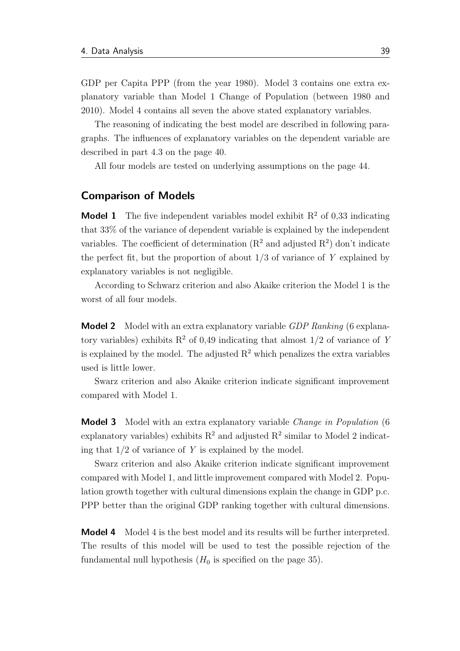GDP per Capita PPP (from the year 1980). Model 3 contains one extra explanatory variable than Model 1 Change of Population (between 1980 and 2010). Model 4 contains all seven the above stated explanatory variables.

The reasoning of indicating the best model are described in following paragraphs. The influences of explanatory variables on the dependent variable are described in part [4.3](#page-50-0) on the page [40.](#page-50-0)

All four models are tested on underlying assumptions on the page [44.](#page-54-0)

### Comparison of Models

**Model 1** The five independent variables model exhibit  $R^2$  of 0.33 indicating that 33% of the variance of dependent variable is explained by the independent variables. The coefficient of determination  $(R^2 \text{ and adjusted } R^2)$  don't indicate the perfect fit, but the proportion of about  $1/3$  of variance of Y explained by explanatory variables is not negligible.

According to Schwarz criterion and also Akaike criterion the Model 1 is the worst of all four models.

**Model 2** Model with an extra explanatory variable *GDP Ranking* (6 explanatory variables) exhibits  $R^2$  of 0,49 indicating that almost  $1/2$  of variance of Y is explained by the model. The adjusted  $R<sup>2</sup>$  which penalizes the extra variables used is little lower.

Swarz criterion and also Akaike criterion indicate significant improvement compared with Model 1.

**Model 3** Model with an extra explanatory variable *Change in Population* (6) explanatory variables) exhibits  $R^2$  and adjusted  $R^2$  similar to Model 2 indicating that  $1/2$  of variance of Y is explained by the model.

Swarz criterion and also Akaike criterion indicate significant improvement compared with Model 1, and little improvement compared with Model 2. Population growth together with cultural dimensions explain the change in GDP p.c. PPP better than the original GDP ranking together with cultural dimensions.

**Model 4** Model 4 is the best model and its results will be further interpreted. The results of this model will be used to test the possible rejection of the fundamental null hypothesis  $(H_0$  is specified on the page [35\)](#page-45-0).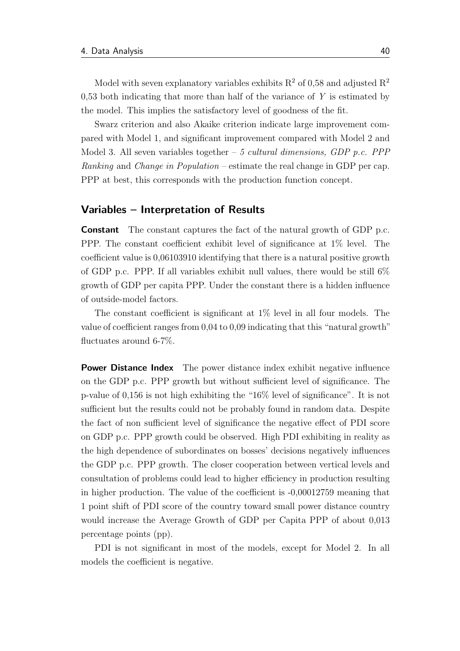Model with seven explanatory variables exhibits  $R^2$  of 0.58 and adjusted  $R^2$  $0.53$  both indicating that more than half of the variance of Y is estimated by the model. This implies the satisfactory level of goodness of the fit.

Swarz criterion and also Akaike criterion indicate large improvement compared with Model 1, and significant improvement compared with Model 2 and Model 3. All seven variables together – 5 cultural dimensions, GDP p.c. PPP Ranking and Change in Population – estimate the real change in GDP per cap. PPP at best, this corresponds with the production function concept.

### <span id="page-50-0"></span>Variables – Interpretation of Results

Constant The constant captures the fact of the natural growth of GDP p.c. PPP. The constant coefficient exhibit level of significance at 1% level. The coefficient value is 0,06103910 identifying that there is a natural positive growth of GDP p.c. PPP. If all variables exhibit null values, there would be still 6% growth of GDP per capita PPP. Under the constant there is a hidden influence of outside-model factors.

The constant coefficient is significant at 1% level in all four models. The value of coefficient ranges from 0,04 to 0,09 indicating that this "natural growth" fluctuates around 6-7%.

**Power Distance Index** The power distance index exhibit negative influence on the GDP p.c. PPP growth but without sufficient level of significance. The p-value of 0,156 is not high exhibiting the "16% level of significance". It is not sufficient but the results could not be probably found in random data. Despite the fact of non sufficient level of significance the negative effect of PDI score on GDP p.c. PPP growth could be observed. High PDI exhibiting in reality as the high dependence of subordinates on bosses' decisions negatively influences the GDP p.c. PPP growth. The closer cooperation between vertical levels and consultation of problems could lead to higher efficiency in production resulting in higher production. The value of the coefficient is -0,00012759 meaning that 1 point shift of PDI score of the country toward small power distance country would increase the Average Growth of GDP per Capita PPP of about 0,013 percentage points (pp).

PDI is not significant in most of the models, except for Model 2. In all models the coefficient is negative.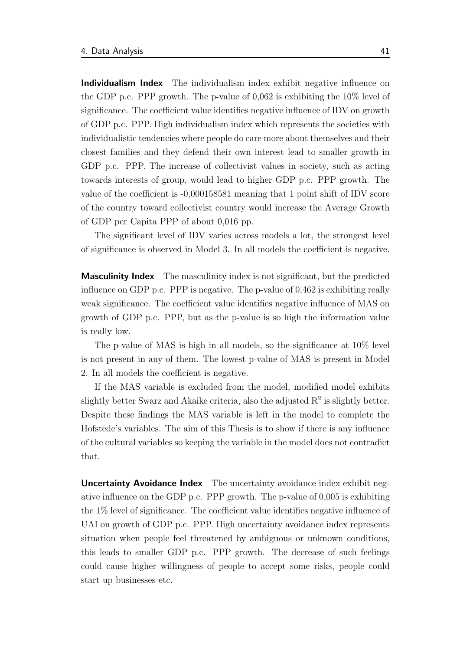Individualism Index The individualism index exhibit negative influence on the GDP p.c. PPP growth. The p-value of 0,062 is exhibiting the 10% level of significance. The coefficient value identifies negative influence of IDV on growth of GDP p.c. PPP. High individualism index which represents the societies with individualistic tendencies where people do care more about themselves and their closest families and they defend their own interest lead to smaller growth in GDP p.c. PPP. The increase of collectivist values in society, such as acting towards interests of group, would lead to higher GDP p.c. PPP growth. The value of the coefficient is -0,000158581 meaning that 1 point shift of IDV score of the country toward collectivist country would increase the Average Growth of GDP per Capita PPP of about 0,016 pp.

The significant level of IDV varies across models a lot, the strongest level of significance is observed in Model 3. In all models the coefficient is negative.

Masculinity Index The masculinity index is not significant, but the predicted influence on GDP p.c. PPP is negative. The p-value of 0,462 is exhibiting really weak significance. The coefficient value identifies negative influence of MAS on growth of GDP p.c. PPP, but as the p-value is so high the information value is really low.

The p-value of MAS is high in all models, so the significance at 10% level is not present in any of them. The lowest p-value of MAS is present in Model 2. In all models the coefficient is negative.

If the MAS variable is excluded from the model, modified model exhibits slightly better Swarz and Akaike criteria, also the adjusted  $R^2$  is slightly better. Despite these findings the MAS variable is left in the model to complete the Hofstede's variables. The aim of this Thesis is to show if there is any influence of the cultural variables so keeping the variable in the model does not contradict that.

**Uncertainty Avoidance Index** The uncertainty avoidance index exhibit negative influence on the GDP p.c. PPP growth. The p-value of 0,005 is exhibiting the 1% level of significance. The coefficient value identifies negative influence of UAI on growth of GDP p.c. PPP. High uncertainty avoidance index represents situation when people feel threatened by ambiguous or unknown conditions, this leads to smaller GDP p.c. PPP growth. The decrease of such feelings could cause higher willingness of people to accept some risks, people could start up businesses etc.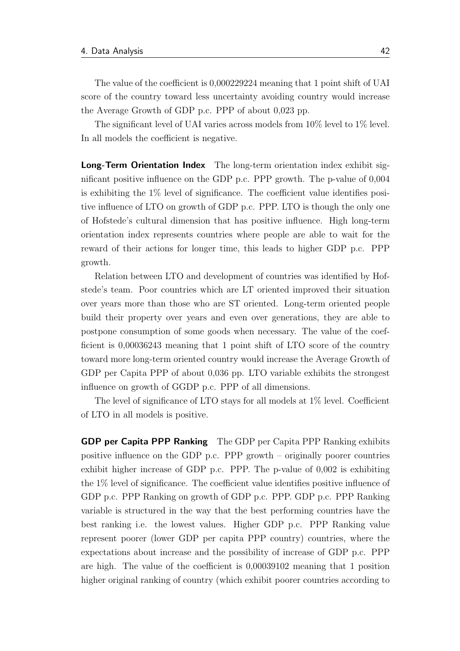The value of the coefficient is 0,000229224 meaning that 1 point shift of UAI score of the country toward less uncertainty avoiding country would increase the Average Growth of GDP p.c. PPP of about 0,023 pp.

The significant level of UAI varies across models from 10% level to 1% level. In all models the coefficient is negative.

Long-Term Orientation Index The long-term orientation index exhibit significant positive influence on the GDP p.c. PPP growth. The p-value of 0,004 is exhibiting the 1% level of significance. The coefficient value identifies positive influence of LTO on growth of GDP p.c. PPP. LTO is though the only one of Hofstede's cultural dimension that has positive influence. High long-term orientation index represents countries where people are able to wait for the reward of their actions for longer time, this leads to higher GDP p.c. PPP growth.

Relation between LTO and development of countries was identified by Hofstede's team. Poor countries which are LT oriented improved their situation over years more than those who are ST oriented. Long-term oriented people build their property over years and even over generations, they are able to postpone consumption of some goods when necessary. The value of the coefficient is 0,00036243 meaning that 1 point shift of LTO score of the country toward more long-term oriented country would increase the Average Growth of GDP per Capita PPP of about 0,036 pp. LTO variable exhibits the strongest influence on growth of GGDP p.c. PPP of all dimensions.

The level of significance of LTO stays for all models at 1% level. Coefficient of LTO in all models is positive.

GDP per Capita PPP Ranking The GDP per Capita PPP Ranking exhibits positive influence on the GDP p.c. PPP growth – originally poorer countries exhibit higher increase of GDP p.c. PPP. The p-value of 0,002 is exhibiting the 1% level of significance. The coefficient value identifies positive influence of GDP p.c. PPP Ranking on growth of GDP p.c. PPP. GDP p.c. PPP Ranking variable is structured in the way that the best performing countries have the best ranking i.e. the lowest values. Higher GDP p.c. PPP Ranking value represent poorer (lower GDP per capita PPP country) countries, where the expectations about increase and the possibility of increase of GDP p.c. PPP are high. The value of the coefficient is 0,00039102 meaning that 1 position higher original ranking of country (which exhibit poorer countries according to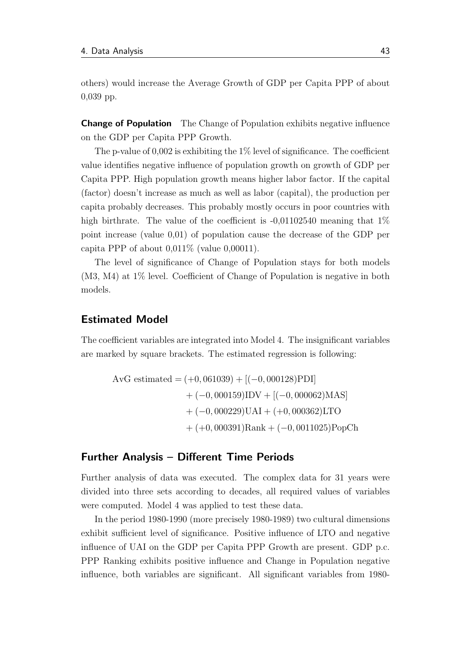others) would increase the Average Growth of GDP per Capita PPP of about 0,039 pp.

**Change of Population** The Change of Population exhibits negative influence on the GDP per Capita PPP Growth.

The p-value of  $0.002$  is exhibiting the 1% level of significance. The coefficient value identifies negative influence of population growth on growth of GDP per Capita PPP. High population growth means higher labor factor. If the capital (factor) doesn't increase as much as well as labor (capital), the production per capita probably decreases. This probably mostly occurs in poor countries with high birthrate. The value of the coefficient is  $-0.01102540$  meaning that  $1\%$ point increase (value 0,01) of population cause the decrease of the GDP per capita PPP of about  $0.011\%$  (value  $0.00011$ ).

The level of significance of Change of Population stays for both models (M3, M4) at 1% level. Coefficient of Change of Population is negative in both models.

### Estimated Model

The coefficient variables are integrated into Model 4. The insignificant variables are marked by square brackets. The estimated regression is following:

$$
AvG \text{ estimated} = (+0,061039) + [(-0,000128) \text{PDI}]
$$

$$
+ (-0,000159) \text{IDV} + [(-0,000062) \text{MAS}]
$$

$$
+ (-0,000229) \text{UAI} + (+0,000362) \text{LTO}
$$

$$
+ (+0,000391) \text{Rank} + (-0,0011025) \text{PopCh}
$$

### Further Analysis – Different Time Periods

Further analysis of data was executed. The complex data for 31 years were divided into three sets according to decades, all required values of variables were computed. Model 4 was applied to test these data.

In the period 1980-1990 (more precisely 1980-1989) two cultural dimensions exhibit sufficient level of significance. Positive influence of LTO and negative influence of UAI on the GDP per Capita PPP Growth are present. GDP p.c. PPP Ranking exhibits positive influence and Change in Population negative influence, both variables are significant. All significant variables from 1980-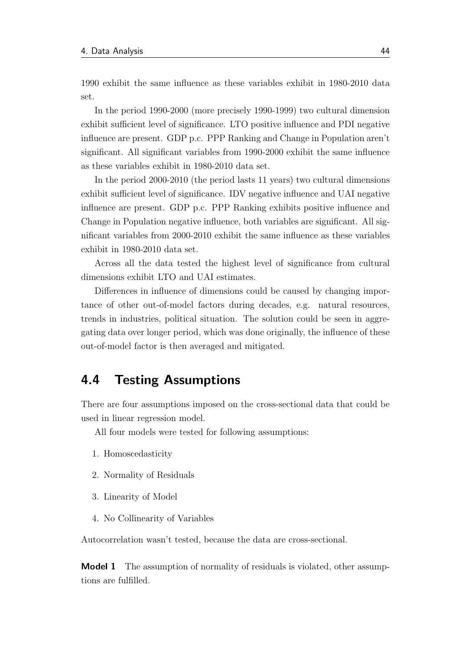1990 exhibit the same influence as these variables exhibit in 1980-2010 data set.

In the period 1990-2000 (more precisely 1990-1999) two cultural dimension exhibit sufficient level of significance. LTO positive influence and PDI negative influence are present. GDP p.c. PPP Ranking and Change in Population aren't significant. All significant variables from 1990-2000 exhibit the same influence as these variables exhibit in 1980-2010 data set.

In the period 2000-2010 (the period lasts 11 years) two cultural dimensions exhibit sufficient level of significance. IDV negative influence and UAI negative influence are present. GDP p.c. PPP Ranking exhibits positive influence and Change in Population negative influence, both variables are significant. All significant variables from 2000-2010 exhibit the same influence as these variables exhibit in 1980-2010 data set.

Across all the data tested the highest level of significance from cultural dimensions exhibit LTO and UAI estimates.

Differences in influence of dimensions could be caused by changing importance of other out-of-model factors during decades, e.g. natural resources, trends in industries, political situation. The solution could be seen in aggregating data over longer period, which was done originally, the influence of these out-of-model factor is then averaged and mitigated.

### <span id="page-54-0"></span>4.4 Testing Assumptions

There are four assumptions imposed on the cross-sectional data that could be used in linear regression model.

All four models were tested for following assumptions:

- 1. Homoscedasticity
- 2. Normality of Residuals
- 3. Linearity of Model
- 4. No Collinearity of Variables

Autocorrelation wasn't tested, because the data are cross-sectional.

**Model 1** The assumption of normality of residuals is violated, other assumptions are fulfilled.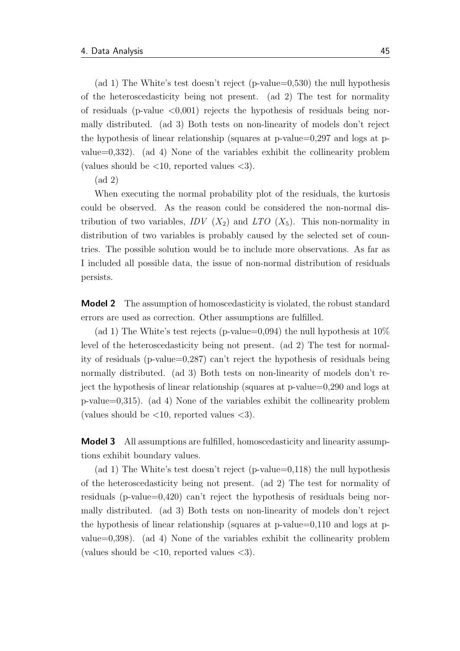(ad 1) The White's test doesn't reject (p-value=0,530) the null hypothesis of the heteroscedasticity being not present. (ad 2) The test for normality of residuals (p-value  $\langle 0.001 \rangle$  rejects the hypothesis of residuals being normally distributed. (ad 3) Both tests on non-linearity of models don't reject the hypothesis of linear relationship (squares at p-value=0,297 and logs at pvalue=0,332). (ad 4) None of the variables exhibit the collinearity problem (values should be  $\langle 10,$  reported values  $\langle 3 \rangle$ .

(ad 2)

When executing the normal probability plot of the residuals, the kurtosis could be observed. As the reason could be considered the non-normal distribution of two variables,  $IDV(X_2)$  and  $LTO(X_5)$ . This non-normality in distribution of two variables is probably caused by the selected set of countries. The possible solution would be to include more observations. As far as I included all possible data, the issue of non-normal distribution of residuals persists.

**Model 2** The assumption of homoscedasticity is violated, the robust standard errors are used as correction. Other assumptions are fulfilled.

(ad 1) The White's test rejects (p-value=0,094) the null hypothesis at  $10\%$ level of the heteroscedasticity being not present. (ad 2) The test for normality of residuals (p-value=0,287) can't reject the hypothesis of residuals being normally distributed. (ad 3) Both tests on non-linearity of models don't reject the hypothesis of linear relationship (squares at p-value=0,290 and logs at p-value=0,315). (ad 4) None of the variables exhibit the collinearity problem (values should be  $\langle 10,$  reported values  $\langle 3 \rangle$ .

**Model 3** All assumptions are fulfilled, homoscedasticity and linearity assumptions exhibit boundary values.

(ad 1) The White's test doesn't reject (p-value=0,118) the null hypothesis of the heteroscedasticity being not present. (ad 2) The test for normality of residuals (p-value=0,420) can't reject the hypothesis of residuals being normally distributed. (ad 3) Both tests on non-linearity of models don't reject the hypothesis of linear relationship (squares at p-value=0,110 and logs at pvalue=0,398). (ad 4) None of the variables exhibit the collinearity problem (values should be  $\langle 10,$  reported values  $\langle 3 \rangle$ .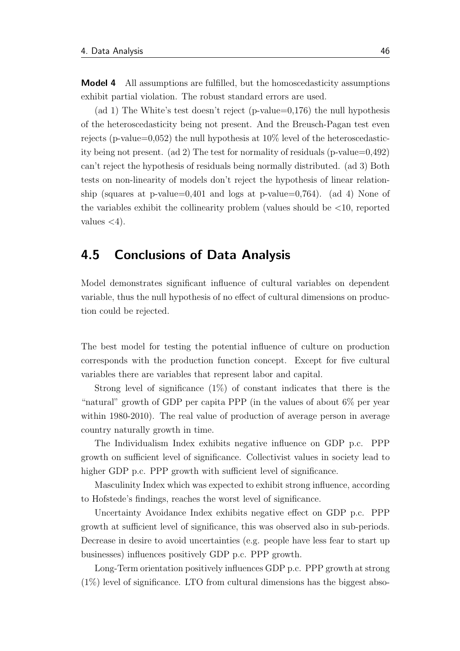Model 4 All assumptions are fulfilled, but the homoscedasticity assumptions exhibit partial violation. The robust standard errors are used.

(ad 1) The White's test doesn't reject (p-value=0,176) the null hypothesis of the heteroscedasticity being not present. And the Breusch-Pagan test even rejects (p-value=0,052) the null hypothesis at  $10\%$  level of the heteroscedasticity being not present. (ad 2) The test for normality of residuals (p-value=0,492) can't reject the hypothesis of residuals being normally distributed. (ad 3) Both tests on non-linearity of models don't reject the hypothesis of linear relationship (squares at p-value=0,401 and logs at p-value=0,764). (ad 4) None of the variables exhibit the collinearity problem (values should be  $\langle 10 \rangle$ , reported values  $\langle 4 \rangle$ .

### <span id="page-56-0"></span>4.5 Conclusions of Data Analysis

Model demonstrates significant influence of cultural variables on dependent variable, thus the null hypothesis of no effect of cultural dimensions on production could be rejected.

The best model for testing the potential influence of culture on production corresponds with the production function concept. Except for five cultural variables there are variables that represent labor and capital.

Strong level of significance  $(1\%)$  of constant indicates that there is the "natural" growth of GDP per capita PPP (in the values of about 6% per year within 1980-2010). The real value of production of average person in average country naturally growth in time.

The Individualism Index exhibits negative influence on GDP p.c. PPP growth on sufficient level of significance. Collectivist values in society lead to higher GDP p.c. PPP growth with sufficient level of significance.

Masculinity Index which was expected to exhibit strong influence, according to Hofstede's findings, reaches the worst level of significance.

Uncertainty Avoidance Index exhibits negative effect on GDP p.c. PPP growth at sufficient level of significance, this was observed also in sub-periods. Decrease in desire to avoid uncertainties (e.g. people have less fear to start up businesses) influences positively GDP p.c. PPP growth.

Long-Term orientation positively influences GDP p.c. PPP growth at strong (1%) level of significance. LTO from cultural dimensions has the biggest abso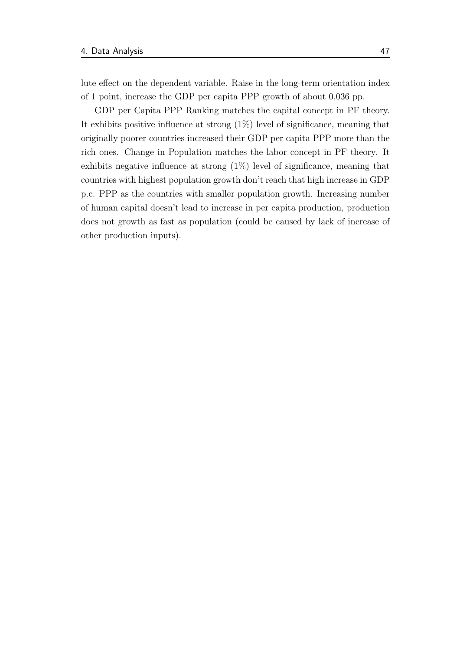lute effect on the dependent variable. Raise in the long-term orientation index of 1 point, increase the GDP per capita PPP growth of about 0,036 pp.

GDP per Capita PPP Ranking matches the capital concept in PF theory. It exhibits positive influence at strong (1%) level of significance, meaning that originally poorer countries increased their GDP per capita PPP more than the rich ones. Change in Population matches the labor concept in PF theory. It exhibits negative influence at strong (1%) level of significance, meaning that countries with highest population growth don't reach that high increase in GDP p.c. PPP as the countries with smaller population growth. Increasing number of human capital doesn't lead to increase in per capita production, production does not growth as fast as population (could be caused by lack of increase of other production inputs).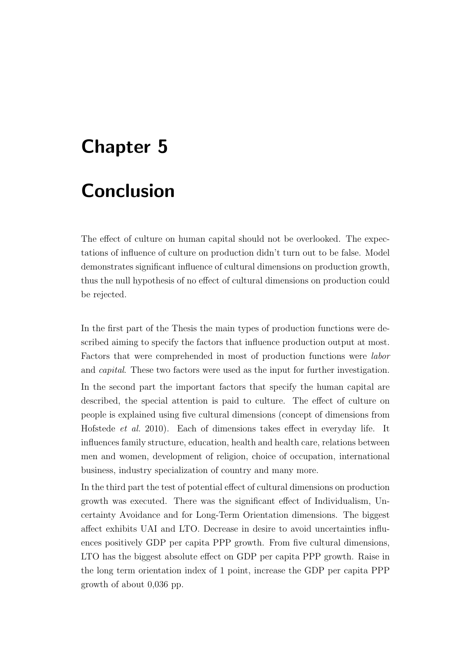# Chapter 5

# **Conclusion**

The effect of culture on human capital should not be overlooked. The expectations of influence of culture on production didn't turn out to be false. Model demonstrates significant influence of cultural dimensions on production growth, thus the null hypothesis of no effect of cultural dimensions on production could be rejected.

In the first part of the Thesis the main types of production functions were described aiming to specify the factors that influence production output at most. Factors that were comprehended in most of production functions were labor and capital. These two factors were used as the input for further investigation. In the second part the important factors that specify the human capital are described, the special attention is paid to culture. The effect of culture on people is explained using five cultural dimensions (concept of dimensions from [Hofstede](#page-61-0) et al. [2010\)](#page-61-0). Each of dimensions takes effect in everyday life. It influences family structure, education, health and health care, relations between men and women, development of religion, choice of occupation, international business, industry specialization of country and many more.

In the third part the test of potential effect of cultural dimensions on production growth was executed. There was the significant effect of Individualism, Uncertainty Avoidance and for Long-Term Orientation dimensions. The biggest affect exhibits UAI and LTO. Decrease in desire to avoid uncertainties influences positively GDP per capita PPP growth. From five cultural dimensions, LTO has the biggest absolute effect on GDP per capita PPP growth. Raise in the long term orientation index of 1 point, increase the GDP per capita PPP growth of about 0,036 pp.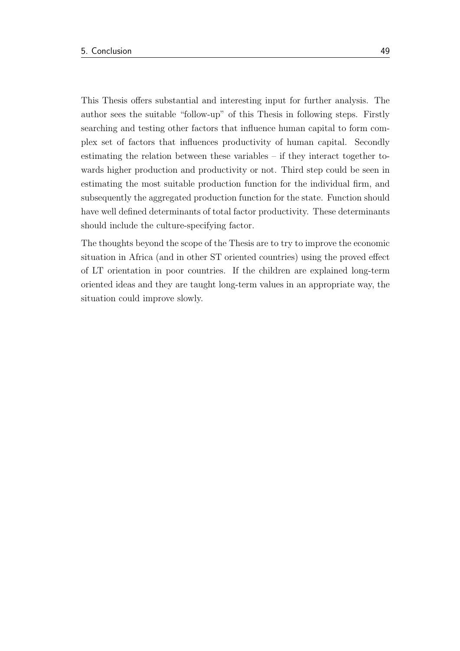This Thesis offers substantial and interesting input for further analysis. The author sees the suitable "follow-up" of this Thesis in following steps. Firstly searching and testing other factors that influence human capital to form complex set of factors that influences productivity of human capital. Secondly estimating the relation between these variables – if they interact together towards higher production and productivity or not. Third step could be seen in estimating the most suitable production function for the individual firm, and subsequently the aggregated production function for the state. Function should have well defined determinants of total factor productivity. These determinants should include the culture-specifying factor.

The thoughts beyond the scope of the Thesis are to try to improve the economic situation in Africa (and in other ST oriented countries) using the proved effect of LT orientation in poor countries. If the children are explained long-term oriented ideas and they are taught long-term values in an appropriate way, the situation could improve slowly.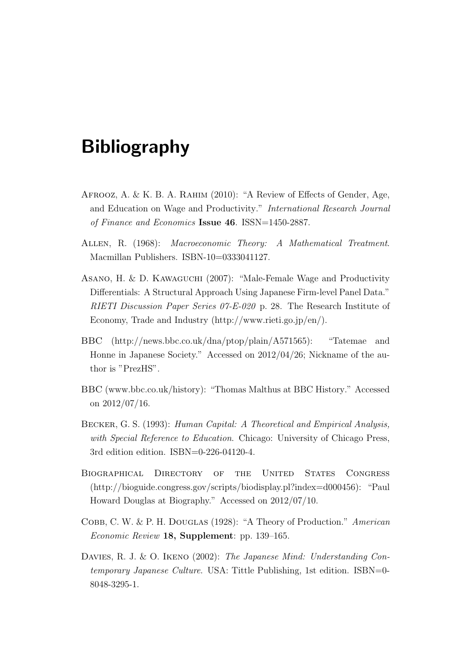# Bibliography

- AFROOZ, A. & K. B. A. RAHIM (2010): "A Review of Effects of Gender, Age, and Education on Wage and Productivity." International Research Journal of Finance and Economics Issue 46. ISSN=1450-2887.
- Allen, R. (1968): Macroeconomic Theory: A Mathematical Treatment. Macmillan Publishers. ISBN-10=0333041127.
- Asano, H. & D. Kawaguchi (2007): "Male-Female Wage and Productivity Differentials: A Structural Approach Using Japanese Firm-level Panel Data." RIETI Discussion Paper Series 07-E-020 p. 28. The Research Institute of Economy, Trade and Industry (http://www.rieti.go.jp/en/).
- <span id="page-60-1"></span>BBC (http://news.bbc.co.uk/dna/ptop/plain/A571565): "Tatemae and Honne in Japanese Society." Accessed on 2012/04/26; Nickname of the author is "PrezHS".
- BBC (www.bbc.co.uk/history): "Thomas Malthus at BBC History." Accessed on 2012/07/16.
- BECKER, G. S. (1993): Human Capital: A Theoretical and Empirical Analysis, with Special Reference to Education. Chicago: University of Chicago Press, 3rd edition edition. ISBN=0-226-04120-4.
- Biographical Directory of the United States Congress (http://bioguide.congress.gov/scripts/biodisplay.pl?index=d000456): "Paul Howard Douglas at Biography." Accessed on 2012/07/10.
- COBB, C. W. & P. H. DOUGLAS (1928): "A Theory of Production." American Economic Review 18, Supplement: pp. 139–165.
- <span id="page-60-0"></span>DAVIES, R. J. & O. IKENO (2002): The Japanese Mind: Understanding Contemporary Japanese Culture. USA: Tittle Publishing, 1st edition. ISBN=0- 8048-3295-1.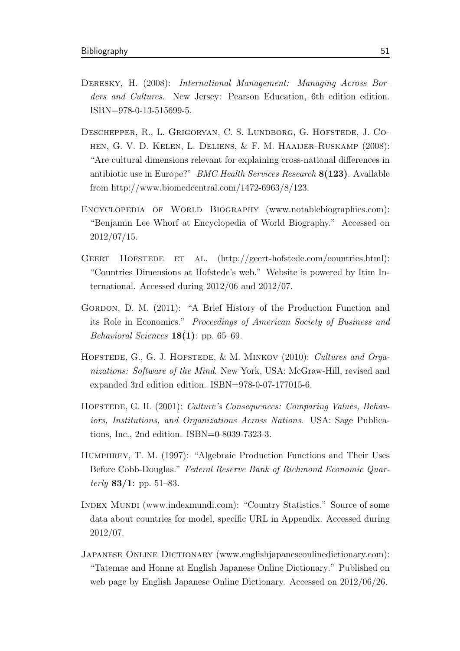- DERESKY, H. (2008): International Management: Managing Across Borders and Cultures. New Jersey: Pearson Education, 6th edition edition. ISBN=978-0-13-515699-5.
- Deschepper, R., L. Grigoryan, C. S. Lundborg, G. Hofstede, J. Cohen, G. V. D. Kelen, L. Deliens, & F. M. Haaijer-Ruskamp (2008): "Are cultural dimensions relevant for explaining cross-national differences in antibiotic use in Europe?" BMC Health Services Research 8(123). Available from http://www.biomedcentral.com/1472-6963/8/123.
- ENCYCLOPEDIA OF WORLD BIOGRAPHY (www.notablebiographies.com): "Benjamin Lee Whorf at Encyclopedia of World Biography." Accessed on 2012/07/15.
- GEERT HOFSTEDE ET AL. (http://geert-hofstede.com/countries.html): "Countries Dimensions at Hofstede's web." Website is powered by Itim International. Accessed during 2012/06 and 2012/07.
- GORDON, D. M. (2011): "A Brief History of the Production Function and its Role in Economics." Proceedings of American Society of Business and Behavioral Sciences  $18(1)$ : pp. 65–69.
- <span id="page-61-0"></span>HOFSTEDE, G., G. J. HOFSTEDE, & M. MINKOV (2010): Cultures and Organizations: Software of the Mind. New York, USA: McGraw-Hill, revised and expanded 3rd edition edition. ISBN=978-0-07-177015-6.
- HOFSTEDE, G. H. (2001): Culture's Consequences: Comparing Values, Behaviors, Institutions, and Organizations Across Nations. USA: Sage Publications, Inc., 2nd edition. ISBN=0-8039-7323-3.
- Humphrey, T. M. (1997): "Algebraic Production Functions and Their Uses Before Cobb-Douglas." Federal Reserve Bank of Richmond Economic Quarterly  $83/1$ : pp. 51–83.
- Index Mundi (www.indexmundi.com): "Country Statistics." Source of some data about countries for model, specific URL in Appendix. Accessed during 2012/07.
- <span id="page-61-1"></span>Japanese Online Dictionary (www.englishjapaneseonlinedictionary.com): "Tatemae and Honne at English Japanese Online Dictionary." Published on web page by English Japanese Online Dictionary. Accessed on 2012/06/26.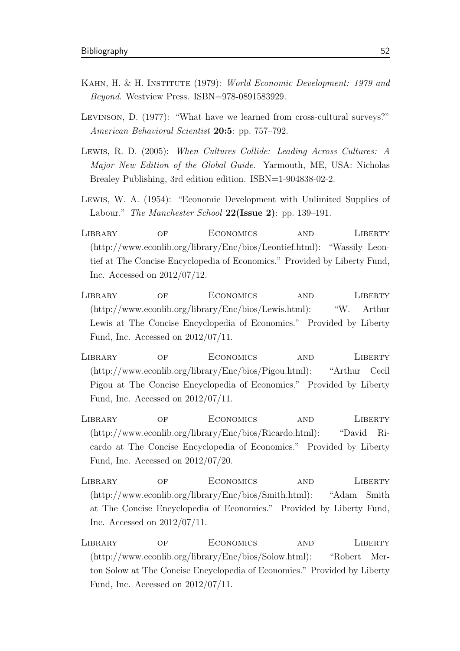- <span id="page-62-0"></span>KAHN, H. & H. INSTITUTE (1979): World Economic Development: 1979 and Beyond. Westview Press. ISBN=978-0891583929.
- Levinson, D. (1977): "What have we learned from cross-cultural surveys?" American Behavioral Scientist 20:5: pp. 757–792.
- <span id="page-62-1"></span>Lewis, R. D. (2005): When Cultures Collide: Leading Across Cultures: A Major New Edition of the Global Guide. Yarmouth, ME, USA: Nicholas Brealey Publishing, 3rd edition edition. ISBN=1-904838-02-2.
- Lewis, W. A. (1954): "Economic Development with Unlimited Supplies of Labour." The Manchester School  $22(Issue 2)$ : pp. 139–191.
- Library of Economics and Liberty (http://www.econlib.org/library/Enc/bios/Leontief.html): "Wassily Leontief at The Concise Encyclopedia of Economics." Provided by Liberty Fund, Inc. Accessed on 2012/07/12.
- Library of Economics and Liberty (http://www.econlib.org/library/Enc/bios/Lewis.html): "W. Arthur Lewis at The Concise Encyclopedia of Economics." Provided by Liberty Fund, Inc. Accessed on 2012/07/11.
- Library of Economics and Liberty (http://www.econlib.org/library/Enc/bios/Pigou.html): "Arthur Cecil Pigou at The Concise Encyclopedia of Economics." Provided by Liberty Fund, Inc. Accessed on 2012/07/11.
- Library of Economics and Liberty (http://www.econlib.org/library/Enc/bios/Ricardo.html): "David Ricardo at The Concise Encyclopedia of Economics." Provided by Liberty Fund, Inc. Accessed on 2012/07/20.
- Library of Economics and Liberty (http://www.econlib.org/library/Enc/bios/Smith.html): "Adam Smith at The Concise Encyclopedia of Economics." Provided by Liberty Fund, Inc. Accessed on 2012/07/11.
- Library of Economics and Liberty (http://www.econlib.org/library/Enc/bios/Solow.html): "Robert Merton Solow at The Concise Encyclopedia of Economics." Provided by Liberty Fund, Inc. Accessed on 2012/07/11.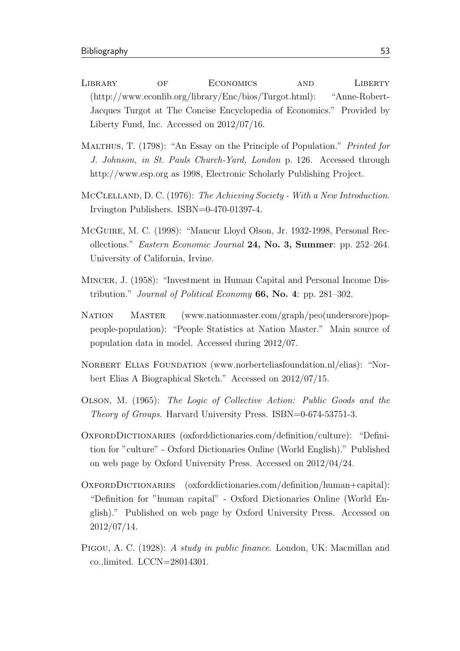- Library of Economics and Liberty (http://www.econlib.org/library/Enc/bios/Turgot.html): "Anne-Robert-Jacques Turgot at The Concise Encyclopedia of Economics." Provided by Liberty Fund, Inc. Accessed on 2012/07/16.
- MALTHUS, T. (1798): "An Essay on the Principle of Population." Printed for J. Johnson, in St. Pauls Church-Yard, London p. 126. Accessed through http://www.esp.org as 1998, Electronic Scholarly Publishing Project.
- <span id="page-63-0"></span>MCCLELLAND, D. C. (1976): The Achieving Society - With a New Introduction. Irvington Publishers. ISBN=0-470-01397-4.
- McGuire, M. C. (1998): "Mancur Lloyd Olson, Jr. 1932-1998, Personal Recollections." Eastern Economic Journal 24, No. 3, Summer: pp. 252–264. University of California, Irvine.
- Mincer, J. (1958): "Investment in Human Capital and Personal Income Distribution." Journal of Political Economy  $66$ , No. 4: pp. 281–302.
- Nation Master (www.nationmaster.com/graph/peo(underscore)poppeople-population): "People Statistics at Nation Master." Main source of population data in model. Accessed during 2012/07.
- NORBERT ELIAS FOUNDATION (www.norberteliasfoundation.nl/elias): "Norbert Elias A Biographical Sketch." Accessed on 2012/07/15.
- Olson, M. (1965): The Logic of Collective Action: Public Goods and the Theory of Groups. Harvard University Press. ISBN=0-674-53751-3.
- OxfordDictionaries (oxforddictionaries.com/definition/culture): "Definition for "culture" - Oxford Dictionaries Online (World English)." Published on web page by Oxford University Press. Accessed on 2012/04/24.
- OXFORDDICTIONARIES (oxforddictionaries.com/definition/human+capital): "Definition for "human capital" - Oxford Dictionaries Online (World English)." Published on web page by Oxford University Press. Accessed on 2012/07/14.
- Pigou, A. C. (1928): A study in public finance. London, UK: Macmillan and co.,limited. LCCN=28014301.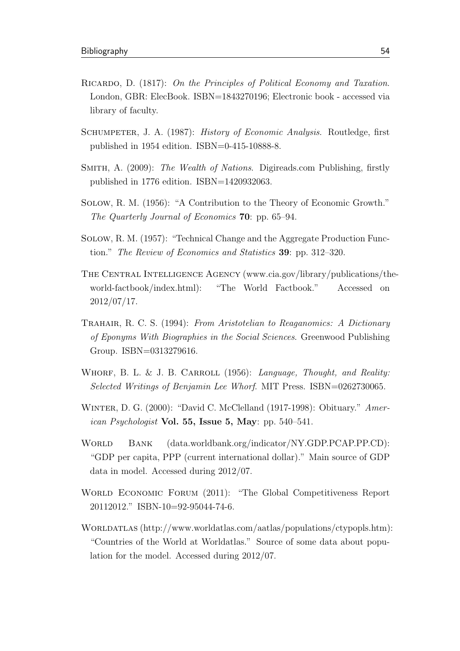- RICARDO, D. (1817): On the Principles of Political Economy and Taxation. London, GBR: ElecBook. ISBN=1843270196; Electronic book - accessed via library of faculty.
- Schumpeter, J. A. (1987): History of Economic Analysis. Routledge, first published in 1954 edition. ISBN=0-415-10888-8.
- SMITH, A. (2009): The Wealth of Nations. Digireads.com Publishing, firstly published in 1776 edition. ISBN=1420932063.
- Solow, R. M. (1956): "A Contribution to the Theory of Economic Growth." The Quarterly Journal of Economics 70: pp. 65–94.
- Solow, R. M. (1957): "Technical Change and the Aggregate Production Function." The Review of Economics and Statistics 39: pp. 312–320.
- The Central Intelligence Agency (www.cia.gov/library/publications/theworld-factbook/index.html): "The World Factbook." Accessed on 2012/07/17.
- Trahair, R. C. S. (1994): From Aristotelian to Reaganomics: A Dictionary of Eponyms With Biographies in the Social Sciences. Greenwood Publishing Group. ISBN=0313279616.
- <span id="page-64-1"></span>WHORF, B. L. & J. B. CARROLL  $(1956)$ : Language, Thought, and Reality: Selected Writings of Benjamin Lee Whorf. MIT Press. ISBN=0262730065.
- <span id="page-64-0"></span>WINTER, D. G. (2000): "David C. McClelland (1917-1998): Obituary." Amer*ican Psychologist* Vol. 55, Issue 5, May: pp.  $540-541$ .
- WORLD BANK (data.worldbank.org/indicator/NY.GDP.PCAP.PP.CD): "GDP per capita, PPP (current international dollar)." Main source of GDP data in model. Accessed during 2012/07.
- World Economic Forum (2011): "The Global Competitiveness Report 20112012." ISBN-10=92-95044-74-6.
- Worldatlas (http://www.worldatlas.com/aatlas/populations/ctypopls.htm): "Countries of the World at Worldatlas." Source of some data about population for the model. Accessed during 2012/07.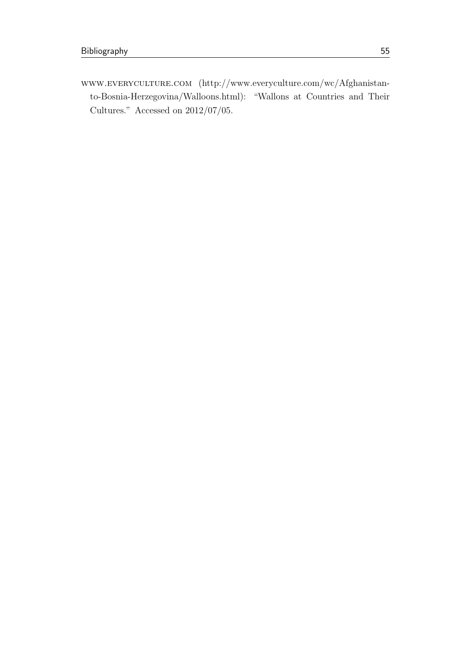<span id="page-65-0"></span>www.everyculture.com (http://www.everyculture.com/wc/Afghanistanto-Bosnia-Herzegovina/Walloons.html): "Wallons at Countries and Their Cultures." Accessed on 2012/07/05.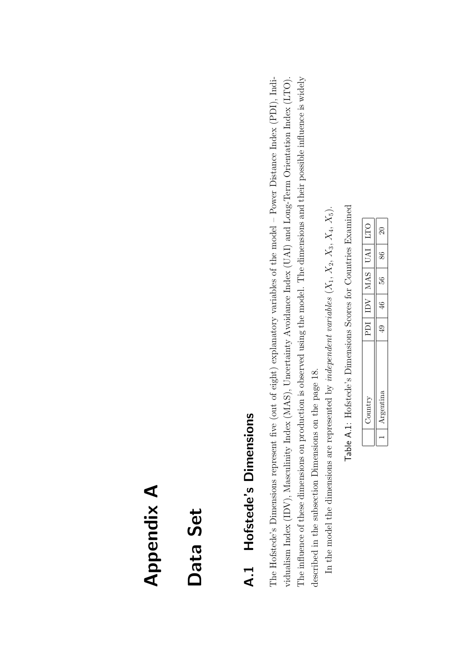# <span id="page-66-0"></span>Appendix A

# Data Set

# A.1 Hofstede's Dimensions A.1 Hofstede's Dimensions

The Hofstede's Dimensions represent five (out of eight) explanatory variables of the model - Power Distance Index (PDI), Indi-The influence of these dimensions on production is observed using the model. The dimensions and their possible influence is widely vidualism Index (IDV), Masculinity Index (MAS), Uncertainty Avoidance Index (UAI) and Long-Term Orientation Index (LTO). The Hofstede's Dimensions represent five (out of eight) explanatory variables of the model – Power Distance Index (PDI), Indi-The influence of these dimensions on production is observed using the model. The dimensions and their possible influence is widely vidualism Index (IDV), Masculinity Index (MAS), Uncertainty Avoidance Index (UAI) and Long-Term Orientation Index (LTO). described in the subsection Dimensions on the page 18.

In the model the dimensions are represented by *independent variables*  $(X_1, X_2, X_3, X_4, X_5)$ . described in the subsection [Dimensions](#page-28-1) on the page [18.](#page-28-1)<br>In the model the dimensions are represented by *independent variables* ( $X_1$ ,  $X_2$ ,  $X_3$ ,  $X_4$ ,  $X_5$ ).

Table A.1: Hofstede's Dimensions Scores for Countries Examined Table A.1: Hofstede's Dimensions Scores for Countries Examined

|  | PDI | $_{\rm IDV}$ | MAS | JAI | <b>DLI</b>          |
|--|-----|--------------|-----|-----|---------------------|
|  | ₽   | ≌            | 56  | 86  | $\overline{\Omega}$ |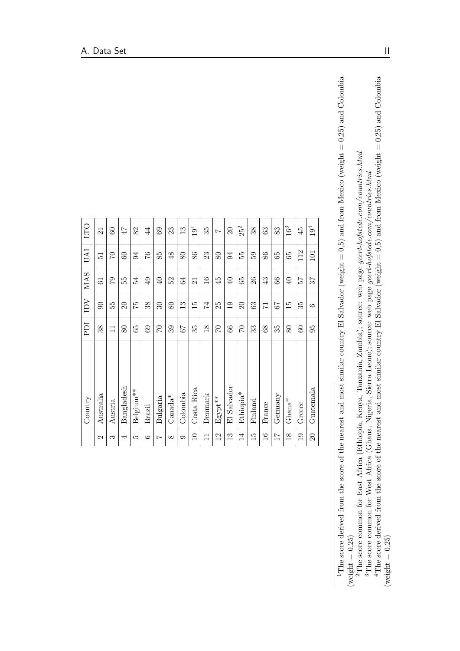|                 | Country             | <b>IGd</b>     | $\overline{\text{IDV}}$ | <b>MAS</b>      | <b>UAI</b>     | <b>DIT</b>      |  |
|-----------------|---------------------|----------------|-------------------------|-----------------|----------------|-----------------|--|
| $\mathcal{C}$   | Australia           | 38             | $\overline{6}$          | $\overline{6}$  | 51             | $\overline{21}$ |  |
| S               | Austria             | $\Xi$          | 55                      | 67              | $\overline{C}$ | 60              |  |
| ₹               | Bangladesh          | 80             | $\overline{20}$         | 55              | $60\,$         | 47              |  |
| LO              | Belgium**           | 65             | 52                      | 54              | 94             | 82              |  |
| G               | <b>Brazil</b>       | $\mathbf{63}$  | 38                      | $\overline{6}$  | 97             | 44              |  |
| Ņ               | Bulgaria            | $\Im$          | $\overline{30}$         | $\overline{40}$ | 85             | 69              |  |
| $\infty$        | $\mathrm{Canada}^*$ | 39             | 80                      | 52              | $\frac{8}{5}$  | 23              |  |
| 6               | Colombia            | 79             | $\frac{3}{2}$           | 64              | 80             | $\frac{3}{2}$   |  |
| $\Box$          | Costa Rica          | 35             | $\frac{5}{1}$           | 21              | 86             | $19^{\rm 1}$    |  |
| $\Box$          | Denmark             | $\frac{8}{18}$ | 74                      | $\frac{6}{1}$   | 23             | 35              |  |
| 12              | Egypt**             | $\mathcal{C}$  | 25                      | $\frac{5}{4}$   | 80             | $\overline{ }$  |  |
| $\frac{3}{1}$   | El Salvador         | $\mathcal{S}$  | $\frac{0}{1}$           | $\overline{40}$ | $\overline{5}$ | $\approx$       |  |
| $\overline{14}$ | $E$ thiopia $^*$    | $\Im$          | $\Omega$                | 65              | 55             | $25^{\rm 2}$    |  |
| $\frac{15}{2}$  | Finland             | 33             | 63                      | 26              | 59             | 38              |  |
| $\frac{6}{1}$   | France              | $8^{\circ}$    | $\overline{7}$          | 43              | 86             | 63              |  |
| $\overline{11}$ | Germany             | 35             | 59                      | 66              | 65             | 83              |  |
| $\frac{8}{18}$  | $Ghana^*$           | 80             | $\frac{15}{2}$          | $\overline{40}$ | 65             | $16^3\,$        |  |
| $\overline{0}$  | Greece              | $\odot$        | 35                      | 25              | 112            | 45              |  |
| $\overline{20}$ | $G$ uatemala        | 56             | G                       | 75              | 101            | $19^4$          |  |
|                 |                     |                |                         |                 |                |                 |  |

<span id="page-67-3"></span><span id="page-67-2"></span><span id="page-67-1"></span><span id="page-67-0"></span><sup>1</sup>The score derived from the score of the nearest and most similar country El Salvador (weight = 0,5) and from Mexico (weight = 0,25) and Colombia 1The score derived from the score of the nearest and most similar country El Salvador (weight = 0,5) and from Mexico (weight = 0,25) and Colombia  $(\text{weight} = 0, 25)$  $(\text{weight} = 0,25)$ 

<sup>2</sup>The score common for East Africa (Ethiopia, Kenya, Tanzania, Zambia); source: web page *geert-hofstede.com/countries.html*<br><sup>3</sup>The score common for West Africa (Ghana, Nigeria, Sierra Leone); source: web page *geert-hofs* <sup>2</sup>The score common for East Africa (Ethiopia, Kenya, Tanzania, Zambia); source: web page *geert-hofstede.com/countries.html* 

<sup>3</sup>The score common for West Africa (Ghana, Nigeria, Sierra Leone); source: web page geert-hofstede.com/countries.html

<sup>4</sup>The score derived from the score of the nearest and most similar country El Salvador (weight = 0,5) and from Mexico (weight = 0,25) and Colombia <sup>4</sup>The score derived from the score of the nearest and most similar country El Salvador (weight = 0,5) and from Mexico (weight = 0,25) and Colombia  $(\text{weight} = 0,25)$  $(\text{weight} = 0,25)$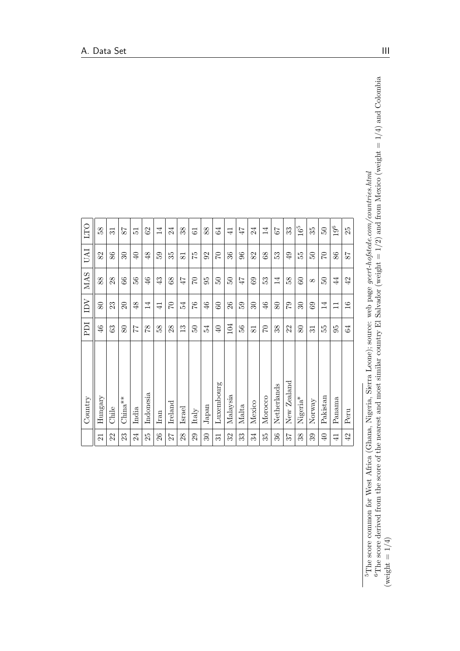|                 | Country              | <b>IGS</b>      | $\overline{\text{IDV}}$  | <b>MAS</b>      | <b>IND</b>      | <b>DIT</b>      |
|-----------------|----------------------|-----------------|--------------------------|-----------------|-----------------|-----------------|
| $\overline{21}$ | Hungary              | $\frac{4}{6}$   | 80                       | 88              | 82              | 58              |
| 22              | Chile                | 63              | 23                       | 28              | 86              | $\overline{31}$ |
| 23              | $China**$            | 80              | $\Omega$                 | $\frac{6}{6}$   | Z               | 78              |
| 24              | India                | 77              | 48                       | 56              | $\Theta$        | $\overline{5}$  |
| 25              | Indonesia            | 87              | $\overline{14}$          | 46              | 48              | $\mathcal{S}$   |
| 26              | Iran                 | 38              | $\overline{4}$           | 43              | 59              | $\overline{14}$ |
| 27              | Ireland              | 28              | 20                       | 89              | 35              | 24              |
| 28              | Israel               | $\mathfrak{D}$  | 54                       | 47              | $\overline{81}$ | 38              |
| 29              | Italy                | SO.             | 97                       | $\overline{C}$  | 52              | $\overline{6}$  |
| $\Im 0$         | ${\it Japan}$        | 54              | 46                       | 95              | 92              | 88              |
| 31              | Luxembourg           | $\Theta$        | 60                       | $50^{\circ}$    | $\overline{C}$  | $\mathfrak{A}$  |
| 32              | Malaysia             | 104             | 26                       | $50\,$          | 36              | $\overline{4}$  |
| 33              | Malta                | 56              | 59                       | 47              | 96              | 47              |
| 34              | Mexico               | $\overline{8}$  | $\overline{\mathcal{E}}$ | 69              | 82              | 24              |
| 35              | Morocco              | $\sqrt{2}$      | 46                       | 53              | 68              | 14              |
| 36              | Netherlands          | 38              | 80                       | $\overline{14}$ | 53              | 79              |
| 75              | New Zealand          | 22              | 62                       | 58              | $\overline{6}$  | 33              |
| 38              | Nigeria <sup>*</sup> | 80              | $\mathcal{S}^0$          | $60\,$          | 55              | $16^5$          |
| 39              | Norway               | $\overline{31}$ | 69                       | $\infty$        | $50\,$          | 35              |
| $\overline{40}$ | Pakistan             | 55              | $\overline{14}$          | $50\,$          | $\overline{C}$  | 50              |
| $\overline{41}$ | Panama               | 95              | $\Box$                   | $\overline{4}$  | 86              | $19^6$          |
| 42              | Peru                 | 54              | 16                       | 42              | 78              | 25              |

<span id="page-68-1"></span><span id="page-68-0"></span><sup>5</sup>The score common for West Africa (Ghana, Nigeria, Sierra Leone); source: web page *geert-hofstede.com/countries.html*<br><sup>6</sup>The score derived from the score of the nearest and most similar country El Salvador (weight = 1/ <sup>6</sup>The score derived from the score of the nearest and most similar country El Salvador (weight = 1/2) and from Mexico (weight = 1/4) and Colombia 5The score common for West Africa (Ghana, Nigeria, Sierra Leone); source: web page geert-hofstede.com/countries.html (weight  $= 1/4$ )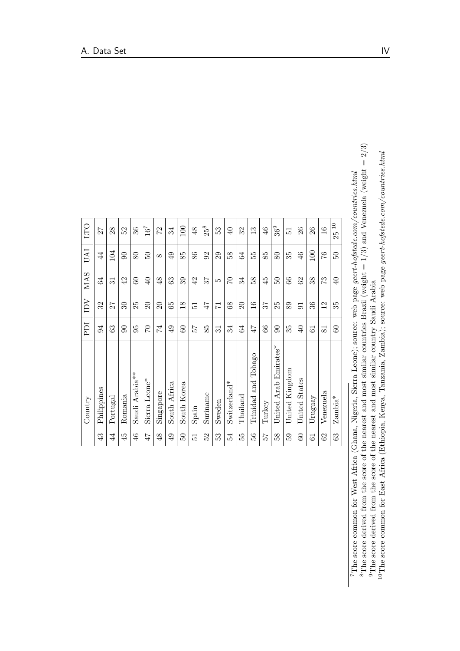| $\overline{a}$<br>100<br>$25^8\,$<br>$36^9\,$<br>$16^7$<br>52<br>36<br>$\mathfrak{F}$<br>53<br>$\frac{6}{5}$<br>26<br>$\frac{6}{1}$<br>27<br>28<br>22<br>$\frac{8}{3}$<br>$\Theta$<br>32<br>26<br>$\mathbf{13}$<br>51<br>25<br>104<br>100<br>$\ddot{4}$<br>$\infty$<br>86<br>29<br>64<br>80<br>$\frac{4}{6}$<br>97<br>80<br>$\overline{6}$<br>85<br>92<br>58<br>55<br>85<br>35<br>$50\,$<br>$50^{\circ}$<br>$\infty$<br>66<br>34<br>42<br>$\overline{60}$<br>$\overline{40}$<br>48<br>63<br>39<br>42<br>34<br>58<br>$\ddot{4}$<br>$\overline{50}$<br>62<br>38<br>73<br>$\overline{40}$<br>75<br>$\Im$<br>$\overline{31}$<br>LO<br>32<br>$\overline{\mathrm{30}}$<br>20<br>$\frac{8}{18}$<br>20<br>$\frac{6}{1}$<br>25<br>36<br>25<br>$\overline{20}$<br>65<br>$\frac{8}{3}$<br>89<br>12<br>35<br>47<br>27<br>57<br>$\overline{51}$<br>$\overline{7}$<br>$\overline{5}$<br>54<br>$\infty$<br>74<br>60<br>$\mathcal{S}$<br>$\infty$<br>63<br>95<br>$\Im$<br>$\overline{6}$<br>25<br>85<br>64<br>35<br>60<br>ಸ<br>47<br>$\Theta$<br>$\overline{31}$<br>61<br>$\overline{81}$<br>Arab Emirates*<br>Tobago<br>Kingdom<br>Arabia <sup>**</sup><br>Sierra Leone*<br><b>States</b><br>Trinidad and<br>$Switzerland*$<br>Africa<br>South Korea<br>Philippines<br>Singapore<br>Venezuela<br>Suriname<br>Romania<br>$\rm_{Thailand}$<br>Uruguay<br>$\rm Zambia^*$<br>Portugal<br>Sweden<br>United<br>United<br>United<br>Turkey<br>South<br>Saudi<br>Spain<br>$\overline{4}$<br>46<br>53<br>56<br>58<br>$\mathcal{S}^2$<br>43<br>$\ddot{4}$<br>47<br>$\frac{8}{3}$<br>$\overline{6}$<br>52<br>54<br>55<br>59<br>63<br>$50^{\circ}$<br>75<br>$\overline{5}$<br>$60\,$<br>61 | Country | PDI | $_{\rm IDV}$ | <b>MAS</b> | <b>IVA</b> | <b>DTI</b> |
|-----------------------------------------------------------------------------------------------------------------------------------------------------------------------------------------------------------------------------------------------------------------------------------------------------------------------------------------------------------------------------------------------------------------------------------------------------------------------------------------------------------------------------------------------------------------------------------------------------------------------------------------------------------------------------------------------------------------------------------------------------------------------------------------------------------------------------------------------------------------------------------------------------------------------------------------------------------------------------------------------------------------------------------------------------------------------------------------------------------------------------------------------------------------------------------------------------------------------------------------------------------------------------------------------------------------------------------------------------------------------------------------------------------------------------------------------------------------------------------------------------------------------------------------------------------------------------------------------------------------------------------------------------------------|---------|-----|--------------|------------|------------|------------|
|                                                                                                                                                                                                                                                                                                                                                                                                                                                                                                                                                                                                                                                                                                                                                                                                                                                                                                                                                                                                                                                                                                                                                                                                                                                                                                                                                                                                                                                                                                                                                                                                                                                                 |         |     |              |            |            |            |
|                                                                                                                                                                                                                                                                                                                                                                                                                                                                                                                                                                                                                                                                                                                                                                                                                                                                                                                                                                                                                                                                                                                                                                                                                                                                                                                                                                                                                                                                                                                                                                                                                                                                 |         |     |              |            |            |            |
|                                                                                                                                                                                                                                                                                                                                                                                                                                                                                                                                                                                                                                                                                                                                                                                                                                                                                                                                                                                                                                                                                                                                                                                                                                                                                                                                                                                                                                                                                                                                                                                                                                                                 |         |     |              |            |            |            |
|                                                                                                                                                                                                                                                                                                                                                                                                                                                                                                                                                                                                                                                                                                                                                                                                                                                                                                                                                                                                                                                                                                                                                                                                                                                                                                                                                                                                                                                                                                                                                                                                                                                                 |         |     |              |            |            |            |
|                                                                                                                                                                                                                                                                                                                                                                                                                                                                                                                                                                                                                                                                                                                                                                                                                                                                                                                                                                                                                                                                                                                                                                                                                                                                                                                                                                                                                                                                                                                                                                                                                                                                 |         |     |              |            |            |            |
|                                                                                                                                                                                                                                                                                                                                                                                                                                                                                                                                                                                                                                                                                                                                                                                                                                                                                                                                                                                                                                                                                                                                                                                                                                                                                                                                                                                                                                                                                                                                                                                                                                                                 |         |     |              |            |            |            |
|                                                                                                                                                                                                                                                                                                                                                                                                                                                                                                                                                                                                                                                                                                                                                                                                                                                                                                                                                                                                                                                                                                                                                                                                                                                                                                                                                                                                                                                                                                                                                                                                                                                                 |         |     |              |            |            |            |
|                                                                                                                                                                                                                                                                                                                                                                                                                                                                                                                                                                                                                                                                                                                                                                                                                                                                                                                                                                                                                                                                                                                                                                                                                                                                                                                                                                                                                                                                                                                                                                                                                                                                 |         |     |              |            |            |            |
|                                                                                                                                                                                                                                                                                                                                                                                                                                                                                                                                                                                                                                                                                                                                                                                                                                                                                                                                                                                                                                                                                                                                                                                                                                                                                                                                                                                                                                                                                                                                                                                                                                                                 |         |     |              |            |            |            |
|                                                                                                                                                                                                                                                                                                                                                                                                                                                                                                                                                                                                                                                                                                                                                                                                                                                                                                                                                                                                                                                                                                                                                                                                                                                                                                                                                                                                                                                                                                                                                                                                                                                                 |         |     |              |            |            |            |
|                                                                                                                                                                                                                                                                                                                                                                                                                                                                                                                                                                                                                                                                                                                                                                                                                                                                                                                                                                                                                                                                                                                                                                                                                                                                                                                                                                                                                                                                                                                                                                                                                                                                 |         |     |              |            |            |            |
|                                                                                                                                                                                                                                                                                                                                                                                                                                                                                                                                                                                                                                                                                                                                                                                                                                                                                                                                                                                                                                                                                                                                                                                                                                                                                                                                                                                                                                                                                                                                                                                                                                                                 |         |     |              |            |            |            |
|                                                                                                                                                                                                                                                                                                                                                                                                                                                                                                                                                                                                                                                                                                                                                                                                                                                                                                                                                                                                                                                                                                                                                                                                                                                                                                                                                                                                                                                                                                                                                                                                                                                                 |         |     |              |            |            |            |
|                                                                                                                                                                                                                                                                                                                                                                                                                                                                                                                                                                                                                                                                                                                                                                                                                                                                                                                                                                                                                                                                                                                                                                                                                                                                                                                                                                                                                                                                                                                                                                                                                                                                 |         |     |              |            |            |            |
|                                                                                                                                                                                                                                                                                                                                                                                                                                                                                                                                                                                                                                                                                                                                                                                                                                                                                                                                                                                                                                                                                                                                                                                                                                                                                                                                                                                                                                                                                                                                                                                                                                                                 |         |     |              |            |            |            |
|                                                                                                                                                                                                                                                                                                                                                                                                                                                                                                                                                                                                                                                                                                                                                                                                                                                                                                                                                                                                                                                                                                                                                                                                                                                                                                                                                                                                                                                                                                                                                                                                                                                                 |         |     |              |            |            |            |
|                                                                                                                                                                                                                                                                                                                                                                                                                                                                                                                                                                                                                                                                                                                                                                                                                                                                                                                                                                                                                                                                                                                                                                                                                                                                                                                                                                                                                                                                                                                                                                                                                                                                 |         |     |              |            |            |            |
|                                                                                                                                                                                                                                                                                                                                                                                                                                                                                                                                                                                                                                                                                                                                                                                                                                                                                                                                                                                                                                                                                                                                                                                                                                                                                                                                                                                                                                                                                                                                                                                                                                                                 |         |     |              |            |            |            |
|                                                                                                                                                                                                                                                                                                                                                                                                                                                                                                                                                                                                                                                                                                                                                                                                                                                                                                                                                                                                                                                                                                                                                                                                                                                                                                                                                                                                                                                                                                                                                                                                                                                                 |         |     |              |            |            |            |
|                                                                                                                                                                                                                                                                                                                                                                                                                                                                                                                                                                                                                                                                                                                                                                                                                                                                                                                                                                                                                                                                                                                                                                                                                                                                                                                                                                                                                                                                                                                                                                                                                                                                 |         |     |              |            |            |            |
|                                                                                                                                                                                                                                                                                                                                                                                                                                                                                                                                                                                                                                                                                                                                                                                                                                                                                                                                                                                                                                                                                                                                                                                                                                                                                                                                                                                                                                                                                                                                                                                                                                                                 |         |     |              |            |            |            |

<span id="page-69-3"></span><span id="page-69-2"></span><span id="page-69-1"></span><sup>7</sup>The score common for West Africa (Ghana, Nigeria, Sierra Leone); source: web page geert-hofstede.com/countries.html<br><sup>8</sup>The score derived from the score of the nearest and most similar countries Brazil (weight = 1/3) an <sup>8</sup>The score derived from the score of the nearest and most similar countries Brazil (weight =  $1/3$ ) and Venezuela (weight =  $2/3$ ) <sup>7</sup>The score common for West Africa (Ghana, Nigeria, Sierra Leone); source: web page geert-hofstede.com/countries.html <sup>9</sup>The score derived from the score of the nearest and most similar country Saudi Arabia

<span id="page-69-0"></span><sup>10</sup>The score common for East Africa (Ethiopia, Kenya, Tanzania, Zambia); source: web page geert-hofstede.com/countries.html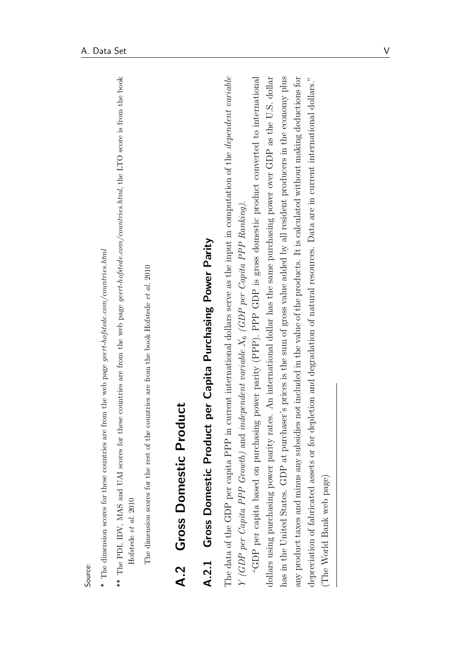- $*$  The dimension scores for these countries are from the web page geert-hofstede.com/countries.html  $*$  The dimension scores for these countries are from the web page geert-hofstede.com/countries.html
- \*\* The PDI, IDV, MAS and UAI scores for these countries are from the web page geert-hofstede.com/countries.html, the LTO score is from the book \*\* The PDI, IDV, MAS and UAI scores for these countries are from the web page geert-hofstede.com/countries.html, the LTO score is from the book Hofstede et al. 2010 [Hofstede](#page-61-0) et al. [2010](#page-61-0)

The dimension scores for the rest of the countries are from the book Hofstede *et al.* 2010 The dimension scores for the rest of the countries are from the book [Hofstede](#page-61-0) et al. [2010](#page-61-0)

# A.2 Gross Domestic Product A.2 Gross Domestic Product

# A.2.1 Gross Domestic Product per Capita Purchasing Power Parity A.2.1 Gross Domestic Product per Capita Purchasing Power Parity

The data of the GDP per capita PPP in current international dollars serve as the input in computation of the dependent variable The data of the GDP per capita PPP in current international dollars serve as the input in computation of the dependent variable X6 (GDP per Capita PPP Ranking). Y (GDP per Capita PPP Growth) and independent variable  $X_6$  (GDP per Capita PPP Ranking) Y (GDP per Capita PPP Growth) and independent variable

has in the United States. GDP at purchaser's prices is the sum of gross value added by all resident producers in the economy plus "GDP per capita based on purchasing power parity (PPP). PPP GDP is gross domestic product converted to international dollars using purchasing power parity rates. An international dollar has the same purchasing power over GDP as the U.S. dollar any product taxes and minus any subsidies not included in the value of the products. It is calculated without making deductions for depreciation of fabricated assets or for depletion and degradation of natural resources. Data are in current international dollars." "GDP per capita based on purchasing power parity (PPP). PPP GDP is gross domestic product converted to international dollars using purchasing power parity rates. An international dollar has the same purchasing power over GDP as the U.S. dollar has in the United States. GDP at purchaser's prices is the sum of gross value added by all resident producers in the economy plus any product taxes and minus any subsidies not included in the value of the products. It is calculated without making deductions for depreciation of fabricated assets or for depletion and degradation of natural resources. Data are in current international dollars." The World Bank web page) (The World Bank web page)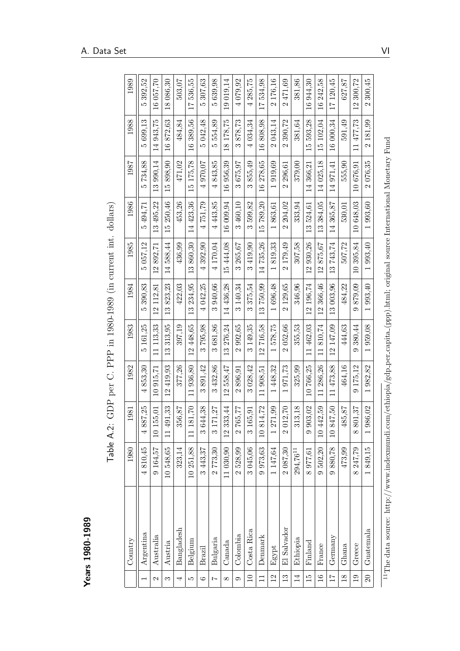| נס             |
|----------------|
| œ              |
| σ              |
| −              |
|                |
| ¢              |
| œ              |
| ີ              |
| $\blacksquare$ |
|                |
| U)             |
| d<br>t         |
| ä              |
|                |
|                |

<span id="page-71-0"></span>

|                          | Years 1980-1989                 |           | Table A.2:         | GDP per C. PPP in 1980-1989 (in current int. dollars) |                             |                          |                           |                             |                                    |                        |                              |
|--------------------------|---------------------------------|-----------|--------------------|-------------------------------------------------------|-----------------------------|--------------------------|---------------------------|-----------------------------|------------------------------------|------------------------|------------------------------|
|                          | $\mathop{\rm Country}\nolimits$ | 1980      | 1981               | 1982                                                  | 1983                        | 1984                     | 1985                      | 1986                        | 1987                               | 1988                   | 1989                         |
| $\overline{\phantom{0}}$ | Argentina                       | 4810,45   | 55,75<br>488       | 853,30<br>4                                           | 161,25<br>LΩ                | 390,83<br>LO.            | 057.12<br>īΟ              | 494,71<br>LΩ                | 734,88<br>īΟ                       | 699,13<br>ŗΟ           | 392,52<br>LΩ                 |
| $\mathcal{C}$            | Australia                       | 9164,57   | 10 155,01          | 10 915,71                                             | 11 113,33                   | 112,81<br>$\overline{2}$ | 892,71<br>$\frac{2}{1}$   | 13 495,22                   | 13 990,14                          | 14 943,75              | 16 057,70                    |
| $\infty$                 | Austria                         | 10548,65  | 11 491,33          | 419,93<br>12                                          | 313,95<br>$\frac{3}{2}$     | 823,23<br>$\frac{3}{1}$  | 588,44<br>$\overline{14}$ | 250,46<br>$\overline{15}$   | 898,90<br>$\overline{15}$          | 16872,63               | 18 086,30                    |
| 4                        | Bangladesh                      | 323,14    | 356,87             | 377,26                                                | 397,19                      | 422,03                   | 436,99                    | 453,26                      | 471,02                             | 484,84                 | 503,07                       |
| LC.                      | Belgium                         | 10 251,88 | $11\ 181,70$       | 936,80<br>$\overline{11}$                             | 12 448.65                   | 234,95<br>$\frac{3}{2}$  | 13860,30                  | 14 423,36                   | 15 175,78                          | 16 389,56              | 536,55<br>$\overline{11}$    |
| ం                        | Brazil                          | 3443,37   | 3 644,38           | 891,42<br>S                                           | 795,98<br>က                 | 4 042.25                 | 4392,90                   | 4751,79                     | 4 970.07                           | 5 042,48               | 307,63<br>ນລ                 |
| $\overline{z}$           | Bulgaria                        | 2773,30   | 3 171,27           | 3 432,86                                              | 681,86<br>$\infty$          | 3940,66                  | 4 170.04                  | 4443,85                     | 4 843,85                           | 554,89<br>ນລ           | 639,98<br>ນລ                 |
| $\infty$                 | Canada                          | 11 030,90 | 12 333,44          | 558,47<br>$\mathcal{L}_{\mathcal{L}}$                 | 13 276,24                   | 14 436,28                | 15444.08                  | 16 009,94                   | 16 956,39                          | 18 178.75              | 19 019,14                    |
| $\circ$                  | Colombia                        | 2528,99   | 2 765,77           | 896,91<br>$\mathcal{Q}$                               | 992,65<br>$\mathbf{\Omega}$ | 3 140,34                 | 3 265,67                  | 3 460,10                    | 3 675,97                           | 878,73<br>$\infty$     | 4 079,92                     |
| $\overline{10}$          | Costa Rica                      | 3 045,06  | 3 165,91           | 3 028,42                                              | 3 149,35                    | 375,54<br>$\infty$       | 3419,90                   | 3599,82                     | 855,49<br>က                        | 4 034,34               | 4 285,75                     |
| $\Box$                   | Denmark                         | 9973,63   | 10 814,72          | 11 908,51                                             | 12716,58                    | 13750,99                 | 14735,26                  | 15789,20                    | 16 278,65                          | 16808,98               | 17534,98                     |
| 12                       | Egypt                           | 1147,64   | 1 271,99           | 448,32                                                | 578,75                      | 696,48                   | 819,33                    | 863,61                      | 919,69<br>$\overline{\phantom{0}}$ | 2043,14                | 176,16<br>$\mathbf{\Omega}$  |
| 13                       | El Salvador                     | 2 087,30  | $2\ 012,70$        | 971,73<br>$\overline{\phantom{0}}$                    | 2 052,66                    | 2 129,65                 | 179,49<br>$\mathbf{c}$    | 204,02<br>$\mathbf{\Omega}$ | 296,61<br>$\mathbf{c}$             | 390,72<br>$\mathbf{c}$ | 471.69<br>$\mathbf{\hat{c}}$ |
| 14                       | Ethiopia                        | 294,7611  | 313,18             | 325,99                                                | 355,53                      | 346,96                   | 307,58                    | 333,94                      | 379,00                             | 381,64                 | 381,86                       |
| $\overline{15}$          | Finland                         | 8977,61   | 9 903,02           | 10 766,25                                             | 11 462,03                   | 12 196,74                | 12 930,26                 | 13524,61                    | 14 366,21                          | 15 593,28              | 16944.30                     |
| $\frac{6}{1}$            | France                          | 9502,20   | 10 442,59          | 286,26<br>$\overline{11}$                             | 11810,74                    | 12 366,46                | 875,67<br>$\overline{2}$  | 384,05<br>$\frac{3}{2}$     | 14 025,18                          | 15 102,04              | 16 242,58                    |
| $\overline{11}$          | Germany                         | 9880,78   | 17,50<br>1084      | 11 473,88                                             | 12 147,09                   | 13 003,96                | 13743,74                  | 14 365,87                   | 14 971,41                          | 16 000,34              | 17 120,45                    |
| $\frac{8}{18}$           | Ghana                           | 473,99    | 485,87             | 464,16                                                | 444.63                      | 484,22                   | 507,72                    | 530,01                      | 555,90                             | 591.49                 | 627,87                       |
| $\overline{0}$           | Greece                          | 8 247,79  | 801,37<br>$\infty$ | 175,12<br>$\circ$                                     | 380,44<br>$\circ$           | 879,09<br>$\circ$        | 10395,84                  | 10648.03                    | 10 676.91                          | 11477,73               | 300,72<br>$\frac{1}{2}$      |
| $\Omega$                 | $G$ uatemala                    | 1849,15   | 1 986,02           | 1982,82                                               | 1959,08                     | 1 993,40                 | 1993,40                   | 1 993,60                    | 2 076,35                           | 2 181,99               | 300,45<br>$\mathbf{\Omega}$  |
| Ţ                        |                                 |           |                    |                                                       |                             |                          |                           |                             |                                    |                        |                              |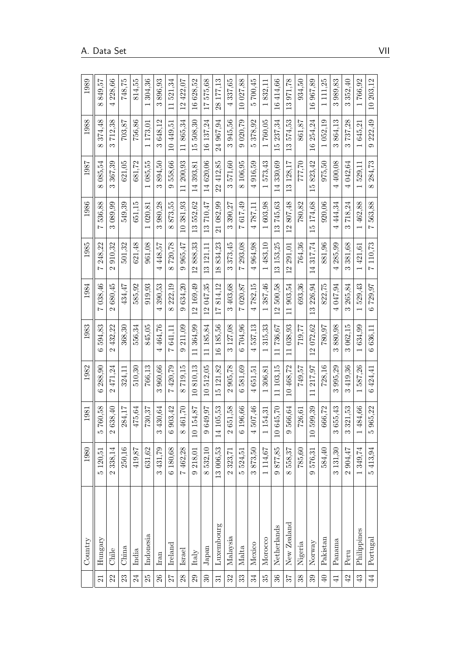|                     | Country        | 1980              | 1981                         | 1982                        | 1983                                | 1984                     | 1985                               | 1986                          | 1987                               | 1988                     | 1989                     |
|---------------------|----------------|-------------------|------------------------------|-----------------------------|-------------------------------------|--------------------------|------------------------------------|-------------------------------|------------------------------------|--------------------------|--------------------------|
| $\overline{\Omega}$ | Hungary        | 5 120.51          | 760,58<br>LΩ                 | 288,90<br>G                 | 594,83<br>Ğ                         | 038.46<br>$\overline{1}$ | 248.22<br>$\overline{ }$           | 536,88<br>$\overline{ }$      | 085,54<br>$\infty$                 | 374.48<br>$\infty$       | 849,57<br>$\infty$       |
| 22                  | Chile          | 2 338,14          | 638,40<br>$\mathcal{C}$      | 471,24<br>$\mathbf{\Omega}$ | 432,22<br>$\mathcal{Q}$             | 680,45<br>$\mathcal{Q}$  | 910.32<br>$\mathbf{\Omega}$        | 089.99<br>∞                   | 367,39<br>∞                        | 712,38<br>က              | 4 228,66                 |
| 23                  | China          | 250,16            | 284,17                       | 324.11                      | 368.30                              | 434.47                   | 501.32                             | 549.39                        | 621,05                             | 703,87                   | 748,75                   |
| 24                  | India          | 419,87            | 475,64                       | 510.30                      | 556.34                              | 585.92                   | 621.48                             | 651.15                        | 681.72                             | 756.86                   | 814.55                   |
| 25                  | Indonesia      | 631,62            | 730,37                       | 766.13                      | 845,05                              | 919,93                   | 961.08                             | 020.81                        | 085,55<br>$\overline{\phantom{0}}$ | 173,01                   | 304,36                   |
| 26                  | Iran           | 3 431,79          | 430,64<br>S                  | 960.66<br>က                 | 464.76<br>4                         | 390.53<br>4              | 448,57<br>4                        | 980.28<br>∞                   | 894.50<br>∞                        | 648,12<br>S              | 896.93<br>∞              |
| 77                  | Ireland        | 6 180,68          | 903,42<br>$\circ$            | 420.79<br>$\sim$            | 641.11<br>$\overline{z}$            | 222,19<br>$\infty$       | 720.78<br>$\infty$                 | 873.55<br>$\infty$            | 558,66<br>0                        | 10449.51                 | 521.34<br>$\overline{1}$ |
| 28                  | Israel         | 7462.28           | $461,70$<br>$\infty$         | 719,15<br>$\infty$          | 211.09<br>$\circ$                   | 634.20<br>G.             | 965,47<br>$\circ$                  | 381.93<br>$\approx$           | 200.93<br>$\overline{1}$           | 865.34<br>$\overline{1}$ | 12 422,07                |
| 29                  | Italy          | $9\,218.01$       | 10 154,87                    | 810.13<br>$\overline{10}$   | 364,99<br>$\overline{11}$           | 12 169.49                | 888.33<br>$\overline{c}$           | 552,62<br>13                  | 393.81<br>$\overline{14}$          | 508.30<br>LO             | 628.52<br>$\frac{6}{1}$  |
| $\overline{30}$     | $_{\rm Japan}$ | 8532,10           | 649,97<br>$\circ$            | 512.05<br>$\frac{1}{10}$    | 185.84<br>$\overline{1}$            | 12047.35                 | 3 121.11                           | 13710.47                      | 14 620.06                          | 137,24<br>$\frac{6}{1}$  | 575,68<br>11             |
| 31                  | Luxembourg     | 13 006,53         | 14 105,53                    | 121,82<br>$\frac{5}{1}$     | 6 185.56                            | 814.12<br>17             | 834.23<br>$\infty$                 | 082,99<br>$\overline{\Omega}$ | 412,85<br>22                       | 24 967,94                | 28 177,13                |
| 32                  | Malaysia       | 233,71            | 651,58<br>$\mathbf{\hat{c}}$ | 905,78<br>$\mathbf{\Omega}$ | 127.08<br>S                         | 403.68<br>ຕ              | 373,45<br>ຕ                        | 390.27<br>S                   | 571.60<br>S                        | 945.56<br>S              | 337,65<br>4              |
| 33                  | Malta          | 5 524,51          | 6 196,66                     | 581,69<br>ص                 | 704.96<br>Ğ                         | 020,87<br>$\overline{ }$ | 293.08<br>$\overline{a}$           | 617.49<br>$\overline{ }$      | 106,95<br>$\infty$                 | 020,79<br>Ó              | 10 027,88                |
| 34                  | Mexico         | 873,50<br>က       | 507,46<br>4                  | 651.51<br>4                 | 537.13<br>4                         | 782.15<br>4              | 964.98<br>4                        | 787.11<br>4                   | 916.59<br>4                        | 378,92<br>LΩ             | 700,45<br>LΩ             |
| 35                  | Morocco        | 1114,67           | 154,31                       | 306.81                      | 315,33                              | 387.46                   | 483.10<br>$\overline{\phantom{0}}$ | 603.98                        | 573.43<br>$\overline{\phantom{0}}$ | 760.05                   | 832.11                   |
| 36                  | Netherlands    | 877,85<br>$\circ$ | 645,70<br>$\overline{10}$    | 103.15<br>$\overline{1}$    | 736,67<br>$\overline{\overline{1}}$ | 500.58<br>$\overline{2}$ | 153.25<br>$\frac{3}{1}$            | 745,63<br>$\frac{3}{1}$       | 330.69<br>$\overline{4}$           | 237,34<br>LO             | 414,66<br>$\frac{6}{1}$  |
| 78                  | New Zealand    | 8 558,37          | 566,64<br>$\circ$            | 468.72<br>$\Xi$             | 038.93<br>$\Box$                    | 903.54<br>$\Box$         | 291.01<br>$\frac{2}{1}$            | 807.48<br>$\overline{2}$      | 128,17<br>$\frac{3}{1}$            | 574.53<br>က              | 971,78<br>$\frac{3}{1}$  |
| 38                  | Nigeria        | 785,60            | 726,61                       | 749.57                      | 719.77                              | 693.36                   | 764.36                             | 780,82                        | 777,70                             | 861.87                   | 934.50                   |
| 39                  | Norway         | 9576,31           | 10 599,39                    | 217,97                      | 072,62<br>$\mathbf{\Omega}$         | 226.94<br>$\mathbb{C}$   | 317,74<br>$\overline{1}$           | 174.68<br>ŗÓ,                 | 823,42<br>ŗΩ                       | 254,24<br>$\frac{6}{1}$  | 967,89<br>$\frac{1}{2}$  |
| $\overline{40}$     | Pakistan       | 584,40            | 666,72                       | 728.16                      | 780.97                              | 822,75                   | 881.96                             | 920.06                        | 975.50                             | 052.19                   | 111,25                   |
| $\overline{41}$     | Panama         | 3 131,30          | 655,43<br>S                  | 995.29<br>ణ                 | 880.98<br>∞                         | 047.94                   | 285.99<br>4                        | 444.34<br>4                   | 400.08<br>$\overline{ }$           | 864.13<br>∞              | 989,83<br>∞              |
| $42\,$              | Peru           | 2904,47           | 321,53<br>S                  | 419,36<br>∞                 | 062,15<br>∞                         | 265,84<br>∞              | 381.68<br>∞                        | 718,24<br>∞                   | 042,64<br>$\overline{ }$           | 737,28<br>S              | 352,40<br>∞              |
| 43                  | Philippines    | 1 349,74          | 84,66<br>4                   | 587,26                      | 634.99                              | 529.43                   | 421.61                             | 462.88                        | 529.11                             | 645.21                   | 766,92                   |
| $\overline{4}$      | Portugal       | 5413,94           | 965,22<br>LQ                 | 424.41<br>Ğ                 | 636,11<br>Ġ                         | 729,97<br>Ġ              | 110,73<br>$\overline{z}$           | 563,88<br>$\overline{ }$      | 284,73<br>$\infty$                 | 222,49<br>$\circ$        | 10 203,12                |

 $\overline{\phantom{a}}$  $\overline{\phantom{a}}$  $\overline{\phantom{a}}$  $\overline{\phantom{0}}$ 

 $\mathbf{r}$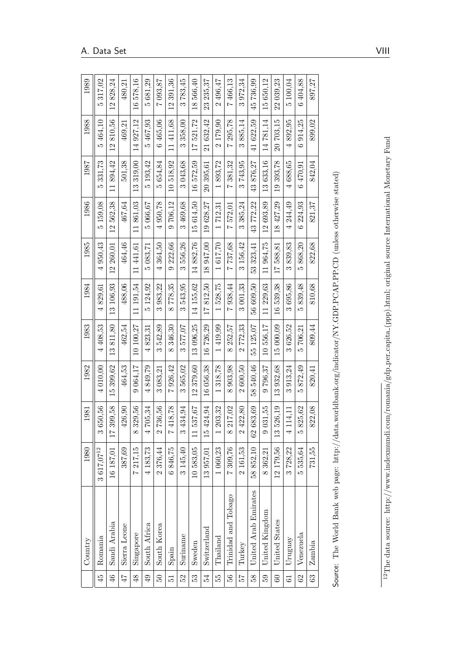<span id="page-73-0"></span>

|        | Country                                                                                                                                 | 1980         | 1981                      | 1982                               | 1983                               | 1984                               | 1985                               | 1986                     | 1987                     | 1988                              | 1989                     |
|--------|-----------------------------------------------------------------------------------------------------------------------------------------|--------------|---------------------------|------------------------------------|------------------------------------|------------------------------------|------------------------------------|--------------------------|--------------------------|-----------------------------------|--------------------------|
| 45     | Romania                                                                                                                                 | 3 617,0712   | 3 650,56                  | 4 010,00                           | 4 408,53                           | 4829,61                            | 4950.43                            | 5159.08                  | 331,73<br>rð             | 5 464,10                          | 317,02<br>LΩ             |
| 46     | Saudi Arabia                                                                                                                            | 16 187,01    | 399,58<br>$\overline{17}$ | 399,62<br>$\frac{15}{1}$           | 811,80<br>$\frac{3}{2}$            | 13 106,93                          | 12 260,01                          | 12562,38                 | 894.42<br>$\overline{1}$ | 12810,56                          | 828,24<br>$\frac{1}{2}$  |
| 47     | Sierra Leone                                                                                                                            | 387,69       | 426,90                    | 464,53                             | 462,54                             | 488,06                             | 464,46                             | 467,64                   | 501,38                   | 469,21                            | 480,21                   |
| 48     | Singapore                                                                                                                               | 7217,15      | 329,56<br>$\infty$        | 064.17<br>$\circ$                  | 10 100,27                          | 11 191,54                          | 11441.61                           | 861,03<br>$\overline{1}$ | 319,00<br>$\frac{3}{2}$  | 14 927.12                         | 16578,16                 |
| 49     | South Africa                                                                                                                            | 4 183,73     | 705,34<br>4               | 849,79<br>$\overline{ }$           | 823,31<br>$\overline{4}$           | 5 124,92                           | 5083,71                            | 5066.67                  | 5 193,42                 | 5467,93                           | 5681,29                  |
| $50\,$ | South Korea                                                                                                                             | 2376,44      | 736,56<br>$\mathbf{\sim}$ | 3 083,21                           | 542,89<br>$\infty$                 | 983,22<br>$\infty$                 | 4364,50                            | 4950,78                  | 654,84<br>LO.            | 6 465,06                          | 7 093,87                 |
| 12     | $S$ pain                                                                                                                                | 6846.75      | 418,78<br>$\overline{a}$  | 926.42<br>$\overline{a}$           | 346.30<br>$\infty$                 | 778.35<br>$\infty$                 | 9 222,66                           | 9706.12                  | 10518.92                 | 11411.68                          | 12 391.36                |
| 52     | Suriname                                                                                                                                | 3 145,40     | 434,94<br>S               | 565,02<br>$\infty$                 | 577,07<br>$\infty$                 | 3543,95                            | 556,26<br>$\infty$                 | 3 469,68                 | 3 043,68                 | 358,00<br>$\infty$                | 3783,45                  |
| 53     | Sweden                                                                                                                                  | 10583,05     | 537,67<br>$\Box$          | 379,60<br>12                       | 13 096,25                          | 14 155.62                          | 14882,76                           | 15 614,50                | 16 572,59                | 17521,72                          | 566,40<br>$\frac{8}{18}$ |
| 54     | Switzerland                                                                                                                             | 13 957,01    | 424,94<br>$\overline{15}$ | 16 056.38                          | 16726.29                           | 812,50<br>$\overline{11}$          | 18 947,00                          | 19628,27                 | 20 395,61                | 21 632.42                         | 23 235.37                |
| 55     | $\rm_{Thailand}$                                                                                                                        | 1 060,23     | 203,32                    | 318,78<br>$\overline{\phantom{0}}$ | 419,99<br>$\overline{\phantom{0}}$ | 528,75<br>$\overline{\phantom{0}}$ | 617,70<br>$\overline{\phantom{0}}$ | 712,31                   | 893,72                   | 179,90<br>$\mathbf{\hat{c}}$      | 2 496,47                 |
| 56     | Trinidad and Tobago                                                                                                                     | 7 309,76     | 217,02<br>$\infty$        | 903.98<br>$\infty$                 | 252.57<br>$\infty$                 | 938.44<br>$\overline{z}$           | 737,68<br>$\overline{z}$           | 572,01<br>$\overline{a}$ | 381,32<br>$\overline{a}$ | 295,78<br>$\overline{z}$          | 7466,13                  |
| 29     | Turkey                                                                                                                                  | 2 161,53     | 422,80<br>$\mathfrak{a}$  | 2 600,50                           | 772,33<br>$\mathbf{\Omega}$        | 3 001,33                           | 3 156,42                           | 3 385,24                 | 3743,95                  | 885,14<br>$\infty$                | 3972,34                  |
| 58     | United Arab Emirates                                                                                                                    | 58852,10     | 62 683,69                 | 540,46<br>58                       | 55 125,07                          | 56 609,50                          | 53 323,41                          | 43772.22                 | 43 876,27                | 41 622,59                         | 45736,99                 |
| 59     | United Kingdom                                                                                                                          | 8 362,21     | 9031,55                   | 796.37<br>$\circ$                  | 10 556.17                          | 229,63<br>$\overline{1}$           | 11 964,75                          | 12693.89                 | 13 633,16                | 14781.14                          | 15 650.12                |
| 60     | United States                                                                                                                           | 12 179,56    | 526,19<br>$\frac{3}{2}$   | 932,68<br>$\frac{3}{1}$            | 15 000,09                          | 16539,38                           | 588,81<br>$\overline{11}$          | 18 427,29                | 393,78<br>$\overline{0}$ | 20 703,15                         | 22 039,23                |
| 5      | Uruguay                                                                                                                                 | 3728,22      | .14, 11<br>4              | 913,24<br>S                        | 626,52<br>S                        | 695,86<br>S                        | 839.83<br>S                        | 4 244.49                 | 4 688.65                 | 892,95<br>$\overline{\mathbf{r}}$ | 5100.04                  |
| 62     | Venezuela                                                                                                                               | 535,64<br>LΩ | 825,62<br>ŗΟ              | 872,49<br>LO.                      | 706,21<br>ΓÒ,                      | 839,48<br>ŗΟ                       | 868,20<br>ΓÒ,                      | 6224,93                  | 6470.91                  | 914,25<br>$\circ$                 | 6404.88                  |
| 63     | Zambia                                                                                                                                  | 731,55       | 822,08                    | 820,41                             | 809,44                             | 810.68                             | 822,68                             | 821,37                   | 842,04                   | 899,02                            | 897,27                   |
|        | Source: The World Bank web page: http://data.worldbank.org/indicator/NY.GDP.PCAP.PP.CD (unless otherwise stated)                        |              |                           |                                    |                                    |                                    |                                    |                          |                          |                                   |                          |
|        | <sup>12</sup> The data source: http://www.indexmundi.com/romania/gdp_per_capita_(ppp).html; original source International Monetary Fund |              |                           |                                    |                                    |                                    |                                    |                          |                          |                                   |                          |

| しんしょう しんしょう しんしょう<br>$\frac{1}{2}$<br> <br> <br> <br> }<br> } |
|---------------------------------------------------------------|
|                                                               |
|                                                               |
| ׇ֖֖֚֚֚֬֝֬                                                     |
| ١<br>.<br>.<br>.<br>֚֘<br>ׇ֚֓<br>i                            |
|                                                               |
| ֖֖֖֖֖ׅׅׅ֚֚֚֚֚֚֚֚֚֚֚֚֚֚֚֚֚֚֚֚֚֚֚֡֬֡֡֓֡֞֡֡֡֓֞֡֡֓                |
| ֘֒<br>j<br>j<br>١                                             |
|                                                               |
| $\frac{1}{2}$                                                 |
| I<br>ļ                                                        |
| $\frac{1}{2}$<br>l<br>l                                       |
| ;                                                             |
| $\frac{1}{2}$                                                 |
|                                                               |
| urce:                                                         |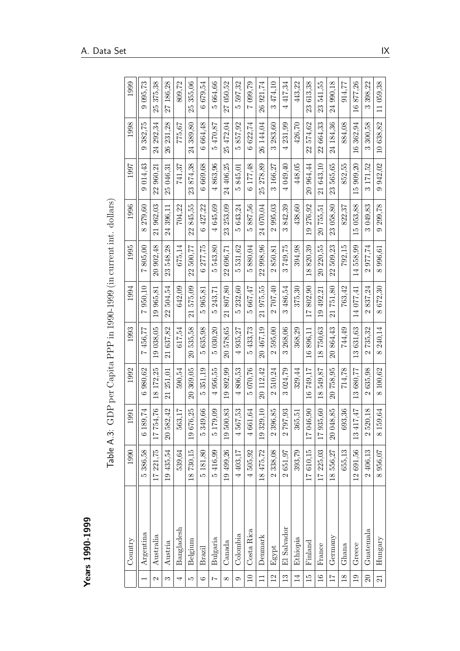| o<br>ה         |
|----------------|
| ຕ              |
|                |
| ໐              |
| ⊣<br>٣         |
|                |
|                |
| c<br>נ         |
|                |
| ຕ              |
| ໐າ             |
|                |
| $\blacksquare$ |
|                |
| U)             |
|                |
|                |
| ٥<br>t         |
| C              |
|                |
|                |
|                |
|                |

|                     | $\mathsf{Years}$ 1990-1999 |            |                                 |                               |                             |                                     |                                                           |                             |                   |                    |                         |
|---------------------|----------------------------|------------|---------------------------------|-------------------------------|-----------------------------|-------------------------------------|-----------------------------------------------------------|-----------------------------|-------------------|--------------------|-------------------------|
|                     |                            | Table A.3: |                                 |                               |                             |                                     | GDP per Capita PPP in 1990-1999 (in current int. dollars) |                             |                   |                    |                         |
|                     | Country                    | 1990       | 1991                            | 1992                          | 1993                        | 1994                                | 1995                                                      | 1996                        | 1997              | 1998               | 1999                    |
|                     | Argentina                  | 5386,58    | 6 189,74                        | 980,62<br>$\circ$             | 456,77<br>$\overline{z}$    | 950,10<br>$\overline{z}$            | 805,00<br>$\overline{z}$                                  | 279,60<br>$\infty$          | 014.43<br>$\circ$ | 382,75<br>$\circ$  | 095,73<br>$\circ$       |
| $\mathbf{\Omega}$   | Australia                  | 17 221,75  | 17754,76                        | 18 172,25                     | 19 038,05                   | 19 965,81                           | 20 902,48                                                 | 21 962,03                   | 22 960,21         | 24 292,34          | 25 375,38               |
| S                   | Austria                    | 19 435,54  | 20 582,42                       | 251,01<br>$\overline{21}$     | 21 637,82                   | 504,54<br>22                        | 548,28<br>23                                              | 24 396,11                   | 25 046,31         | 26 231,28          | 27 186,28               |
| 4                   | Bangladesh                 | 539.64     | 563,17                          | 590,54                        | 617,54                      | 642,09                              | 675,14                                                    | 704,22                      | 741.37            | 775,67             | 809,72                  |
| LC.                 | Belgium                    | 18730,15   | 19676,25                        | 369,05<br>$\overline{20}$     | 20 535,58                   | 575,09<br>$\overline{21}$           | 500,77<br>22                                              | 845,55<br>22                | 23 874,38         | 24 389,80          | 355,06<br>25            |
| $\circ$             | Brazil                     | 5 181,80   | .9,66<br>Ž<br>ມລ                | 351,19<br>ນລ                  | 5635,98                     | 965,81<br>ມລ                        | 277,75<br>$\circ$                                         | 6 427,22                    | 6 669,68          | 6664,48            | 6679,54                 |
| $\overline{z}$      | Bulgaria                   | 5416.99    | 179,09<br>ນລ                    | 956,55<br>$\overline{a}$      | 5 030,20                    | 243,71<br>LO.                       | 543,80<br>LΩ                                              | 4645,69                     | 4863,96           | 470,87<br>LΩ       | 664,66<br>ΓÒ,           |
| $\infty$            | Canada                     | 19 499.26  | 19500,83                        | 892,99<br>$\overline{1}$      | 20 578,65                   | 807,80<br>$\overline{21}$           | 22 696,71                                                 | 23 253,09                   | 24 406,25         | 25 472,04          | 27 050,52               |
| $\circ$             | Colombia                   | 4 403,17   | 4567,53                         | 806,53<br>4                   | 4 935,27                    | 232,60<br>LΩ                        | 531,62<br>LΩ                                              | 5643,24                     | 845,01<br>LΩ      | 857,92<br>ro       | 597,32<br>LΩ            |
| $\overline{10}$     | Costa Rica                 | 4505,92    | 4 661,64                        | 5 070,76                      | 433,73<br>ນວ                | 667,47<br>īΟ,                       | 880,04<br>LΩ                                              | 887.56<br>LΩ                | 6 177.48          | 6 622,74           | 7 099,79                |
| $\Box$              | Denmark                    | 18 475,72  | 19 329,10                       | 20 112,42                     | 20 467,19                   | 21975,55                            | 22 998,96                                                 | 24 070,04                   | 25 278,89         | 26 144,04          | 26 921,74               |
| $\overline{2}$      | Egypt                      | 2 338,08   | $396,\!85$<br>$\mathbf{\Omega}$ | 510,24<br>$\mathcal{Q}$       | 595,00<br>$\mathcal{C}$     | 707,40<br>$\mathbf{\Omega}$         | 850,81<br>$\mathbf{\Omega}$                               | 995,03<br>$\mathbf{\Omega}$ | 166,27<br>က       | 283,60<br>$\infty$ | 474,10<br>$\infty$      |
| 13                  | El Salvador                | 2651,97    | 2797,93                         | 024,79<br>$\infty$            | 268,06<br>$\infty$          | 486,54<br>$\infty$                  | 749,75<br>$\infty$                                        | 842,39<br>$\infty$          | 4 049,40          | 4 231,99           | 4417,34                 |
| $\overline{14}$     | Ethiopia                   | 393,79     | 365,51                          | 329,44                        | 368,29                      | 375,30                              | 394,98                                                    | 438,60                      | 448,05            | 426,70             | 443,22                  |
| $\overline{15}$     | Finland                    | 17610,15   | 17 046,90                       | 16749,17                      | 16896,11                    | 802,90<br>$\overline{17}$           | 820,39<br>$\frac{8}{2}$                                   | 19 276,92                   | 20 964,44         | 22 574,62          | 23 613,38               |
| $\frac{6}{1}$       | France                     | 17 225,03  | 17 935,60                       | 549,87<br>$\overline{18}$     | 18750,63                    | 492,21<br>$\overline{0}$            | 220,55<br>$\overline{20}$                                 | 20 755,51                   | 21 643,10         | 22 664,33          | 541,55<br>23            |
| $\overline{11}$     | Germany                    | 18 556.27  | 20 048,85                       | 758,95<br>$\overline{\Omega}$ | 20864,43                    | 751,80<br>$\overline{\mathfrak{a}}$ | 509,23<br>22                                              | 23 058,80                   | 23 565,65         | 24 184.36          | 24 990,18               |
| $\frac{8}{2}$       | $G$ hana                   | 655,13     | 693,36                          | 714,78                        | 744,49                      | 763,42                              | 792,15                                                    | 822,37                      | 852,55            | 884,08             | 914,77                  |
| 19                  | Greece                     | 12 691,56  | $L\bar{V}$<br>$13\;41'$         | 13 680,77                     | 13631.63                    | 14 077.41                           | 14 558.99                                                 | 15 053.88                   | 15 909,20         | 16 362,94          | 877,26<br>$\frac{6}{1}$ |
| $\overline{\Omega}$ | $G$ uatemala               | 2 406,13   | 520,18<br>$\mathbf{\Omega}$     | 635,98<br>$\mathcal{Q}$       | 735,32<br>$\mathbf{\Omega}$ | 837,24<br>$\mathbf{\Omega}$         | 977,74<br>$\mathbf{\Omega}$                               | 3 049,83                    | 3 171,52          | 300,58<br>$\infty$ | 398,22<br>$\infty$      |
| 21                  | Hungary                    | 8956,07    | 8 159,64                        | 8 100,62                      | 8 240,14                    | 8672,30                             | 8 996,61                                                  | 9 299,78                    | 9 942,02          | 10638,82           | 11 059,38               |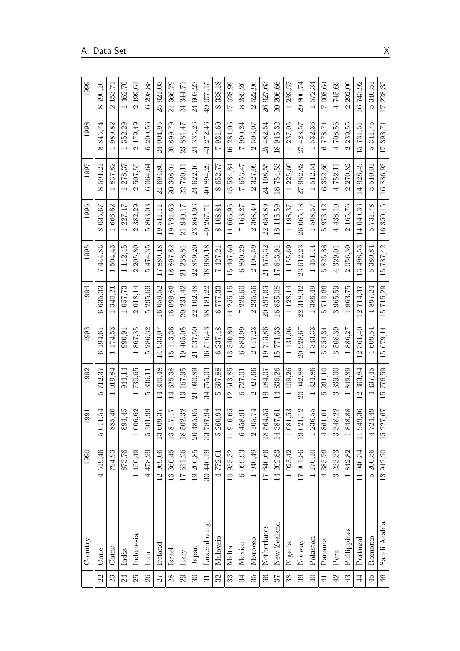|                | Country      | 1990      | 1991                       | 1992                          | 1993                               | 1994                      | 1995                                | 1996                      | 1997                               | 1998                               | 1999                                |
|----------------|--------------|-----------|----------------------------|-------------------------------|------------------------------------|---------------------------|-------------------------------------|---------------------------|------------------------------------|------------------------------------|-------------------------------------|
| 22             | Chile        | 4519,46   | 5011,54                    | 712,37<br>ŗΟ                  | 194.61<br>G                        | 635.33<br>ు               | 444,85<br>$\overline{ }$            | 035.67<br>$\infty$        | 591,21<br>$\infty$                 | 845,74<br>$\infty$                 | 790.10<br>$\infty$                  |
| 23             | China        | 794.93    | 885,40                     | 019,84                        | 174,53                             | 340,21                    | 504,43                              | 666,62                    | 837,82                             | 989,82                             | 153,71<br>$\mathbf{\hat{c}}$        |
| 24             | India        | 873,76    | 894,45                     | 944.14                        | 990.91                             | 057,73                    | 142.45<br>$\overline{ }$            | 227,47                    | 278.37                             | 352.29<br>1                        | 462,70<br>$\overline{\phantom{0}}$  |
| 25             | Indonesia    | 1450.49   | 606,62                     | 730,65                        | 867,35                             | 018,14<br>Z               | 205,80<br>$\mathbf{\Omega}$         | 382,29<br>2               | 507,55<br>$\mathbf{\Omega}$        | 179,49<br>2                        | 199,61<br>$\mathbf{\Omega}$         |
| 26             | Iran         | 4478,29   | 01,99<br>LΩ                | 336.11<br>LO                  | 286.32<br>LO                       | 295.69<br>LO              | 474,35<br>LO                        | 863.03<br>LО              | 064.64<br>$\ddot{\circ}$           | 200.56<br>Ğ                        | 298,88<br>ం                         |
| $\mathbb{Z}7$  | Ireland      | 12 969,06 | 609,37<br>13               | 300.48<br>$\overline{14}$     | 933,07<br>$\overline{14}$          | 059.52<br>$\frac{6}{1}$   | 880.18<br>$\overline{11}$           | 511,11<br>$\frac{0}{1}$   | 694,80<br>$\overline{21}$          | 24 004.95                          | 921,03<br>25                        |
| 28             | Israel       | 13 360,45 | 13817,17                   | 14625.38                      | 113,36<br>$\frac{1}{1}$            | 16 099.86                 | 897.82<br>$\frac{8}{18}$            | 791.63<br>$\frac{1}{2}$   | 308.01<br>$\overline{\mathcal{S}}$ | 20899.79                           | 366.79<br>$\overline{\mathfrak{a}}$ |
| $29\,$         | Italy        | 17611,26  | 502,32<br>$\frac{8}{18}$   | 167.95<br>$\frac{1}{2}$       | 405.05<br>$\overline{19}$          | 20 231.42                 | 238.81<br>$\overline{21}$           | 940,17<br>$\overline{21}$ | 720,11<br>22                       | 881.47<br>23                       | 344.71<br>$\overline{24}$           |
| $\mathcal{S}$  | Japan        | 19 206,85 | 185,05<br>$20\,43$         | 21090.89                      | 537,50<br>$\overline{\Omega}$      | 22 102.48                 | 859.20<br>22                        | 860.96<br>23              | 24 622.16                          | 335,26<br>24                       | 603,23<br>$\overline{24}$           |
| $\overline{5}$ | Luxembourg   | 30 440,19 | 33 787,94                  | 755.03<br>ಭ                   | 516.43<br>36                       | 181,22<br>38              | 980,18<br>38                        | 267,71<br>$\overline{Q}$  | 894,29<br>$\overline{40}$          | 272,46<br>$\frac{3}{4}$            | 49 075,15                           |
| 32             | Malaysia     | 4772,01   | $260,\!94$<br>LC.          | 697.88<br>LO.                 | 237,48<br>ల                        | 777,33<br>$\circ$         | 427.21<br>$\overline{ }$            | 108.84<br>$\infty$        | 652.77<br>$\infty$                 | 931.60<br>$\overline{z}$           | 338.18<br>$\infty$                  |
| $33\,$         | Malta        | 10 955,32 | 11 916,65                  | 613,85<br>S                   | 340,80<br>$\infty$                 | 255.15<br>$\overline{14}$ | 407,60<br>LO.                       | 14 666,95                 | 584.84<br>LO.                      | 16 284,06                          | 028,99<br>$\overline{11}$           |
| 34             | Mexico       | 6 099,93  | 58,91<br>↵<br>$\circ$      | 727,01<br>$\circ$             | 883,99<br>$\circ$                  | 226,60<br>$\overline{ }$  | 800,29<br>G                         | 163,27<br>$\overline{ }$  | 653,47<br>$\overline{a}$           | 990,24<br>$\overline{a}$           | 289,26<br>$\infty$                  |
| 35             | Morocco      | 1 940,49  | 05,74<br>$\mathbf{\Omega}$ | 027,66<br>$\mathbf{\Omega}$   | 017,23<br>2                        | 235,56<br>$\mathcal{C}$   | 104.59<br>$\mathbf{\mathcal{C}}$    | 368.40<br>Z               | 327,09<br>$\mathbf{\Omega}$        | 506.07<br>$\mathbf{\Omega}$        | 522,96<br>$\mathbf{\Omega}$         |
| 36             | Netherlands  | 17 640,66 | 564,53<br>18               | 184.07<br>$\overline{9}$      | 713,86<br>$\overline{1}$           | 20 597,63                 | 573.32<br>$\overline{\mathfrak{a}}$ | 656,89<br>22              | 24 108.55                          | 25 482.54                          | 927,63<br>$\overline{26}$           |
| 57             | New Zealand  | 14 202,83 | 14 387,61                  | 836.26<br>$\overline{14}$     | 771.33<br>$\frac{15}{1}$           | 855.08<br>$\frac{6}{1}$   | 643.91<br>$\overline{17}$           | 115.59<br>$\frac{8}{18}$  | 754,53<br>$\frac{8}{18}$           | 945.32<br>$\frac{8}{18}$           | 206.66<br>$\overline{\Omega}$       |
| 38             | Nigeria      | 1023,42   | 181,53<br>Ö<br>H           | 109,26                        | 131.06<br>$\overline{\phantom{0}}$ | 128.14                    | 155,69<br>$\overline{\phantom{0}}$  | 198,37                    | 225,60<br>$\overline{\phantom{0}}$ | 237,05<br>$\overline{\phantom{0}}$ | 239.57<br>1                         |
| 39             | Norway       | 17 901,86 | 19 021,12                  | 042,88<br>$\overline{\Omega}$ | 928,67<br>$\overline{\Omega}$      | 318.32<br>23              | 612,23<br>$\mathbb{S}^2$            | 065.18<br>$\frac{8}{2}$   | 982,82<br>77                       | 428,57<br>27                       | 800,74<br>$\overline{6}$            |
| $\Theta$       | Pakistan     | 1 170,10  | 236,55                     | 324,86                        | 343,33                             | 386,49                    | 451,44<br>$\overline{\phantom{0}}$  | 508.57                    | 512,54                             | 532,36<br>$\overline{\phantom{0}}$ | 572,34                              |
| $\frac{4}{1}$  | Panama       | 4 385,76  | 861,01<br>4                | 261,10<br>LO                  | 554,34<br>LO                       | 710,66<br>LO              | 825,88<br>LO                        | 973.42<br>LO              | 352,86<br>$\circ$                  | 778,74<br>G                        | 008,64<br>$\overline{z}$            |
| 42             | Peru         | 3 233,33  | 348,22<br>S                | 339,00<br>ొ                   | 508.39<br>S                        | 965.59<br>S               | 329,01<br>⇥                         | 438.10<br>4               | 752,11<br>4                        | 708.56<br>4                        | 745,69<br>4                         |
| 43             | Philippines  | 1842,82   | 848,88                     | 849,89                        | 886,27                             | 963,75                    | 056,30<br>$\mathcal{C}$             | 165,76                    | 270.82<br>$\mathbf{\Omega}$        | 239,55<br>$\mathbf{\Omega}$        | 292,00<br>$\mathbf{\Omega}$         |
| $\ddot{4}$     | Portugal     | 11 040,34 | 949,36<br>$\overline{1}$   | 363.84<br>$\overline{2}$      | 361.40<br>$\overline{2}$           | 714.37<br>$\overline{2}$  | 498.53<br>S                         | 14 040.36                 | 928.49<br>4                        | 731,51<br>LΩ                       | 743,92<br>$\frac{6}{1}$             |
| 45             | Romania      | 5 200,56  | 724,49<br>4                | 437,45<br>4                   | 609,54<br>4                        | 897,24<br>4               | 380,84<br><b>LC</b>                 | 731,78<br>LC.             | 510.01<br>LO.                      | 341,75<br><b>LC</b>                | 340,51<br>ນລ                        |
| 46             | Saudi Arabia | 13 942,20 | 15 227,67                  | 776,59<br>$\frac{15}{2}$      | 679,14<br>$\frac{15}{2}$           | 715,29<br>$\frac{5}{2}$   | 787,42<br>$\frac{15}{2}$            | 16 350,15                 | 16886,93                           | 393,74<br>$\overline{11}$          | 228,35<br>$\overline{17}$           |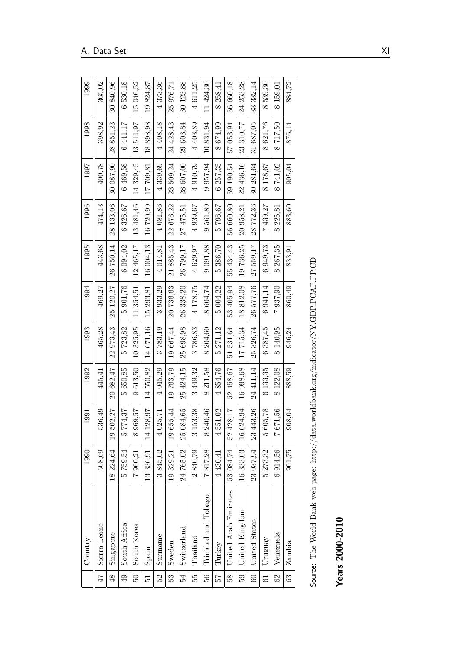|                 | Country                                                                                | 1990                        | 1991                     | 1992               | 1993                      | 1994         | 1995               | 1996                     | 1997      | 1998                     | 1999               |
|-----------------|----------------------------------------------------------------------------------------|-----------------------------|--------------------------|--------------------|---------------------------|--------------|--------------------|--------------------------|-----------|--------------------------|--------------------|
| 47              | Sierra Leone                                                                           | 508,69                      | 536,49                   | 445,41             | 465,28                    | 469,27       | 443,68             | 474,13                   | 400,78    | 398,92                   | 365,02             |
| $\frac{8}{3}$   | Singapore                                                                              | 18 224,64                   | 502,27<br>$\frac{1}{2}$  | 20 682,47          | 973,43<br>22 <sub>1</sub> | 25 120,27    | 26 750,14          | 28 133,06                | 30 087,90 | 851,23<br>28             | 30840,96           |
| 49              | South Africa                                                                           | 759,54<br>īΦ                | 774,37<br>LΩ             | 650,85<br>ΓÒ       | 5723,82                   | 5 901,76     | 6 094,02           | 6326,67                  | 6469,58   | 6441,17                  | 6530,18            |
| $\overline{50}$ | South Korea                                                                            | 7 960,21                    | 969,57<br>$\infty$       | 9613,50            | 10 325,95                 | 11354,51     | 12 465,17          | 13 481,46                | 14 329,45 | 13511,97                 | 15 046,52          |
| 12              | Spain                                                                                  | 13 336,91                   | 28,97<br>14              | 14550,82           | 14671,16                  | 15 293,81    | 16 004,13          | 16720,99                 | 17 709,81 | 898,98<br>$\frac{8}{18}$ | 19824,87           |
| 52              | Suriname                                                                               | 845,02<br>က                 | 4 025,71                 | 4 045,29           | 3783,19                   | 3933,29      | 4 014,81           | 4 081,86                 | 4339,69   | 4 408,18                 | 4373,36            |
| 53              | Sweden                                                                                 | 19 329,21                   | 19655,44                 | 19763,79           | 19 667,44                 | 20736,63     | 21 885,43          | 22 676,22                | 23 509,24 | 24 428,43                | 25 976,71          |
| 54              | Switzerland                                                                            | 24 765,02                   | 25 084,65                | 25 424.15          | 698,98<br>25 <sub>1</sub> | 338,20<br>26 | 26 799,17          | 27 475,51                | 28 607,00 | 29 603,84                | 30 123,88          |
| 55              | Thailand                                                                               | 840,79<br>$\mathbf{\Omega}$ | 153,38<br>$\infty$       | 3 449,32           | 3786,83                   | 4 178,75     | 4629,97            | 4 939,67                 | 4 910,79  | 4 403,89                 | 4611,25            |
| 56              | Trinidad and Tobago                                                                    | 817,28<br>$\overline{z}$    | 240,46<br>$\infty$       | 211,58<br>$\infty$ | 204,60<br>$\infty$        | 8 604,74     | 9 0 9 1, 8 8       | 561,89<br>$\circ$        | 957,94    | 10831,94                 | 11424,30           |
| 72              | Turkey                                                                                 | 4 430,41                    | 551,02<br>$\overline{4}$ | 4854,76            | 271,12<br>īΟ              | 5 004,22     | 386,70<br>LΩ       | 796,67<br>ມ              | 6 257,35  | 674,99<br>$\infty$       | 258,41<br>$\infty$ |
| 58              | United Arab Emirates                                                                   | 53 084,74                   | 52 428,17                | 52 458,67          | 51 531,64                 | 53 405,94    | 55 434,43          | 56 660,80                | 59 190,54 | 57 053,94                | 56 660,18          |
| 59              | United Kingdom                                                                         | 16 333,03                   | 16 624,94                | 16 998,68          | 17715,34                  | 18812,08     | 19 736,25          | 20 958,21                | 22 436,16 | 23 310,77                | 24 253,28          |
| 60              | United States                                                                          | 23 037,94                   | 23 443,26                | 24 411,14          | 326,74<br>25              | 26 577,76    | 27 559,17          | 28 772,36                | 30 281,64 | 31 687,05                | 33 332,14          |
| $\overline{6}$  | Uruguay                                                                                | 5 273,32                    | 605,78<br>LΩ             | 6 133,35           | 387,45<br>$\circ$         | 6941,14      | 6949,73            | 439,27<br>$\overline{z}$ | 8 178,67  | 621,76<br>$\infty$       | 539,30<br>$\infty$ |
| 62              | Venezuela                                                                              | 6914,56                     | 7671,56                  | 8122,08            | 8 140,95                  | 7937,90      | 267,35<br>$\infty$ | 225,81<br>$\infty$       | 8741,02   | 717,50<br>$\infty$       | 8 159,01           |
| 63              | Zambia                                                                                 | 901,75                      | 908,04                   | 888,59             | 946,24                    | 860,49       | 833,91             | 883,60                   | 905,04    | 876,14                   | 884,72             |
|                 |                                                                                        |                             |                          |                    |                           |              |                    |                          |           |                          |                    |
|                 | Source: The World Bank web page: http://data.worldbank.org/indicator/NY.GDP.PCAP.PP.CD |                             |                          |                    |                           |              |                    |                          |           |                          |                    |
|                 |                                                                                        |                             |                          |                    |                           |              |                    |                          |           |                          |                    |
|                 | $Years 2000-2010$                                                                      |                             |                          |                    |                           |              |                    |                          |           |                          |                    |

| イライト イーマイトイラック            |
|---------------------------|
| ֕                         |
| :<br>;<br>;<br>;<br>;     |
|                           |
|                           |
|                           |
| ׇ֚֚֘֕                     |
| <br>                      |
|                           |
|                           |
|                           |
|                           |
|                           |
|                           |
|                           |
|                           |
|                           |
|                           |
|                           |
|                           |
| .<br>;                    |
|                           |
| a servizione della montra |
| $\frac{1}{2}$             |
| $\frac{1}{1}$             |
|                           |
|                           |
| j                         |
|                           |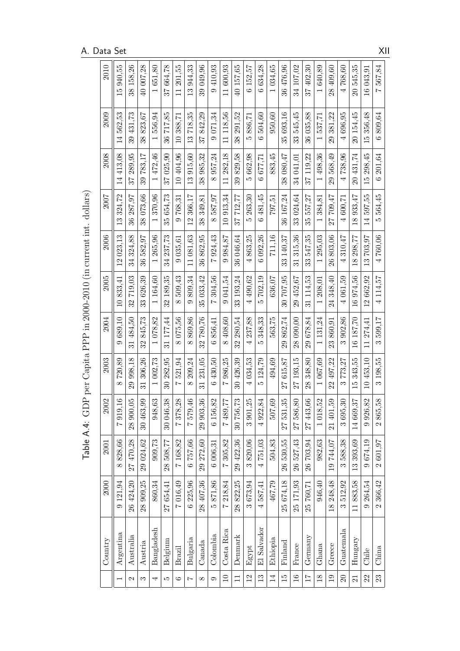| 2010    | 15 940,55                | 38 158,26         | 40 007,28                 | 1651,80                            | 37 664.78     | 11 201.55                | 13944.33                 | 39 049,96     | 9410.93                  | 11 600,93                | 40 157,65                 | 6 152.57                 | 6 634,28          | 1 034.65       | 36 476,96      | 34 107,02         | 37 402.30              | 640,89                   | 28 409.60                | 4768.60                | 20545,35                 | 16 043,91  | 567,84<br>$\overline{z}$ |
|---------|--------------------------|-------------------|---------------------------|------------------------------------|---------------|--------------------------|--------------------------|---------------|--------------------------|--------------------------|---------------------------|--------------------------|-------------------|----------------|----------------|-------------------|------------------------|--------------------------|--------------------------|------------------------|--------------------------|------------|--------------------------|
| 2009    | 562.53<br>$\overline{4}$ | 39 431.73         | 823,67<br>38              | 556.94<br>$\overline{ }$           | 717,85<br>36  | 10 388.71                | 718,35<br>$\frac{3}{1}$  | 842,29<br>57  | 071.34<br>$\circ$        | 11 118,56                | 291,52<br>38              | 886,71<br>ນລ             | 504.60<br>$\circ$ | 950,60         | 35 693,16      | 33 545,45         | 36 035,88              | 537,71<br>$\overline{ }$ | 29 381,22                | 4696,95                | 20 154,45                | 15356,48   | 6809,64                  |
| 2008    | 14 413.08                | 37 289,95         | 39 783.17                 | 472.46<br>$\overline{ }$           | 37 025,90     | 10 404.96                | 915,60<br>$\frac{3}{1}$  | 38 985,32     | 957,24<br>$\infty$       | 11 282.18                | 829,58<br>39              | 662,98<br>ນລ             | 677,71<br>Ġ       | 883.45         | 38 080.47      | 34 041.01         | 37 119,22              | 498,36<br>$\overline{ }$ | 29568,49                 | 4738,96                | 20 431,74                | 15 298.45  | 6 201,64                 |
| 2007    | 324.72<br>$\frac{3}{2}$  | 36 287,97         | 38 073.66                 | 370.96                             | 35 654.73     | 768.31<br>$\circ$        | 366,17<br>$\overline{2}$ | 349,81<br>38  | 587.97<br>$\infty$       | 10913,34                 | 712,77<br>57              | 263,30<br>ນລ             | 481,45<br>Ġ       | 797.51         | 36 167,24      | 33 024,64         | 557.27<br>$35^{\circ}$ | 384,81                   | 709.47<br>27             | 4 600.71               | 933,47<br>$\frac{8}{18}$ | 14 597,55  | 564,45<br>LΩ             |
| 2006    | 12 023,13                | 34 324.88         | 582,97<br>36              | 265,96<br>$\overline{ }$           | 34 237,73     | 9 035,61                 | 11 081.63                | 36 862,95     | 924.43<br>$\overline{z}$ | 984,87<br>$\circ$        | 36 046,64                 | 863.25<br>$\overline{a}$ | 6 092,26          | 711,16         | 33 140.37      | 315,36<br>ವ       | 547.35<br>ಜ            | 295,03<br>$\overline{ }$ | 803,06<br>26             | 310.47<br>4            | 298,77<br>$\frac{8}{2}$  | 13703,97   | 4760,06                  |
| 2005    | 833.41<br>$\Xi$          | 32719.03          | 33626.39                  | 1 164.60                           | 32 189,35     | 509,43<br>$\infty$       | 809,34<br>$\circ$        | 35 033,42     | 304.56<br>$\overline{z}$ | 9 041,54                 | 33 193,24                 | 4 490.62                 | 702,19<br>ŗΩ      | 636,07         | 30 707.95      | 29 452,67         | 31 114.53              | 1 208,01                 | 24 348,40                | 4 061.59               | 16974.56                 | 12662,92   | 4 1 1 4, 5 7             |
| 2004    | 689.10<br>$\circ$        | 31 484.50         | 845.73<br>32              | 1078.82                            | 31 177,44     | 075,56<br>$\infty$       | 869,86<br>$\infty$       | 32780.76      | 856.41<br>$\circ$        | 8408.60                  | 280,54<br>32              | 237,88<br>$\overline{a}$ | 348,33<br>LO      | 563.75         | 862,74<br>29   | 28 090,00         | 29 678,84              | 1 131,24                 | 860,91<br>23             | 902.86<br>$\infty$     | 16 187,70                | 11 274.41  | 599,17<br>$\infty$       |
| 2003    | 720,89<br>$\infty$       | 29 998,18         | 306,26<br>$\overline{31}$ | 002,73<br>$\overline{\phantom{0}}$ | 30 282,95     | 521,94<br>$\overline{z}$ | 209,24<br>$\infty$       | 231,05<br>31  | 430,50<br>G              | 986,25<br>$\overline{1}$ | 30 426,39                 | 034,53<br>⊣              | 124,79<br>ນລ      | 494,69         | 615,87<br>27   | 27 193,15         | 348,80<br>28           | 067,69<br>÷              | 497,22<br>$\overline{2}$ | 773,27<br>က            | 343,55<br>$\frac{15}{1}$ | 10 453,10  | 3 198,55                 |
| 2002    | $\overline{16}$<br>7919, | 50<br>28 900,     | 99<br>30 463              | $63\,$<br>948,                     | 38<br>30 046, | 28<br>7378,              | $46\,$<br>7579,          | 36<br>29 903, | $82\,$<br>6 156,         | 77<br>7489,              | $\mathbb{Z}^2$<br>30 756, | 25<br>3 901,             | 84<br>4 922,      | $69\,$<br>507, | 35<br>27 531   | $80\,$<br>27 586, | $66\,$<br>27 443,      | 52<br>1018,              | 69<br>21 401             | $\mathcal{S}$<br>3695, | $2\,$<br>14 669,         | 82<br>926, | $\frac{8}{3}$<br>2865,5  |
| 2001    | 828.66<br>$\infty$       | 27 470,28         | 29 024,62                 | 909,73                             | 28 508,77     | 7168.82                  | 6757,66                  | 29 272,60     | 6 006,31                 | 7305,82                  | 29 422,36                 | 3820,06                  | 4751,03           | 504.83         | 26 530,55      | 26 527.43         | 26 703,94              | 982,63                   | 19744,07                 | 3588.38                | 13393.69                 | 9674.19    | 2601,97                  |
| 2000    | 9121.94                  | 26 424.20         | 28 909,25                 | 860.34                             | 27 654,41     | 7016,49                  | 6 225,96                 | 28 407,36     | 871.86<br>LΩ             | 7218,84                  | 28 822,25                 | 3673.94                  | 4587,41           | 467,79         | 25 674,18      | 25 171,93         | 25 760,71              | 946,40                   | 18 248,48                | 3512,92                | 11883,58                 | 9 264,54   | 2 366,42                 |
| Country | Argentina                | Australia         | Austria                   | Bangladesh                         | Belgium       | Brazil                   | Bulgaria                 | Canada        | Colombia                 | Costa Rica               | Denmark                   | Egypt                    | El Salvador       | Ethiopia       | Finland        | France            | Germany                | Ghana                    | Greece                   | $G$ uatemala           | Hungary                  | Chile      | China                    |
|         |                          | $\mathbf{\Omega}$ | S                         | 4                                  | LC.           | $\circ$                  | $\overline{ }$           | $\infty$      | $\circ$                  | $\overline{10}$          | $\Xi$                     | $\overline{2}$           | 13                | 14             | $\frac{15}{2}$ | $\frac{6}{1}$     | $\overline{11}$        | 18                       | $\overline{19}$          | 20                     | $\overline{\Omega}$      | 22         | 23                       |

Table A.4: GDP per Capita PPP in 2000-2010 (in current int. dollars) Table A.4: GDP per Capita PPP in 2000-2010 (in current int. dollars)

A. Data Set XII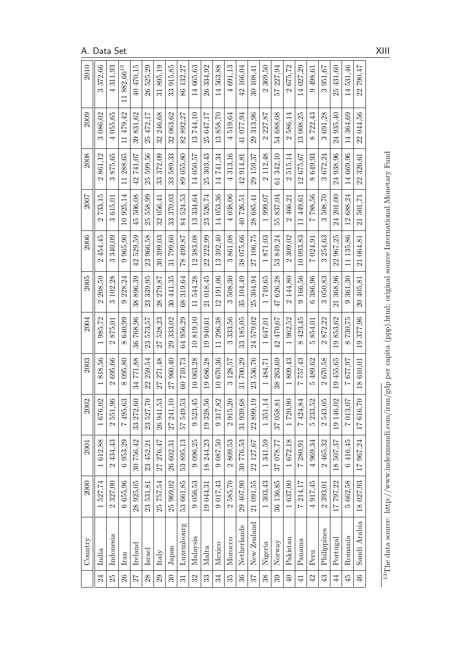|                 | Country                                                                                                                              | 2000                        | 2001      | 2002                      | 2003                               | 2004                               | 2005                         | 2006                        | 2007                         | 2008                        | 2009                        | 2010                        |
|-----------------|--------------------------------------------------------------------------------------------------------------------------------------|-----------------------------|-----------|---------------------------|------------------------------------|------------------------------------|------------------------------|-----------------------------|------------------------------|-----------------------------|-----------------------------|-----------------------------|
| 24              | India                                                                                                                                | 1527,74                     | 1612,88   | $\mathbf{S}$<br>1676,     | 818,56                             | 985,72<br>$\overline{\phantom{0}}$ | 208.59<br>$\mathbf{\hat{c}}$ | 2454.45                     | 733,15<br>$\mathbf{\hat{c}}$ | 2861,12                     | 3 086,02                    | 3372,66                     |
| 25              | Indonesia                                                                                                                            | 2 327,00                    | 2 434.43  | 96<br>2551,               | 695,66<br>$\mathcal{L}$            | 875.01<br>$\mathbf{\Omega}$        | 3 102.28                     | 3340.09                     | 3615.01                      | 875,65<br>$\infty$          | 4 055,65                    | 4311.93                     |
| $26\,$          | Iran                                                                                                                                 | 6 655,96                    | 6953,29   | $63\,$<br>7495,           | 095,80<br>$\infty$                 | 8640.99                            | 228,24<br>$\circ$            | 965,90                      | 10 925,14                    | 11 288.65                   | 11 479,42                   | 11882,6613                  |
| 27              | Ireland                                                                                                                              | 28 925,05                   | 30 756,42 | $\rm 60$<br>33 272,6      | 771.88<br>34                       | 768.96<br>36                       | 896,39<br>38                 | 529,59<br>$\overline{42}$   | 45 506,08                    | 741.07<br>$\frac{1}{2}$     | 831,62<br>39                | 40 470.15                   |
| $28$            | Israel                                                                                                                               | 23 531,81                   | 23 452,21 | $\mathcal{C}$<br>23 527,  | 259,54<br>22                       | 573,57<br>23                       | 23 339,95                    | 23 966,58                   | 25 558,99                    | 599,56<br>25                | 25 472,17                   | 26 525,29                   |
| 29              | Italy                                                                                                                                | 25 757,54                   | 27 276,47 | 53<br>26 941,             | 271,48<br>77                       | 528,23<br>$\overline{27}$          | 279,87<br>28                 | 30 399,03                   | 32 056,41                    | 372,09<br>33                | 246,68<br>32                | 895,19<br>$\overline{31}$   |
| $\Omega$        | Japan                                                                                                                                | 25 969,02                   | 26 602,31 | $\Box$<br>27 241.         | 960,40<br>27                       | 29 333,02                          | 30 441,35                    | 31799,60                    | 33 370,03                    | 33 589,33                   | 32 063,62                   | 33 915,85                   |
| $\overline{31}$ | Luxembourg                                                                                                                           | 53 661,85                   | 53895,13  | 53<br>57 549,             | 60710,73                           | 64 956,29                          | 319,64<br>68                 | 78 499,87                   | 84524,53                     | 89 055,80                   | 82 892,27                   | 86 132,27                   |
| 32              | Malaysia                                                                                                                             | 9 056,53                    | 9 096,25  | 45<br>9523,               | 10 063,28                          | 10819.10                           | 11544,28                     | 12 383,08                   | 13334,64                     | 14 050,57                   | 13744.10                    | 14 665,63                   |
| 33              | Malta                                                                                                                                | 19 044,31                   | 18 244,23 | 56<br>19 328,             | 19686,28                           | 19 940.61                          | 21 018,45                    | 22 222,99                   | 23 526,74                    | 25 303.43                   | 25 647,17                   | 26334,92                    |
| 34              | Mexico                                                                                                                               | 9 017,43                    | 9 087,50  | $82\,$<br>317,<br>$\circ$ | 670,36<br>$\overline{10}$          | 296,38<br>$\overline{11}$          | 12 191,06                    | 392,40<br>$\frac{3}{2}$     | 14 053,36                    | 741,34<br>$\overline{14}$   | 858,70<br>$\frac{3}{2}$     | 563,88<br>$\overline{14}$   |
| 35              | Morocco                                                                                                                              | 2585,70                     | 2809,53   | $\Omega$<br>2915,         | 128,57<br>S                        | 333,56<br>$\infty$                 | 508,30<br>S                  | 861,08<br>$\infty$          | 4 038,06                     | 313.16<br>$\overline{a}$    | 519,64<br>4                 | 4691,13                     |
| $36\,$          | Netherlands                                                                                                                          | 29 407,90                   | 30776.53  | $\mathbf{68}$<br>31939,   | 700.29<br>31                       | 33 185,05                          | 35 104,49                    | 38 075,66                   | 40726,51                     | 42 914.81                   | 41 077,94                   | 42 166,04                   |
| 57              | New Zealand                                                                                                                          | 21 091,55                   | 22 127,67 | 19<br>22899,              | 536,76<br>23                       | 24 579,02                          | 25 304,94                    | 27 106,75                   | 28 685,41                    | 29 159,37                   | 313,96<br>29                | 30 108,41                   |
| 38              | Nigeria                                                                                                                              | 1 303,43                    | 1341,59   | 14<br>1351,               | 484,71<br>$\overline{\phantom{0}}$ | 1647,01                            | 1749,65                      | 1871,03                     | 1 999,07                     | 2 112,48                    | 2 227,87                    | 2 369,50                    |
| 39              | Norway                                                                                                                               | 36 136,85                   | 37 078,77 | $\approx$<br>37 058,8     | 263,69<br>38                       | 42 470,67                          | 47 626,28                    | 849,24<br>53                | 55 837,04                    | 61342,10                    | 54 688,08                   | 57 227,94                   |
| $\overline{40}$ | Pakistan                                                                                                                             | 1637,00                     | 1672,18   | 1720,90                   | 809,43                             | 1 962,52                           | 2 144,80                     | 309,02<br>$\mathbf{\Omega}$ | 466,21<br>$\mathbf{\Omega}$  | 515,14<br>$\mathbf{\Omega}$ | 586,14<br>$\mathbf{\Omega}$ | 675,72<br>$\mathbf{\Omega}$ |
| $\exists$       | Panama                                                                                                                               | 7214,17                     | 7 280,91  | 84<br>7424,8              | 757,43<br>$\overline{z}$           | 423,45<br>$\infty$                 | 9 166,56                     | 10 093,83                   | 11 449.61                    | 12675,67                    | 13 008.25                   | 14 027,29                   |
| $42$            | Peru                                                                                                                                 | 4 917.45                    | 4969,34   | 52<br>5233,5              | 489,62<br>LΩ                       | 854.01<br>ນລ                       | 386,96<br>G                  | 7 024,91                    | 788,56<br>$\overline{a}$     | 8649,93                     | 722,43<br>$\infty$          | 9498,61                     |
| 43              | Philippines                                                                                                                          | 393,01<br>$\mathbf{\Omega}$ | 2 465,32  | $\mathcal{E}$<br>2543,    | 670,58<br>$\mathcal{L}$            | 872,22<br>$\mathbf{\Omega}$        | 3 050,83                     | 254,63<br>S                 | 508,70<br>$\infty$           | 3672,24                     | 3691,28                     | 3951,67                     |
| $\overline{44}$ | Portugal                                                                                                                             | 17797,22                    | 18 507,37 | $\mathbf{C}$<br>19 146,   | 19 455,65                          | 853,62<br>$\frac{1}{2}$            | 21 368,96                    | 22 967,25                   | 24 201.00                    | 24 938,96                   | 24 935,40                   | 25 431.60                   |
| 45              | Romania                                                                                                                              | 5 662,58                    | 6416,45   | $\Omega$<br>7013,         | 677,97<br>$\overline{a}$           | 730,75<br>$\infty$                 | 361,30<br>$\circ$            | 11 135,86                   | 12 688,24                    | 14 669,96                   | 14364.69                    | 14531.46                    |
| 46              | Saudi Arabia                                                                                                                         | 18 027,93                   | 17 967,24 | $\Omega$<br>17616,        | 610,01<br>$\frac{8}{2}$            | 377,96<br>$\overline{0}$           | 20 405,81                    | 21 064,81                   | 501,71<br>$\overline{21}$    | 326,61<br>22                | 22 044,56                   | 790,47<br>22                |
|                 |                                                                                                                                      |                             |           |                           |                                    |                                    |                              |                             |                              |                             |                             |                             |
|                 | <sup>13</sup> The data source: http://www.indexmundi.com/iran/gdp per capita (ppp).html; original source International Monetary Fund |                             |           |                           |                                    |                                    |                              |                             |                              |                             |                             |                             |

A. Data Set XIII

<span id="page-78-0"></span>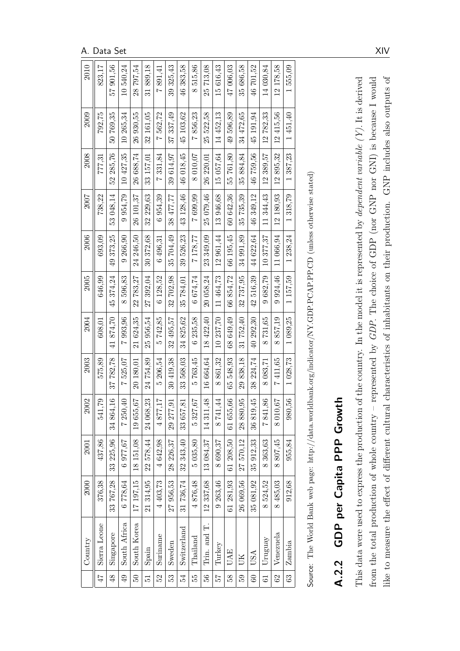|                  | Country                                                                                                                           | 2000                      | 2001               | 2002           | 2003                     | 2004                      | 2005               | 2006      | 2007              | 2008         | 2009                                                                                                         | 2010                     |
|------------------|-----------------------------------------------------------------------------------------------------------------------------------|---------------------------|--------------------|----------------|--------------------------|---------------------------|--------------------|-----------|-------------------|--------------|--------------------------------------------------------------------------------------------------------------|--------------------------|
| $\Delta \vec{P}$ | Sierra Leone                                                                                                                      | 376,38                    | 437,86             | 541,79         | 575,89                   | 608.01                    | 646.99             | 693.09    | 738.22            | 777.31       | 792,75                                                                                                       | 823,17                   |
| 48               | Singapore                                                                                                                         | 33 767,28                 | 33 225,96          | 34 864,16      | 37 782,78                | 874.70<br>$\overline{41}$ | 45 374.24          | 49 373,25 | 53 048.14         | 52 285.76    | 50 769,35                                                                                                    | 57 901,56                |
| 49               | South Africa                                                                                                                      | 6778,64                   | 6 977,67           | 7 250,40       | 7 525,07                 | 7993,96                   | 596.83<br>$\infty$ | 9 266.90  | 954.79            | 10 427.35    | 10 265,34                                                                                                    | 10540.24                 |
| $50\,$           | South Korea                                                                                                                       | 17 197,15                 | 18 151,08          | 79<br>19 655,  | 20 180.01                | 624.35<br>$\overline{21}$ | 22 783,27          | 24 246,50 | 26 101.37         | 26 688,74    | 26 930.55                                                                                                    | 797.54<br>28             |
| $\overline{5}$   | Spain                                                                                                                             | 21 314,95                 | 22 578,44          | 24 068,23      | 24 754.89                | 25 956,54                 | 27 392,04          | 30 372,68 | 32 229,63         | 33 157,01    | 32 161.05                                                                                                    | 31889.18                 |
| 52               | Suriname                                                                                                                          | 4403,73                   | 4642,98            | 4877,17        | 206,54<br>LΩ             | 5742,85                   | 128,52<br>$\circ$  | 6496,31   | 954,39<br>$\circ$ | 7331,84      | 7562,72                                                                                                      | 891,41<br>$\overline{z}$ |
| 53               | Sweden                                                                                                                            | 27956,53                  | 28 226,37          | 29 277,91      | 30 419,38                | 32 495,57                 | 702,98<br>32       | 35 704,49 | 38 477,77         | 39 614,97    | 37 337,49                                                                                                    | 39 325,43                |
| 54               | Switzerland                                                                                                                       | 31 736,74                 | 32 343,40          | 33 657,81      | 33 568,03                | 34 825,62                 | 35 784,01          | 39526,23  | 43 128,46         | 46 018,45    | 45 103.62                                                                                                    | 46383,58                 |
| 55               | Thailand                                                                                                                          | 4876,48                   | 5 035,80           | 79<br>5327,6   | 763,45<br>ŗΟ             | 6235.58                   | 6674.74            | 7178.77   | 7699.99           | 8 010.07     | 856,23<br>$\overline{z}$                                                                                     | 515,86<br>$\infty$       |
| 56               | Trin. and T.                                                                                                                      | 12 337,68                 | 13 084,37          | 14 311,48      | 16 664.64                | 18 422.40                 | 20 058,24          | 23349.09  | 25 079.46         | 26 220,01    | 25 522.58                                                                                                    | 25 713.08                |
| $\overline{2}$   | Turkey                                                                                                                            | 9 263,46                  | 8690,37            | 8741,44        | 861,32<br>$\infty$       | 10 237,70                 | 11 464,73          | 12 961,44 | 13 946,68         | 15 057,64    | 14 452.13                                                                                                    | 15 616.43                |
| 58               | <b>UAE</b>                                                                                                                        | 61 281,93                 | 61 208,50          | 66<br>61 655,  | 65 548.93                | 68 649.49                 | 66 854,72          | 66 195.45 | 60 642,36         | 55761.80     | 49596,89                                                                                                     | 47 006.03                |
| 59               | UK                                                                                                                                | 26 069,56                 | 27 570,12          | 50<br>28 880,9 | 838,18<br>$\overline{6}$ | 31752,40                  | 32737.95           | 34 991,89 | 35 735,39         | 884.84<br>35 | 34 472,65                                                                                                    | 35 686,58                |
| $60\,$           | USA                                                                                                                               | 35 081,92                 | 35 912,33          | 36 819,45      | 38 224,74                | 40 292,30                 | 42516,39           | 44 622.64 | 46349,12          | 46759,56     | 45 191.94                                                                                                    | 46 701,52                |
| 61               | Uruguay                                                                                                                           | 8524,52                   | 8 363,63           | 7841,86        | 8 083,71                 | 8731,65                   | 9682,79            | 10377,37  | 11 344,43         | 12 389,57    | 12782,33                                                                                                     | 14 030,84                |
| 62               | Venezuela                                                                                                                         | 485,03<br>$\infty$        | 807,45<br>$\infty$ | 8 010,67       | 411,65<br>$\overline{z}$ | 857,19<br>$\infty$        | 924,46<br>$\circ$  | 11 066,94 | 12 180.93         | 12895,32     | 12 415,56                                                                                                    | 12 178,58                |
| 63               | Zambia                                                                                                                            | 912,68                    | 955,84             | 980,56         | 1 028,73                 | 1 089,25                  | 1157,59            | 1 238,24  | 1318,79           | 1387,23      | 1451,40                                                                                                      | 1555,09                  |
|                  | Source: The World Bank web page: $\frac{\text{http://data.worldbank.org/indicateor/NY.GDP.PCAP.PPC.D (unless otherwise stated)}}$ |                           |                    |                |                          |                           |                    |           |                   |              |                                                                                                              |                          |
|                  |                                                                                                                                   |                           |                    |                |                          |                           |                    |           |                   |              |                                                                                                              |                          |
| A.2.2            |                                                                                                                                   | GDP per Capita PPP Growth |                    |                |                          |                           |                    |           |                   |              |                                                                                                              |                          |
|                  |                                                                                                                                   |                           |                    |                |                          |                           |                    |           |                   |              |                                                                                                              |                          |
|                  | This data were used to express the production                                                                                     |                           |                    |                |                          |                           |                    |           |                   |              | of the country. In the model it is represented by <i>dependent variable <math>(Y)</math></i> . It is derived |                          |
|                  | from the total production of whole country                                                                                        |                           |                    |                |                          |                           |                    |           |                   |              | represented by $GDP$ . The choice of GDP (nor GNP nor GNI) is because I would                                |                          |
|                  | like to measure the effect of different cultural                                                                                  |                           |                    |                |                          |                           |                    |           |                   |              | characteristics of inhabitants on their production. GNP includes also outputs of                             |                          |

A. Data Set XIV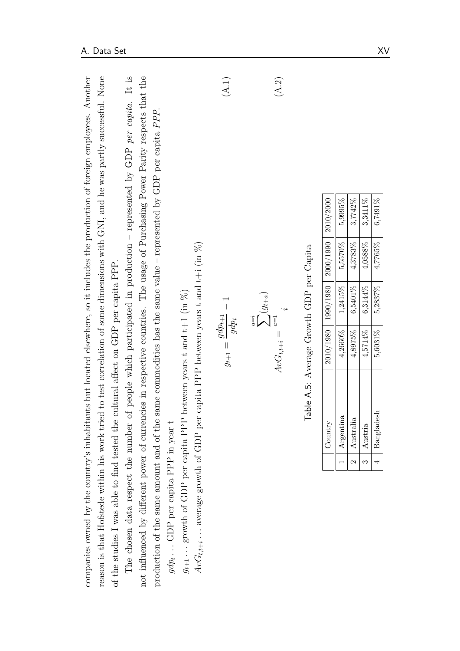| reason is that Hofstede within his work tried to test correlation of some dimensions with GNI, and he was partly successful. None<br>companies owned by the country's inhabitants but located elsewhere, so it includes the production of foreign employees. Another<br>of the studies I was able to find tested the cultural affect on GDP per capita PPP. |                |                                                                                        |                                                       |                                                                |           |           |       |  |
|-------------------------------------------------------------------------------------------------------------------------------------------------------------------------------------------------------------------------------------------------------------------------------------------------------------------------------------------------------------|----------------|----------------------------------------------------------------------------------------|-------------------------------------------------------|----------------------------------------------------------------|-----------|-----------|-------|--|
| The chosen data respect the number of people which participated in production – represented by GDP per capita. It is<br>not influenced by different power of currencies in respective countries. The usage of Purchasing Power Parity respects that the                                                                                                     |                |                                                                                        |                                                       |                                                                |           |           |       |  |
| production of the same amount and of the same commodities has the same value – represented by GDP per capita PPP.<br>$gdp_t\ldots$ GDP per capita PPP in year t                                                                                                                                                                                             |                |                                                                                        |                                                       |                                                                |           |           |       |  |
| $AvG_{t,t+i}$ average growth of GDP per<br>$g_{t+1}$ growth of GDP per capita PPP                                                                                                                                                                                                                                                                           |                | capita PPP between years t and $t+i$ (in $\%$ )<br>between years t and $t+1$ (in $%$ ) |                                                       |                                                                |           |           |       |  |
|                                                                                                                                                                                                                                                                                                                                                             |                |                                                                                        | $g_{t+1} = \frac{gdp_{t+1}}{2}$<br>$\overline{gdp_t}$ |                                                                |           |           | (A.1) |  |
|                                                                                                                                                                                                                                                                                                                                                             |                |                                                                                        | $\label{eq:4} A v G_{t,t+i} =$                        | $\sum_{a=i}^{a=i}(g_{t+a})$<br>$a\hspace{-2pt}=\hspace{-2pt}1$ |           |           | (A.2) |  |
|                                                                                                                                                                                                                                                                                                                                                             |                | Table A.5: Average Growth GDP per Capita                                               |                                                       |                                                                |           |           |       |  |
|                                                                                                                                                                                                                                                                                                                                                             |                | $\operatorname{Country}$                                                               | 2010/1980                                             | 1990/1980                                                      | 2000/1990 | 2010/2000 |       |  |
|                                                                                                                                                                                                                                                                                                                                                             | $\overline{ }$ | Argentina                                                                              | 4,2660%                                               | 1,2415%                                                        | 5,5570%   | 5,9995%   |       |  |
|                                                                                                                                                                                                                                                                                                                                                             | 2              | Australia                                                                              | 4,8975%                                               | 6,5401%                                                        | 4,3783%   | 3,7742%   |       |  |
|                                                                                                                                                                                                                                                                                                                                                             | S              | Austria                                                                                | 4.5714%                                               | 6,3144%                                                        | 4.0588%   | 3,3411%   |       |  |
|                                                                                                                                                                                                                                                                                                                                                             | 4              | Bangladesh                                                                             | 5,6031%                                               | 5,2837%                                                        | 4,7765%   | 6,7491%   |       |  |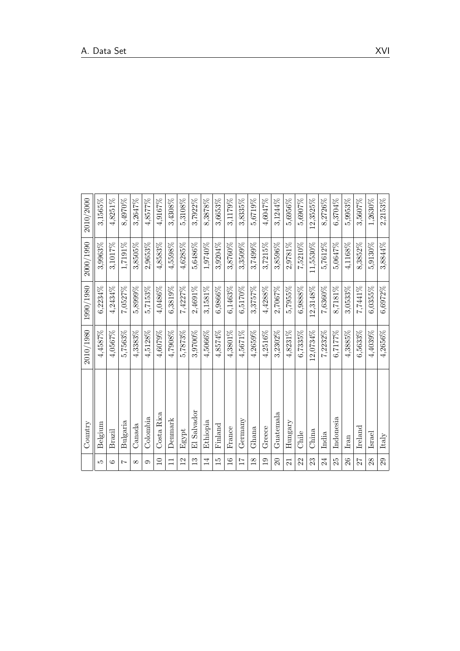|                 | Country          | 2010/1980  | 1990/1980  | 2000/1990  | 2010/2000  |
|-----------------|------------------|------------|------------|------------|------------|
| Ľ               | Belgium          | 4,4587%    | 6,2234%    | 3,9963%    | 3,1565%    |
| G               | Brazil           | 4,0567%    | 4,2434%    | 3,1017%    | $4,8251\%$ |
| $\overline{ }$  | Bulgaria         | 5,7563%    | 7,0527%    | 1,7191%    | 8,4970%    |
| $\infty$        | Canada           | 4,3383%    | 5,8999%    | $3,8505\%$ | 3,2647%    |
| $\circ$         | Colombia         | 4,5128%    | 5,7153%    | $2,9653\%$ | 4,8577%    |
| $\Xi$           | Costa Rica       | 4,6079%    | 4,0486%    | 4,8583%    | 4,9167%    |
| $\Box$          | Denmark          | $4,7908\%$ | 6,3819%    | $4,5598\%$ | 3,4308%    |
| $^{12}$         | Egypt            | 5,7873%    | 7,4227%    | 4,6285%    | 5,3108%    |
| $\frac{3}{2}$   | El Salvador      | 3,9700%    | 2,4691%    | 5,6486%    | 3,7922%    |
| 14              | Ethiopia         | 4,5066%    | 3,1581%    | 1,9740%    | 8,3878%    |
| 15              | Finland          | 4,8574%    | 6,9866%    | 3,9204%    | 3,6653%    |
| $\frac{6}{1}$   | France           | 4,3801%    | 6,1463%    | 3,8760%    | 3,1179%    |
| 17              | Germany          | 4,5671%    | 6,5170%    | 3,3509%    | 3,8335%    |
| $\frac{8}{2}$   | Ghana            | 4,2659%    | 3,3757%    | 3,7499%    | 5,6719%    |
| $\frac{0}{1}$   | Greece           | 4,2516%    | $4,4288\%$ | 3,7215%    | 4,6047%    |
| $\Omega$        | $\rm Guatemala$  | 3,2302%    | 2,7067%    | 3,8596%    | 3,1244%    |
| $\overline{21}$ | Hungary          | 4,8231%    | 5,7955%    | 2,9781%    | 5,6956%    |
| $\mathcal{Z}$   | Chile            | $6,7335\%$ | 6,9888%    | 7,5210%    | 5,6907%    |
| 23              | China            | 12,0734%   | 12,3148%   | 11,5530%   | 12,3525%   |
| 24              | India            | 7,2232%    | 7,6360%    | 5,7612%    | 8,2726%    |
| 25              | Indonesia        | 6,7177%    | 8,7181%    | 5,0647%    | 6,3704%    |
| 26              | Iran             | 4,3885%    | 3,0533%    | 4.1168%    | 5,9953%    |
| 27              | $_{\rm Ireland}$ | $6,5633\%$ | 7,7441%    | 8,3852%    | 3,5607%    |
| 28              | Israel           | 4,4039%    | $6,0355\%$ | 5,9130%    | 1,2630%    |
| 29              | Italy            | 4,2656%    | 6,6972%    | 3,8844%    | 2,2153%    |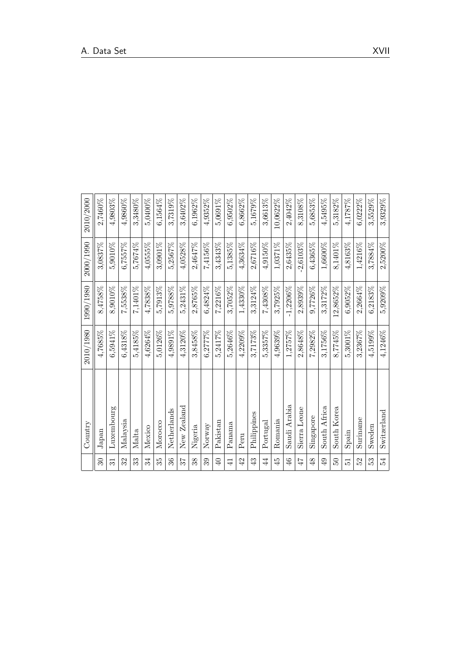|                 | Country      | 2010/1980  | 1990/1980   | 2000/1990    | 2010/2000  |
|-----------------|--------------|------------|-------------|--------------|------------|
| $\mathfrak{S}$  | Japan        | $4,7685\%$ | 8,4758%     | 3,0837%      | 2,7460%    |
| $\overline{31}$ | Luxembourg   | 6,5941%    | 8,9010%     | 5,9010%      | 4,9803%    |
| 32              | Malaysia     | $6,4318\%$ | 7,5538%     | 6,7557%      | 4,9860%    |
| ೫               | Malta        | 5,4185%    | 7,1401%     | 5,7674%      | 3,3480%    |
| 34              | Mexico       | 4,6264%    | 4,7838%     | 4,0555%      | 5,0400%    |
| స్ట             | Morocco      | 5,0126%    | 5,7913%     | 3,0901%      | 6,1564%    |
| $36\,$          | Netherlands  | 4,9891%    | 5,9788%     | 5,2567%      | 3,7319%    |
| 75              | New Zealand  | 4,3120%    | 5,2431%     | $4,0528\%$   | 3,6402%    |
| 38              | Nigeria      | 3,8458%    | 2,8765%     | 2,4647%      | $6,1962\%$ |
| 39              | Norway       | 6,2777%    | 6,4824%     | 7,4156%      | 4,9352%    |
| ₽               | Pakistan     | 5,2417%    | 7,2216%     | 3,4343%      | 5,0691%    |
| $\overline{4}$  | Panama       | 5,2646%    | 3,7052%     | 5,1385%      | $6,9502\%$ |
| $\overline{42}$ | Peru         | 4.2209%    | 1,4330%     | 4,3634%      | 6,8662%    |
| 43              | Philippines  | 3,7173%    | 3,3124%     | 2,6716%      | 5,1679%    |
| 4               | Portugal     | 5,3357%    | 7,4308%     | 4,9150%      | 3,6613%    |
| $\frac{15}{4}$  | Romania      | $4,9639\%$ | 3,7925%     | 1,0371%      | 10,0622%   |
| $\frac{4}{6}$   | Saudi Arabia | 1,2757%    | $-1,2206\%$ | 2,6435%      | 2,4042%    |
| 47              | Sierra Leone | 2,8648%    | 2,8939%     | 2,6103%      | 8,3108%    |
| $\frac{8}{5}$   | Singapore    | 7,2982%    | 9,7726%     | $6,4365\%$   | 5,6853%    |
| $\overline{6}$  | South Africa | 3,1756%    | 3,3172%     | 1,6600%      | 4,5495%    |
| 50              | South Korea  | 8,7745%    | 12,8652%    | 8,1401%      | 5,3182%    |
| $\overline{5}$  | Spain        | 5,3001%    | $6,9052\%$  | 4,8163%      | 4,1787%    |
| 52              | Suriname     | 3,2367%    | 2,2664%     | 1,4216%      | $6,0222\%$ |
| 53              | Sweden       | 4,5199%    | 6,2183%     | 3,7884%      | 3,5529%    |
| 54              | Switzerland  | 4,1246%    | 5,9209%     | $2{,}5200\%$ | 3,9329%    |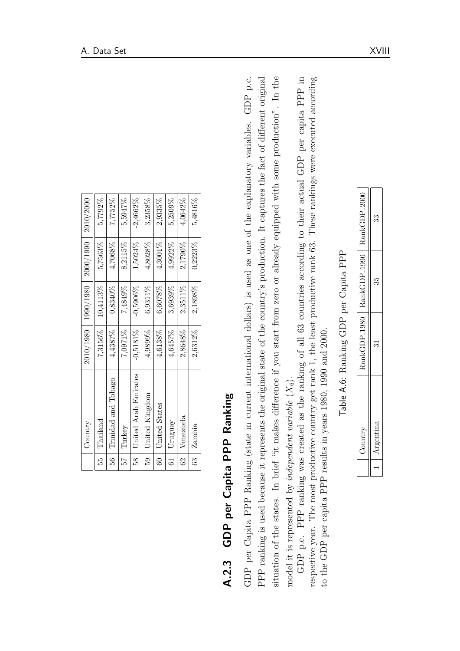|                | Country              |             |            | $ 1000/1000/1980 $ 1980 $ 100/1000/1990 $ | 2010/2000  |
|----------------|----------------------|-------------|------------|-------------------------------------------|------------|
| r3             | Thailand             | 7,3156%     | 10,4113%   | 5,7563%                                   | 5,7792%    |
| 56             | Trinidad and Tobago  | 4,4387%     | 0,8340%    | 4,7068%                                   | 7,7752%    |
| $57$ .         | Turkey               | 7,0971%     | 7,4849%    | 8,2115%                                   | 5,5947%    |
| 58             | United Arab Emirates | $-0.5181\%$ | $-0.5906%$ | 1,5024%                                   | $-2,4662%$ |
| 59             | United Kingdom       | 4,9899%     | 6,9311%    | 4,8028%                                   | 3,2358%    |
| $\frac{1}{60}$ | United States        | 4,6138%     | 6,6078%    | 4,3001%                                   | 2,9335%    |
| 61             | Uruguay              | 4,6457%     | 3,6939%    | 4,9922%                                   | 5,2509%    |
| 62             | Venezuela            | 2,8648%     | 2,3511%    | 2,1790%                                   | 4,0642%    |
| $\frac{3}{63}$ | Zambia               | 2,6312%     | 2,1898%    | 0,2223%                                   | 5,4816%    |

**A.2.3 GDP per Capita PPP Ranking** (state in current international dollars) is used as one of the explanatory variables. GDP pc.<br>GDP per Capita PPP Ranking (state in current international dollars) is used as one of the ex

| RankGDP <sub>2000</sub>     | ೫ |
|-----------------------------|---|
|                             | ွ |
| RankGDP_1980   RankGDP_1990 |   |
|                             |   |
|                             |   |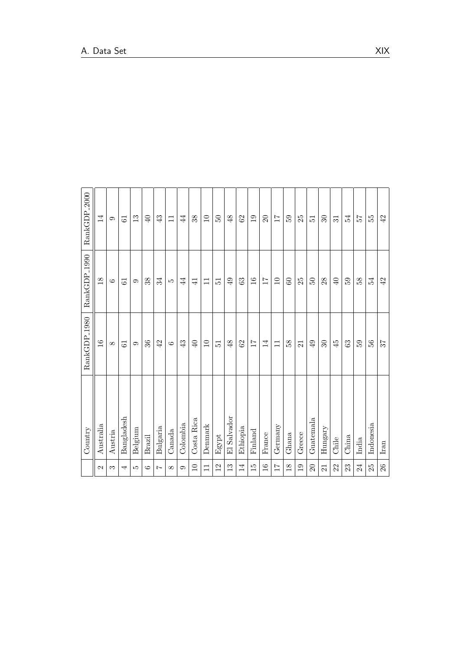|                 | Country       | RankGDP <sub>1980</sub> | RankGDP <sub>-1990</sub> | RankGDP <sub>2000</sub> |
|-----------------|---------------|-------------------------|--------------------------|-------------------------|
| N               | Australia     | $\overline{16}$         | $\frac{8}{18}$           | 14                      |
| S               | Austria       | $\infty$                | $\circ$                  | c                       |
| ↤               | Bangladesh    | $\overline{6}$          | 61                       | 61                      |
| LO              | Belgium       | $\circ$                 | $\circ$                  | $\frac{3}{1}$           |
| $\circ$         | <b>Brazil</b> | 36                      | 38                       | $\overline{40}$         |
| $\overline{ }$  | Bulgaria      | 42                      | 34                       | 43                      |
| $\infty$        | Canada        | $\circ$                 | S                        | $\Box$                  |
| 6               | Colombia      | 43                      | $\overline{4}$           | 44                      |
| $\Box$          | Costa Rica    | $\overline{40}$         | $\exists$                | 38                      |
| $\Box$          | Denmark       | $\Box$                  | Ξ                        | $\overline{10}$         |
| 12              | Egypt         | $\overline{5}$          | $\overline{5}$           | $50\,$                  |
| $\frac{3}{1}$   | El Salvador   | 48                      | $\overline{49}$          | 48                      |
| $\overline{14}$ | Ethiopia      | 62                      | 63                       | $\mbox{62}$             |
| $\overline{15}$ | Finland       | $\overline{11}$         | $\frac{6}{1}$            | $\overline{0}$          |
| $\frac{6}{1}$   | France        | 14                      | $\overline{17}$          | $\Omega$                |
| $\overline{11}$ | Germany       | $\Box$                  | $\Xi$                    | $\overline{11}$         |
| $\frac{8}{18}$  | Ghana         | 58                      | 60                       | 59                      |
| 19              | Greece        | 21                      | 25                       | 25                      |
| $\Omega$        | Guatemala     | 49                      | $50^{\circ}$             | $\overline{5}$          |
| 21              | Hungary       | $30\,$                  | 28                       | $30\,$                  |
| 22              | Chile         | $\ddot{4}$              | $\overline{\theta}$      | $\overline{31}$         |
| 23              | China         | 63                      | 65                       | 54                      |
| $24\,$          | India         | 59                      | 58                       | 25                      |
| 25              | Indonesia     | 56                      | 54                       | 55                      |
| $26\,$          | Iran          | 57                      | $42\,$                   | 42                      |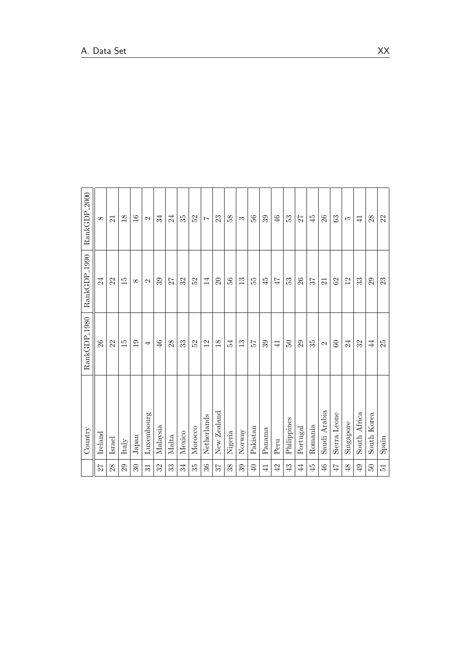|                 | Country          | RankGDP <sub>-1980</sub> | RankGDP <sub>-1990</sub> | RankGDP <sub>2000</sub> |
|-----------------|------------------|--------------------------|--------------------------|-------------------------|
| 27              | $_{\rm Ireland}$ | 26                       | 24                       | $\infty$                |
| 28              | Israel           | 22                       | 22                       | 21                      |
| 29              | Italy            | 15                       | $\overline{15}$          | $18$                    |
| 30              | Japan            | $\overline{0}$           | $\infty$                 | $\frac{6}{1}$           |
| $\overline{31}$ | Luxembourg       | 4                        | $\mathbf{\Omega}$        | $\mathcal{C}$           |
| 32              | Malaysia         | $\frac{46}{5}$           | 39                       | 34                      |
| 33              | Malta            | $28\,$                   | 27                       | 24                      |
| 34              | Mexico           | 33                       | 32                       | 35                      |
| 35              | Morocco          | 52                       | 52                       | 52                      |
| 36              | Netherlands      | $\overline{2}$           | 14                       | $\overline{z}$          |
| 75              | New Zealand      | $\frac{8}{1}$            | $\Omega$                 | 23                      |
| 38              | Nigeria          | 54                       | 36                       | 58                      |
| 39              | Normay           | $\frac{3}{1}$            | $\frac{3}{2}$            | S                       |
| $\overline{40}$ | Pakistan         | 75                       | 55                       | 56                      |
| $\overline{4}$  | Panama           | 39                       | $\ddot{4}$               | 39                      |
| 42              | Peru             | $\overline{+}$           | 47                       | 46                      |
| 43              | Philippines      | $50\,$                   | 53                       | 53                      |
| 44              | Portugal         | 29                       | 26                       | 27                      |
| 45              | Romania          | 35                       | 57                       | $\ddot{4}$              |
| $\frac{6}{5}$   | Saudi Arabia     | $\mathbf{\Omega}$        | $\overline{21}$          | 26                      |
| $47$            | Sierra Leone     | 60                       | 62                       | 63                      |
| 48              | Singapore        | 24                       | 12                       | LO.                     |
| 49              | South Africa     | 32                       | 33                       | $\frac{1}{4}$           |
| $50\,$          | South Korea      | $\overline{4}$           | 29                       | 28                      |
| $\overline{51}$ | Spain            | 25                       | $23\,$                   | 22                      |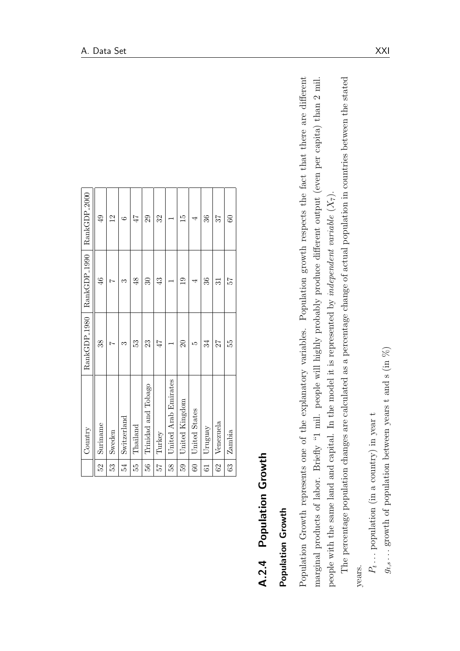|                 | Country              |                     | RankGDP_1980   RankGDP_1990   RankGDP_2000 |                 |
|-----------------|----------------------|---------------------|--------------------------------------------|-----------------|
| 52              | Suriname             | 38                  | $\frac{46}{5}$                             | $\frac{1}{4}$   |
| 53              | Sweden               |                     |                                            | $\overline{2}$  |
| 54              | Switzerland          | S,                  | ಌ                                          | G               |
| 55              | Thailand             | 53                  | $\frac{48}{5}$                             | 47              |
| $\frac{1}{5}$   | Trinidad and Tobago  | 23                  | $\mathcal{S}$                              | 29              |
| 72              | Turkey               | 47                  | 43                                         | 32              |
| 58              | United Arab Emirates |                     |                                            |                 |
| 59              | United Kingdom       | $\overline{\Omega}$ | $\overline{0}$                             | $\frac{15}{1}$  |
| $_{\odot}$      | <b>United States</b> | ທ                   |                                            | 4               |
| $\overline{61}$ | Uruguay              | 34                  | 36                                         | 36              |
| $\overline{62}$ | Venezuela            | 27                  | 31                                         | 37              |
| 63              | Zambia               | 55                  | 25                                         | $\overline{60}$ |

| l      |
|--------|
|        |
|        |
|        |
|        |
|        |
|        |
| י<br>נ |
|        |
| ί      |
|        |
|        |
| ſ      |
|        |
|        |
|        |
|        |
| ť      |
| ĉ      |

**A.2.4 Population Growth**<br>**Population Growth**<br>Population Growth represents one of the explanatory variables. Population growth respects the fact that there are different<br>marginal products of labor. Briefly <sup>4</sup>1 mil. peopl

 $P_t \ldots$  population (in a country) in year t  $P_t \ldots$  population (in a country) in year  $t$   $g_{t,s} \ldots$  growth of population between years t and s (in  $\%$ )  $g_{t,s}$ ... growth of population between years t and s (in  $\%$ )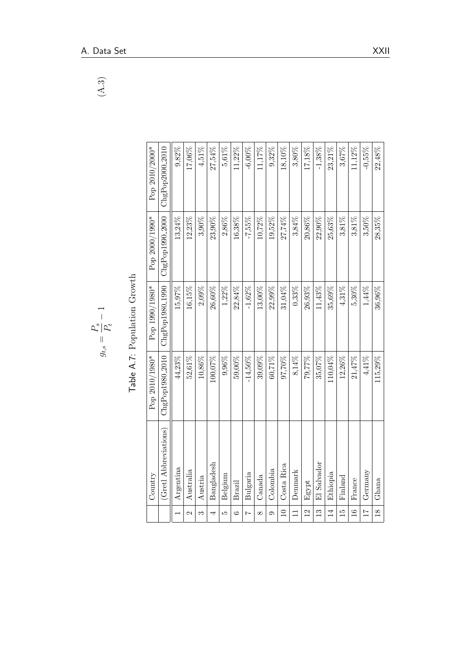| $\overline{\phantom{0}}$<br>$\mathbf{A}$ 3          |
|-----------------------------------------------------|
|                                                     |
|                                                     |
|                                                     |
|                                                     |
|                                                     |
|                                                     |
| $\overline{\phantom{0}}$                            |
| $\bigg $<br>$P_{\rm s}^{\rm s}   P_{\rm t}^{\rm t}$ |
| $g_{t,s} =$                                         |

| $\frac{1}{2}$                       |
|-------------------------------------|
| S<br>C<br>i<br>C                    |
| l                                   |
| $\frac{2}{2}$<br>$\frac{1}{\alpha}$ |

|                 | Country               | Pop 2010/1980*              | Pop 1990/1980*    | Pop 2000/1990*    | Pop 2010/2000*  |
|-----------------|-----------------------|-----------------------------|-------------------|-------------------|-----------------|
|                 | (Gretl Abbreviations) | ChgPop1980 <sub>-2010</sub> | $ChgPop1980_1990$ | $ChgPop1990_2000$ | ChgPop2000_2010 |
|                 | Argentina             | 44,23%                      | 15,97%            | 13,24%            | 9,82%           |
| 2               | Australia             | 52,61%                      | 16,15%            | $12.23\%$         | 17,06%          |
| S               | Austria               | 10,86%                      | 2,09%             | 3,90%             | 4,51%           |
| 4               | Bangladesh            | $100,07\%$                  | 26,60%            | $23,90\%$         | 27,54%          |
| ŗΟ              | Belgium               | 9,96%                       | 1,22%             | 2,86%             | 5,61%           |
| $\circ$         | Brazil                | 59,00%                      | 22,84%            | $16,38\%$         | 11,22%          |
| $\overline{z}$  | Bulgaria              | $-14,50\%$                  | $-1,62\%$         | $-7,55\%$         | $-6,00\%$       |
| $\infty$        | Canada                | $39,09\%$                   | $13,00\%$         | 10,72%            | 11,17%          |
| $\circ$         | Colombia              | $60,71\%$                   | $22,99\%$         | 19,52%            | 9,32%           |
| $\supseteq$     | Costa Rica            | $97,70\%$                   | 31,04%            | 27,74%            | 18,10%          |
| $\overline{1}$  | Denmark               | 8,14%                       | $0.33\%$          | 3,84%             | 3,80%           |
| $\overline{12}$ | Egypt                 | 79,77%                      | 26,93%            | 20,86%            | 17,18%          |
| $\frac{3}{2}$   | El Salvador           | 35,07%                      | 11,43%            | 22,90%            | $-1.38%$        |
| $\overline{1}$  | Ethiopia              | 110,04%                     | 35,69%            | $25,63\%$         | 23,21%          |
| $\frac{1}{2}$   | Finland               | $12,26\%$                   | 4,31%             | 3,81%             | 3,67%           |
| $\overline{16}$ | France                | 21,47%                      | 5,30%             | 3,81%             | 11,12%          |
| $\overline{11}$ | Germany               | 4,41%                       | 1,44%             | 3,50%             | $-0,55\%$       |
| $\frac{18}{1}$  | Ghana                 | 115,29%                     | 36,96%            | 28,35%            | $22,48\%$       |
|                 |                       |                             |                   |                   |                 |

 $\left( A.3\right)$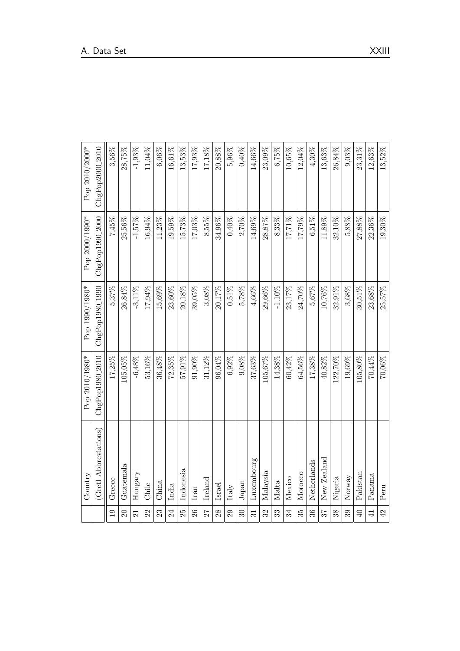| ChgPop1980 <sub>-1990</sub><br>$0,51\%$<br>24,70%<br>5.37%<br>26,84%<br>$-3.11\%$<br>17,94%<br>15,69%<br>23,60%<br>$20,\!18\%$<br>39,05%<br>3,08%<br>20,17%<br>5,78%<br>$4{,}66\%$<br>29,66%<br>$-1.10\%$<br>23,17%<br>5,67%<br>10,76%<br>32,91%<br>3.68%<br>23,68%<br>25,57%<br>30,51%<br>ChgPop1980 <sub>-2010</sub><br>$-6,48\%$<br>53,16%<br>36,48%<br>$6,92\%$<br>9,08%<br>64,56%<br>17,25%<br>$105,05\%$<br>$72,35\%$<br>57,91%<br>$91,90\%$<br>31,12%<br>96,04%<br>$37,63\%$<br>105,67%<br>14.38%<br>60,42%<br>$17,38\%$<br>$40,82\%$<br>122,70%<br>19,69%<br>$105,80\%$<br>70,44%<br>$70,06\%$<br>(Gretl Abbreviations)<br>New Zealand<br>Luxembourg<br>Netherlands<br>Guatemala<br>Indonesia<br>Malaysia<br>Hungary<br>Morocco<br>Pakistan<br>Panama<br>Norway<br>Mexico<br>Nigeria<br>Ireland<br>Greece<br>Malta<br>China<br>Japan<br>Chile<br>Israel<br>India<br>$\ensuremath{\text{Ital}}_y$<br>Peru<br>Iran<br>34<br>25<br>26<br>72<br>$35^{\circ}$<br>$\overline{19}$<br>32<br>$\overline{20}$<br>$28\,$<br>33<br>$36\,$<br>38<br>$\overline{40}$<br>42<br>22<br>$24\,$<br>29<br>$\mathcal{S}$<br>25<br>39<br>$\overline{41}$<br>23<br>$\overline{31}$<br>$\overline{21}$ | Country | Pop 2010/1980* | Pop 1990/1980* | Pop 2000/1990*  | Pop 2010/2000*              |
|-----------------------------------------------------------------------------------------------------------------------------------------------------------------------------------------------------------------------------------------------------------------------------------------------------------------------------------------------------------------------------------------------------------------------------------------------------------------------------------------------------------------------------------------------------------------------------------------------------------------------------------------------------------------------------------------------------------------------------------------------------------------------------------------------------------------------------------------------------------------------------------------------------------------------------------------------------------------------------------------------------------------------------------------------------------------------------------------------------------------------------------------------------------------------------------------|---------|----------------|----------------|-----------------|-----------------------------|
|                                                                                                                                                                                                                                                                                                                                                                                                                                                                                                                                                                                                                                                                                                                                                                                                                                                                                                                                                                                                                                                                                                                                                                                         |         |                |                | ChgPop1990_2000 | ChgPop2000 <sub>-2010</sub> |
|                                                                                                                                                                                                                                                                                                                                                                                                                                                                                                                                                                                                                                                                                                                                                                                                                                                                                                                                                                                                                                                                                                                                                                                         |         |                |                | 7,45%           | 3,56%                       |
|                                                                                                                                                                                                                                                                                                                                                                                                                                                                                                                                                                                                                                                                                                                                                                                                                                                                                                                                                                                                                                                                                                                                                                                         |         |                |                | 25,56%          | 28,75%                      |
|                                                                                                                                                                                                                                                                                                                                                                                                                                                                                                                                                                                                                                                                                                                                                                                                                                                                                                                                                                                                                                                                                                                                                                                         |         |                |                | $-1,57\%$       | $-1,93\%$                   |
|                                                                                                                                                                                                                                                                                                                                                                                                                                                                                                                                                                                                                                                                                                                                                                                                                                                                                                                                                                                                                                                                                                                                                                                         |         |                |                | $16{,}94\%$     | 11,04%                      |
|                                                                                                                                                                                                                                                                                                                                                                                                                                                                                                                                                                                                                                                                                                                                                                                                                                                                                                                                                                                                                                                                                                                                                                                         |         |                |                | $11,\!23\%$     | 6,06%                       |
|                                                                                                                                                                                                                                                                                                                                                                                                                                                                                                                                                                                                                                                                                                                                                                                                                                                                                                                                                                                                                                                                                                                                                                                         |         |                |                | 19,59%          | 16,61%                      |
|                                                                                                                                                                                                                                                                                                                                                                                                                                                                                                                                                                                                                                                                                                                                                                                                                                                                                                                                                                                                                                                                                                                                                                                         |         |                |                | $15,73\%$       | 13,53%                      |
|                                                                                                                                                                                                                                                                                                                                                                                                                                                                                                                                                                                                                                                                                                                                                                                                                                                                                                                                                                                                                                                                                                                                                                                         |         |                |                | 17,03%          | 17,93%                      |
|                                                                                                                                                                                                                                                                                                                                                                                                                                                                                                                                                                                                                                                                                                                                                                                                                                                                                                                                                                                                                                                                                                                                                                                         |         |                |                | 8.55%           | 17,18%                      |
|                                                                                                                                                                                                                                                                                                                                                                                                                                                                                                                                                                                                                                                                                                                                                                                                                                                                                                                                                                                                                                                                                                                                                                                         |         |                |                | 34,96%          | 20,88%                      |
|                                                                                                                                                                                                                                                                                                                                                                                                                                                                                                                                                                                                                                                                                                                                                                                                                                                                                                                                                                                                                                                                                                                                                                                         |         |                |                | $0,40\%$        | 5,96%                       |
|                                                                                                                                                                                                                                                                                                                                                                                                                                                                                                                                                                                                                                                                                                                                                                                                                                                                                                                                                                                                                                                                                                                                                                                         |         |                |                | 2,70%           | $0,40\%$                    |
|                                                                                                                                                                                                                                                                                                                                                                                                                                                                                                                                                                                                                                                                                                                                                                                                                                                                                                                                                                                                                                                                                                                                                                                         |         |                |                | $14,69\%$       | 14,66%                      |
|                                                                                                                                                                                                                                                                                                                                                                                                                                                                                                                                                                                                                                                                                                                                                                                                                                                                                                                                                                                                                                                                                                                                                                                         |         |                |                | 28.87%          | 23,09%                      |
|                                                                                                                                                                                                                                                                                                                                                                                                                                                                                                                                                                                                                                                                                                                                                                                                                                                                                                                                                                                                                                                                                                                                                                                         |         |                |                | 8.33%           | 6,75%                       |
|                                                                                                                                                                                                                                                                                                                                                                                                                                                                                                                                                                                                                                                                                                                                                                                                                                                                                                                                                                                                                                                                                                                                                                                         |         |                |                | $17,71\%$       | 10,65%                      |
|                                                                                                                                                                                                                                                                                                                                                                                                                                                                                                                                                                                                                                                                                                                                                                                                                                                                                                                                                                                                                                                                                                                                                                                         |         |                |                | 17,79%          | 12,04%                      |
|                                                                                                                                                                                                                                                                                                                                                                                                                                                                                                                                                                                                                                                                                                                                                                                                                                                                                                                                                                                                                                                                                                                                                                                         |         |                |                | $6,51\%$        | $4,30\%$                    |
|                                                                                                                                                                                                                                                                                                                                                                                                                                                                                                                                                                                                                                                                                                                                                                                                                                                                                                                                                                                                                                                                                                                                                                                         |         |                |                | $11,89\%$       | 13,63%                      |
|                                                                                                                                                                                                                                                                                                                                                                                                                                                                                                                                                                                                                                                                                                                                                                                                                                                                                                                                                                                                                                                                                                                                                                                         |         |                |                | 32,10%          | 26,84%                      |
|                                                                                                                                                                                                                                                                                                                                                                                                                                                                                                                                                                                                                                                                                                                                                                                                                                                                                                                                                                                                                                                                                                                                                                                         |         |                |                | $5,88\%$        | 9,03%                       |
|                                                                                                                                                                                                                                                                                                                                                                                                                                                                                                                                                                                                                                                                                                                                                                                                                                                                                                                                                                                                                                                                                                                                                                                         |         |                |                | 27,88%          | 23,31%                      |
|                                                                                                                                                                                                                                                                                                                                                                                                                                                                                                                                                                                                                                                                                                                                                                                                                                                                                                                                                                                                                                                                                                                                                                                         |         |                |                | 22,36%          | 12,63%                      |
|                                                                                                                                                                                                                                                                                                                                                                                                                                                                                                                                                                                                                                                                                                                                                                                                                                                                                                                                                                                                                                                                                                                                                                                         |         |                |                | $19,30\%$       | 13,52%                      |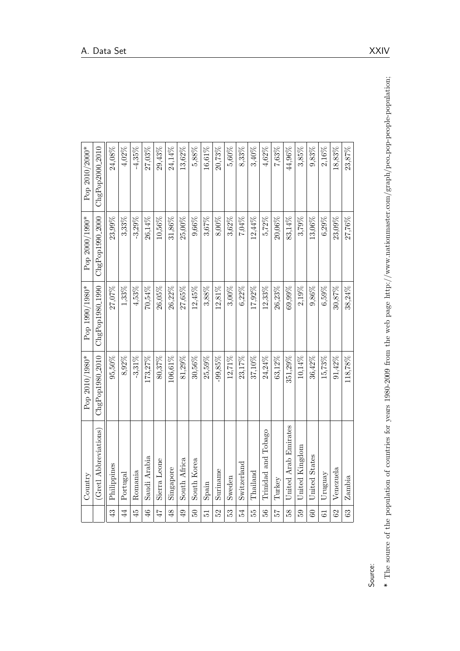|                | Country               | Pop 2010/1980*              | Pop 1990/1980*              | Pop 2000/1990*  | Pop 2010/2000*  |
|----------------|-----------------------|-----------------------------|-----------------------------|-----------------|-----------------|
|                | (Gretl Abbreviations) | ChgPop1980 <sub>-2010</sub> | ChgPop1980 <sub>-1990</sub> | ChgPop1990_2000 | ChgPop2000_2010 |
| $\frac{3}{4}$  | Philippines           | 95,50%                      | 27,07%                      | 23,99%          | 24,08%          |
| $\overline{4}$ | Portugal              | 8,92%                       | $1,33\%$                    | 3,33%           | $4,02\%$        |
| 45             | Romania               | $-3,31\%$                   | 4,53%                       | $-3,29%$        | $-4,35\%$       |
| $\frac{4}{6}$  | Saudi Arabia          | 173,27%                     | 70,54%                      | 26,14%          | 27,03%          |
| 47             | Sierra Leone          | $80,37\%$                   | 26,05%                      | 10,56%          | 29,43%          |
| $\frac{8}{3}$  | Singapore             | 106,61%                     | 26,22%                      | 31,86%          | 24,14%          |
| $\overline{6}$ | South Africa          | 81,29%                      | 27,65%                      | 25,00%          | 13,62%          |
| $50^{\circ}$   | South Korea           | $30,56\%$                   | 12,45%                      | $9,66\%$        | 5,88%           |
| 12             | Spain                 | 25,59%                      | $3,88\%$                    | 3,67%           | 16,61%          |
| 52             | Suriname              | 99,85%                      | 12,81%                      | 8,00%           | 20,73%          |
| 53             | Sweden                | 12,71%                      | 3,00%                       | 3,62%           | 5,60%           |
| 54             | Switzerland           | 23,17%                      | $6,22\%$                    | 7,04%           | 8,33%           |
| 55             | Thailand              | 37,10%                      | 17,92%                      | 12,44%          | 3,40%           |
| 56             | Trinidad and Tobago   | 24,24%                      | $12,33\%$                   | 5,72%           | 4,62%           |
| 25             | Turkey                | 63,12%                      | 26,23%                      | $20,06\%$       | 7,63%           |
| 58             | United Arab Emirates  | 351,29%                     | 69,99%                      | 83,14%          | 44,96%          |
| 59             | United Kingdom        | 10,14%                      | $2,19\%$                    | 3,79%           | $3,85\%$        |
| $60\,$         | United States         | 36,42%                      | 9,86%                       | $13,06\%$       | 9,83%           |
| 61             | Uruguay               | $15,73\%$                   | 6,59%                       | $6,29\%$        | 2,16%           |
| 62             | Venezuela             | $91,42\%$                   | 30,87%                      | $23,09\%$       | 18,83%          |
| 63             | Zambia                | 118,78%                     | 38.24%                      | 27,76%          | 23,87%          |
|                |                       |                             |                             |                 |                 |

 $*$  The source of the population of countries for years 1980-2009 from the web page http://www.nationmaster.com/graph/peo-pop-people-population; The source of the population of countries for years 1980-2009 from the web page http://www.nationmaster.com/graph/peo pop-people-population;

Source: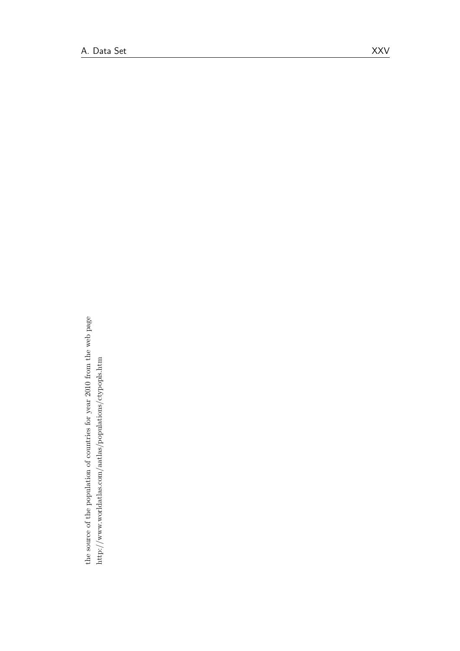the source of the population of countries for year 2010 from the web page the source of the population of countries for year 2010 from the web page http://www.worldatlas.com/aatlas/populations/ctypopls.htm  $\label{thm:2} \text{http://www.worilatlas.com/aatlas/populations/ctypopls.htm}$